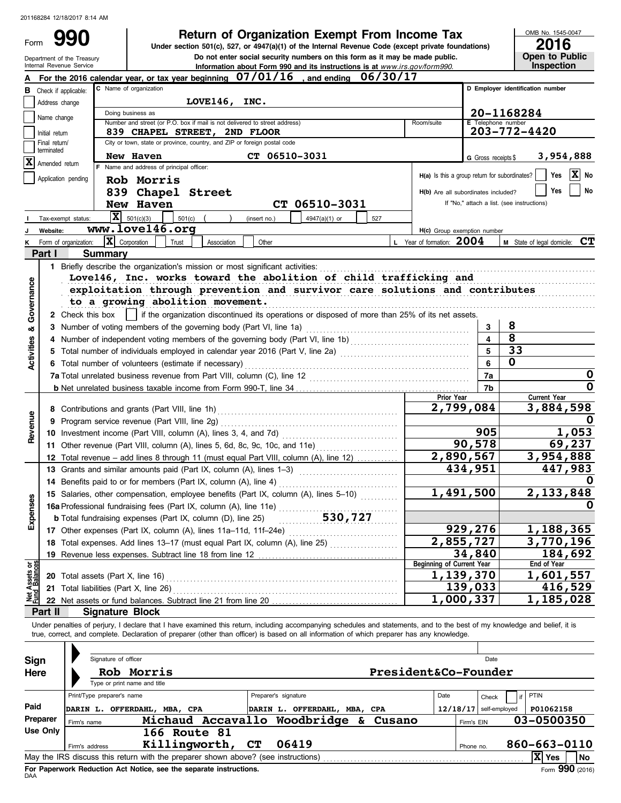Form

# **990 1 Return of Organization Exempt From Income Tax**  $\frac{\text{OMB No. 1545-0}}{2016}$

**I**<br>Ition about Form 990 and its instructions is at www.irs Do not enter social security numbers on this form as it may be made public. **Under section 501(c), 527, or 4947(a)(1) of the Internal Revenue Code (except private foundations)** OMB No. 1545-0047

|  | LV I V                |
|--|-----------------------|
|  | <b>Open to Public</b> |
|  | Inspection            |

|             |                             | Department of the Treasury<br>Internal Revenue Service |                                                                                                                                                                            |                      | Do not enter social security numbers on this form as it may be made public.<br>Information about Form 990 and its instructions is at www.irs.gov/form990. |     |                                               |                          | Open to Public<br><b>Inspection</b>        |
|-------------|-----------------------------|--------------------------------------------------------|----------------------------------------------------------------------------------------------------------------------------------------------------------------------------|----------------------|-----------------------------------------------------------------------------------------------------------------------------------------------------------|-----|-----------------------------------------------|--------------------------|--------------------------------------------|
|             |                             |                                                        | For the 2016 calendar year, or tax year beginning $07/01/16$ , and ending $06/30/17$                                                                                       |                      |                                                                                                                                                           |     |                                               |                          |                                            |
| в           |                             | Check if applicable:                                   | C Name of organization                                                                                                                                                     |                      |                                                                                                                                                           |     |                                               |                          | D Employer identification number           |
|             | Address change              |                                                        | LOVE146, INC.                                                                                                                                                              |                      |                                                                                                                                                           |     |                                               |                          |                                            |
|             |                             |                                                        | Doing business as                                                                                                                                                          |                      |                                                                                                                                                           |     |                                               |                          | 20-1168284                                 |
|             | Name change                 |                                                        | Number and street (or P.O. box if mail is not delivered to street address)                                                                                                 |                      |                                                                                                                                                           |     | Room/suite                                    | E Telephone number       |                                            |
|             | Initial return              |                                                        | 839 CHAPEL STREET, 2ND FLOOR                                                                                                                                               |                      |                                                                                                                                                           |     |                                               |                          | 203-772-4420                               |
|             | Final return/<br>terminated |                                                        | City or town, state or province, country, and ZIP or foreign postal code                                                                                                   |                      |                                                                                                                                                           |     |                                               |                          |                                            |
| X           | Amended return              |                                                        | New Haven<br>F Name and address of principal officer:                                                                                                                      | CT 06510-3031        |                                                                                                                                                           |     |                                               | G Gross receipts \$      | 3,954,888                                  |
|             |                             | Application pending                                    |                                                                                                                                                                            |                      |                                                                                                                                                           |     | H(a) Is this a group return for subordinates? |                          | $ \mathbf{X} $ No<br>Yes                   |
|             |                             |                                                        | Rob Morris                                                                                                                                                                 |                      |                                                                                                                                                           |     |                                               |                          | No<br>Yes                                  |
|             |                             |                                                        | 839 Chapel Street                                                                                                                                                          |                      |                                                                                                                                                           |     | H(b) Are all subordinates included?           |                          | If "No," attach a list. (see instructions) |
|             |                             |                                                        | New Haven                                                                                                                                                                  |                      | CT 06510-3031                                                                                                                                             |     |                                               |                          |                                            |
|             |                             | Tax-exempt status:                                     | $\mathbf{X}$ 501(c)(3)<br>501(c)<br>www.love146.org                                                                                                                        | (insert no.)         | 4947(a)(1) or                                                                                                                                             | 527 |                                               |                          |                                            |
|             | Website:                    |                                                        | $ \mathbf{\overline{X}} $ Corporation                                                                                                                                      |                      |                                                                                                                                                           |     | H(c) Group exemption number                   |                          | <b>CT</b>                                  |
| κ           | Part I                      | Form of organization:                                  | Trust<br>Association                                                                                                                                                       | Other                |                                                                                                                                                           |     | L Year of formation: 2004                     |                          | M State of legal domicile:                 |
|             |                             | <b>Summary</b>                                         | 1 Briefly describe the organization's mission or most significant activities:                                                                                              |                      |                                                                                                                                                           |     |                                               |                          |                                            |
|             |                             |                                                        | Love146, Inc. works toward the abolition of child trafficking and                                                                                                          |                      |                                                                                                                                                           |     |                                               |                          |                                            |
| Governance  |                             |                                                        | exploitation through prevention and survivor care solutions and contributes                                                                                                |                      |                                                                                                                                                           |     |                                               |                          |                                            |
|             |                             |                                                        | to a growing abolition movement.                                                                                                                                           |                      |                                                                                                                                                           |     |                                               |                          |                                            |
|             |                             | 2 Check this box                                       | if the organization discontinued its operations or disposed of more than 25% of its net assets.                                                                            |                      |                                                                                                                                                           |     |                                               |                          |                                            |
|             |                             |                                                        | 3 Number of voting members of the governing body (Part VI, line 1a)                                                                                                        |                      |                                                                                                                                                           |     |                                               | 3                        | 8                                          |
| త           |                             |                                                        | 4 Number of independent voting members of the governing body (Part VI, line 1b) [11] (11] Number of independent voting members of the governing body (Part VI, line 1b)    |                      |                                                                                                                                                           |     |                                               | $\overline{\mathbf{4}}$  | $\overline{\mathbf{8}}$                    |
| Activities  |                             |                                                        | 5 Total number of individuals employed in calendar year 2016 (Part V, line 2a) [11] [20] [11] [20] [11] [20] [                                                             |                      |                                                                                                                                                           |     |                                               | 5                        | 33                                         |
|             |                             |                                                        | 6 Total number of volunteers (estimate if necessary)                                                                                                                       |                      |                                                                                                                                                           |     |                                               | 6                        | $\mathbf 0$                                |
|             |                             |                                                        | 7a Total unrelated business revenue from Part VIII, column (C), line 12                                                                                                    |                      |                                                                                                                                                           |     |                                               | 7a                       | 0                                          |
|             |                             |                                                        |                                                                                                                                                                            |                      |                                                                                                                                                           |     |                                               | 7b                       | 0                                          |
|             |                             |                                                        |                                                                                                                                                                            |                      |                                                                                                                                                           |     | Prior Year                                    |                          | <b>Current Year</b>                        |
|             |                             |                                                        |                                                                                                                                                                            |                      |                                                                                                                                                           |     | 2,799,084                                     |                          | 3,884,598                                  |
| Revenue     |                             |                                                        |                                                                                                                                                                            |                      |                                                                                                                                                           |     |                                               |                          |                                            |
|             |                             |                                                        |                                                                                                                                                                            |                      |                                                                                                                                                           |     |                                               | 905                      | 1,053                                      |
|             |                             |                                                        |                                                                                                                                                                            |                      |                                                                                                                                                           |     |                                               | 90,578                   | 69,237                                     |
|             |                             |                                                        | 12 Total revenue - add lines 8 through 11 (must equal Part VIII, column (A), line 12)                                                                                      |                      |                                                                                                                                                           |     | 2,890,567                                     |                          | 3,954,888                                  |
|             |                             |                                                        | 13 Grants and similar amounts paid (Part IX, column (A), lines 1-3)                                                                                                        |                      |                                                                                                                                                           |     |                                               | 434,951                  | 447,983                                    |
|             |                             |                                                        |                                                                                                                                                                            |                      |                                                                                                                                                           |     |                                               |                          |                                            |
| ses         |                             |                                                        | 15 Salaries, other compensation, employee benefits (Part IX, column (A), lines 5-10)                                                                                       |                      |                                                                                                                                                           |     | 1,491,500                                     |                          | 2, 133, 848                                |
|             |                             |                                                        | 16a Professional fundraising fees (Part IX, column (A), line 11e)                                                                                                          |                      |                                                                                                                                                           |     |                                               |                          | O                                          |
| Expen       |                             |                                                        | <b>b</b> Total fundraising expenses (Part IX, column (D), line 25)                                                                                                         |                      | 530,727                                                                                                                                                   |     |                                               |                          |                                            |
|             |                             |                                                        |                                                                                                                                                                            |                      |                                                                                                                                                           |     |                                               | 929,276                  | 1,188,365                                  |
|             |                             |                                                        | 18 Total expenses. Add lines 13-17 (must equal Part IX, column (A), line 25) [                                                                                             |                      |                                                                                                                                                           |     | 2,855,727                                     |                          | 3,770,196                                  |
|             |                             |                                                        | 19 Revenue less expenses. Subtract line 18 from line 12 [11] Revenue less expenses. Subtract line 18 from line 12                                                          |                      |                                                                                                                                                           |     |                                               | 34,840                   | 184,692<br><b>End of Year</b>              |
| or<br>ces   |                             |                                                        |                                                                                                                                                                            |                      |                                                                                                                                                           |     | <b>Beginning of Current Year</b><br>1,139,370 |                          | 1,601,557                                  |
| Net Assets  |                             | 21 Total liabilities (Part X, line 26)                 | 20 Total assets (Part X, line 16) <b>Conservers</b> 20 Total assets (Part X, line 16)                                                                                      |                      |                                                                                                                                                           |     |                                               | 139,033                  | 416,529                                    |
|             |                             |                                                        |                                                                                                                                                                            |                      |                                                                                                                                                           |     | 1,000,337                                     |                          | $\overline{1,185,028}$                     |
|             | Part II                     | <b>Signature Block</b>                                 |                                                                                                                                                                            |                      |                                                                                                                                                           |     |                                               |                          |                                            |
|             |                             |                                                        | Under penalties of perjury, I declare that I have examined this return, including accompanying schedules and statements, and to the best of my knowledge and belief, it is |                      |                                                                                                                                                           |     |                                               |                          |                                            |
|             |                             |                                                        | true, correct, and complete. Declaration of preparer (other than officer) is based on all information of which preparer has any knowledge.                                 |                      |                                                                                                                                                           |     |                                               |                          |                                            |
|             |                             |                                                        |                                                                                                                                                                            |                      |                                                                                                                                                           |     |                                               |                          |                                            |
| <b>Sign</b> |                             | Signature of officer                                   |                                                                                                                                                                            |                      |                                                                                                                                                           |     |                                               | Date                     |                                            |
| Here        |                             |                                                        | Rob Morris                                                                                                                                                                 |                      |                                                                                                                                                           |     | President&Co-Founder                          |                          |                                            |
|             |                             |                                                        | Type or print name and title                                                                                                                                               |                      |                                                                                                                                                           |     |                                               |                          |                                            |
|             |                             | Print/Type preparer's name                             |                                                                                                                                                                            | Preparer's signature |                                                                                                                                                           |     | Date                                          | Check                    | PTIN<br>if                                 |
| Paid        |                             |                                                        | DARIN L. OFFERDAHL, MBA, CPA                                                                                                                                               |                      | DARIN L. OFFERDAHL, MBA, CPA                                                                                                                              |     |                                               | $12/18/17$ self-employed | P01062158                                  |
|             | Preparer                    | Firm's name                                            | Michaud Accavallo Woodbridge & Cusano                                                                                                                                      |                      |                                                                                                                                                           |     |                                               | Firm's EIN               | 03-0500350                                 |
|             | <b>Use Only</b>             |                                                        | <b>166 Route 81</b>                                                                                                                                                        |                      |                                                                                                                                                           |     |                                               |                          |                                            |
|             |                             | Firm's address                                         | Killingworth,                                                                                                                                                              | 06419<br><b>CT</b>   |                                                                                                                                                           |     |                                               | Phone no.                | 860-663-0110                               |
|             |                             |                                                        | May the IRS discuss this return with the preparer shown above? (see instructions)                                                                                          |                      |                                                                                                                                                           |     |                                               |                          | $ X $ Yes<br>No                            |

| Sign<br>Here    | Signature of officer       | <b>Rob Morris</b>                                                                 | Date<br>President&Co-Founder |                      |                     |        |          |            |               |              |                 |
|-----------------|----------------------------|-----------------------------------------------------------------------------------|------------------------------|----------------------|---------------------|--------|----------|------------|---------------|--------------|-----------------|
|                 |                            | Type or print name and title                                                      |                              |                      |                     |        |          |            |               |              |                 |
|                 | Print/Type preparer's name |                                                                                   |                              | Preparer's signature |                     |        | Date     |            | Check         | <b>PTIN</b>  |                 |
| Paid            | DARIN L.                   | OFFERDAHL, MBA, CPA                                                               | <b>DARIN L.</b>              |                      | OFFERDAHL, MBA, CPA |        | 12/18/17 |            | self-employed | P01062158    |                 |
| Preparer        | Firm's name                | Michaud Accavallo Woodbridge &                                                    |                              |                      |                     | Cusano |          | Firm's EIN |               | 03-0500350   |                 |
| <b>Use Only</b> |                            | <b>166 Route 81</b>                                                               |                              |                      |                     |        |          |            |               |              |                 |
|                 | Firm's address             | Killingworth,                                                                     | <b>CT</b>                    | 06419                |                     |        |          | Phone no.  |               | 860-663-0110 |                 |
|                 |                            | May the IRS discuss this return with the preparer shown above? (see instructions) |                              |                      |                     |        |          |            |               | X<br>Yes     | l No            |
| <b>DAA</b>      |                            | For Paperwork Reduction Act Notice, see the separate instructions.                |                              |                      |                     |        |          |            |               |              | Form 990 (2016) |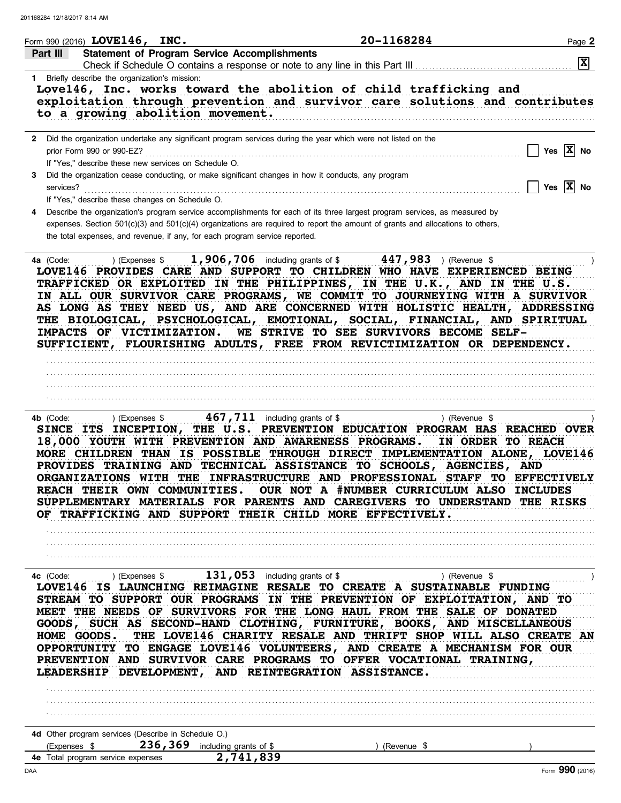|                          | Form 990 (2016) LOVE146, INC.     |                                                      | 20-1168284                                                                                                                                                                                                                                                                                                                                                                                                                                                                                                                                                                                                                         |                                    | Page 2                  |
|--------------------------|-----------------------------------|------------------------------------------------------|------------------------------------------------------------------------------------------------------------------------------------------------------------------------------------------------------------------------------------------------------------------------------------------------------------------------------------------------------------------------------------------------------------------------------------------------------------------------------------------------------------------------------------------------------------------------------------------------------------------------------------|------------------------------------|-------------------------|
| Part III                 |                                   |                                                      | <b>Statement of Program Service Accomplishments</b>                                                                                                                                                                                                                                                                                                                                                                                                                                                                                                                                                                                |                                    |                         |
|                          |                                   |                                                      | Check if Schedule O contains a response or note to any line in this Part III                                                                                                                                                                                                                                                                                                                                                                                                                                                                                                                                                       |                                    | $\overline{\mathbf{x}}$ |
|                          |                                   | 1 Briefly describe the organization's mission:       | Love146, Inc. works toward the abolition of child trafficking and                                                                                                                                                                                                                                                                                                                                                                                                                                                                                                                                                                  |                                    |                         |
|                          |                                   |                                                      | exploitation through prevention and survivor care solutions and contributes<br>to a growing abolition movement.                                                                                                                                                                                                                                                                                                                                                                                                                                                                                                                    |                                    |                         |
|                          | prior Form 990 or 990-EZ?         |                                                      | 2 Did the organization undertake any significant program services during the year which were not listed on the                                                                                                                                                                                                                                                                                                                                                                                                                                                                                                                     |                                    | Yes $ \mathbf{X} $ No   |
|                          |                                   | If "Yes," describe these new services on Schedule O. |                                                                                                                                                                                                                                                                                                                                                                                                                                                                                                                                                                                                                                    |                                    |                         |
| 3<br>services?           |                                   |                                                      | Did the organization cease conducting, or make significant changes in how it conducts, any program                                                                                                                                                                                                                                                                                                                                                                                                                                                                                                                                 |                                    | Yes $X$ No              |
| 4                        |                                   | If "Yes," describe these changes on Schedule O.      | Describe the organization's program service accomplishments for each of its three largest program services, as measured by                                                                                                                                                                                                                                                                                                                                                                                                                                                                                                         |                                    |                         |
|                          |                                   |                                                      | expenses. Section 501(c)(3) and 501(c)(4) organizations are required to report the amount of grants and allocations to others,<br>the total expenses, and revenue, if any, for each program service reported.                                                                                                                                                                                                                                                                                                                                                                                                                      |                                    |                         |
|                          |                                   |                                                      | LOVE146 PROVIDES CARE AND SUPPORT TO CHILDREN WHO HAVE EXPERIENCED BEING<br>TRAFFICKED OR EXPLOITED IN THE PHILIPPINES, IN THE U.K., AND IN THE U.S.<br>IN ALL OUR SURVIVOR CARE PROGRAMS, WE COMMIT TO JOURNEYING WITH A SURVIVOR<br>AS LONG AS THEY NEED US, AND ARE CONCERNED WITH HOLISTIC HEALTH, ADDRESSING<br>THE BIOLOGICAL, PSYCHOLOGICAL, EMOTIONAL, SOCIAL, FINANCIAL, AND SPIRITUAL<br>IMPACTS OF VICTIMIZATION. WE STRIVE TO SEE SURVIVORS BECOME SELF-<br>SUFFICIENT, FLOURISHING ADULTS, FREE FROM REVICTIMIZATION OR DEPENDENCY.                                                                                   |                                    |                         |
| 4b (Code:                |                                   | ) (Expenses $$$                                      | $467,711$ including grants of \$<br>SINCE ITS INCEPTION, THE U.S. PREVENTION EDUCATION PROGRAM HAS REACHED OVER<br>18,000 YOUTH WITH PREVENTION AND AWARENESS PROGRAMS.<br>MORE CHILDREN THAN IS POSSIBLE THROUGH DIRECT IMPLEMENTATION ALONE, LOVE146<br>PROVIDES TRAINING AND TECHNICAL ASSISTANCE TO SCHOOLS, AGENCIES, AND<br>ORGANIZATIONS WITH THE INFRASTRUCTURE AND PROFESSIONAL STAFF TO EFFECTIVELY<br>REACH THEIR OWN COMMUNITIES. OUR NOT A #NUMBER CURRICULUM ALSO INCLUDES<br>SUPPLEMENTARY MATERIALS FOR PARENTS AND CAREGIVERS TO UNDERSTAND THE RISKS<br>OF TRAFFICKING AND SUPPORT THEIR CHILD MORE EFFECTIVELY. | ) (Revenue \$<br>IN ORDER TO REACH |                         |
|                          |                                   |                                                      |                                                                                                                                                                                                                                                                                                                                                                                                                                                                                                                                                                                                                                    |                                    |                         |
| 4c (Code:<br>HOME GOODS. |                                   | ) (Expenses \$                                       | 131, 053 including grants of \$<br>LOVE146 IS LAUNCHING REIMAGINE RESALE TO CREATE A SUSTAINABLE FUNDING<br>STREAM TO SUPPORT OUR PROGRAMS IN THE PREVENTION OF EXPLOITATION, AND TO<br>MEET THE NEEDS OF SURVIVORS FOR THE LONG HAUL FROM THE SALE OF DONATED<br>GOODS, SUCH AS SECOND-HAND CLOTHING, FURNITURE, BOOKS, AND MISCELLANEOUS<br>THE LOVE146 CHARITY RESALE AND THRIFT SHOP WILL ALSO CREATE AN<br>OPPORTUNITY TO ENGAGE LOVE146 VOLUNTEERS, AND CREATE A MECHANISM FOR OUR<br>PREVENTION AND SURVIVOR CARE PROGRAMS TO OFFER VOCATIONAL TRAINING,<br>LEADERSHIP DEVELOPMENT, AND REINTEGRATION ASSISTANCE.           | ) (Revenue \$                      |                         |
|                          |                                   |                                                      |                                                                                                                                                                                                                                                                                                                                                                                                                                                                                                                                                                                                                                    |                                    |                         |
|                          |                                   | 4d Other program services (Describe in Schedule O.)  |                                                                                                                                                                                                                                                                                                                                                                                                                                                                                                                                                                                                                                    |                                    |                         |
| (Expenses \$             | 4e Total program service expenses |                                                      | 236, 369 including grants of \$<br>(Revenue \$<br>2,741,839                                                                                                                                                                                                                                                                                                                                                                                                                                                                                                                                                                        |                                    |                         |
| DAA                      |                                   |                                                      |                                                                                                                                                                                                                                                                                                                                                                                                                                                                                                                                                                                                                                    |                                    | Form 990 (2016)         |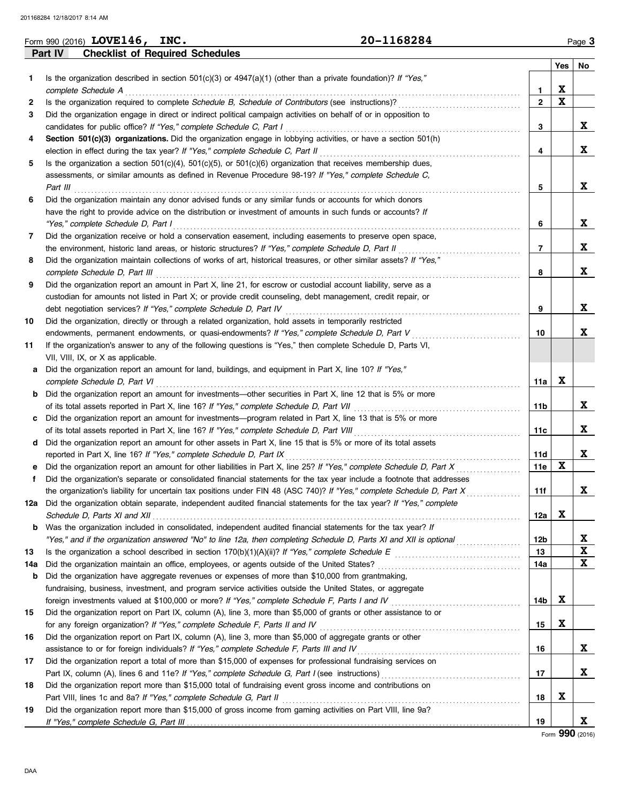| Part IV<br><b>Checklist of Required Schedules</b><br>Yes   No<br>Is the organization described in section $501(c)(3)$ or $4947(a)(1)$ (other than a private foundation)? If "Yes,"<br>1.<br>X<br>complete Schedule A<br>1<br>$\mathbf x$<br>$\mathbf{2}$<br>Is the organization required to complete Schedule B, Schedule of Contributors (see instructions)?<br>2<br>Did the organization engage in direct or indirect political campaign activities on behalf of or in opposition to<br>3<br>X<br>candidates for public office? If "Yes," complete Schedule C, Part I<br>3<br>Section 501(c)(3) organizations. Did the organization engage in lobbying activities, or have a section 501(h)<br>4<br>X<br>election in effect during the tax year? If "Yes," complete Schedule C, Part II<br>4<br>Is the organization a section $501(c)(4)$ , $501(c)(5)$ , or $501(c)(6)$ organization that receives membership dues,<br>5<br>assessments, or similar amounts as defined in Revenue Procedure 98-19? If "Yes," complete Schedule C.<br>X<br>Part III<br>5<br>Did the organization maintain any donor advised funds or any similar funds or accounts for which donors<br>6<br>have the right to provide advice on the distribution or investment of amounts in such funds or accounts? If<br>X<br>"Yes," complete Schedule D, Part I<br>6<br>Did the organization receive or hold a conservation easement, including easements to preserve open space,<br>7<br>X<br>7<br>the environment, historic land areas, or historic structures? If "Yes," complete Schedule D, Part II<br>Did the organization maintain collections of works of art, historical treasures, or other similar assets? If "Yes,"<br>8<br>X<br>complete Schedule D, Part III<br>8<br>Did the organization report an amount in Part X, line 21, for escrow or custodial account liability, serve as a<br>9<br>custodian for amounts not listed in Part X; or provide credit counseling, debt management, credit repair, or<br>X<br>debt negotiation services? If "Yes," complete Schedule D, Part IV<br>9<br>Did the organization, directly or through a related organization, hold assets in temporarily restricted<br>10<br>X<br>endowments, permanent endowments, or quasi-endowments? If "Yes," complete Schedule D, Part V<br>10<br>If the organization's answer to any of the following questions is "Yes," then complete Schedule D, Parts VI,<br>11<br>VII, VIII, IX, or X as applicable.<br>Did the organization report an amount for land, buildings, and equipment in Part X, line 10? If "Yes,"<br>а<br>X<br>complete Schedule D, Part VI<br>11a<br>Did the organization report an amount for investments—other securities in Part X, line 12 that is 5% or more<br>b<br>X<br>of its total assets reported in Part X, line 16? If "Yes," complete Schedule D, Part VII<br>11b<br>Did the organization report an amount for investments—program related in Part X, line 13 that is 5% or more<br>c<br>X<br>of its total assets reported in Part X, line 16? If "Yes," complete Schedule D, Part VIII<br>11c<br>d Did the organization report an amount for other assets in Part X, line 15 that is 5% or more of its total assets<br>X<br>reported in Part X, line 16? If "Yes," complete Schedule D, Part IX<br>11d<br>$\mathbf x$<br>Did the organization report an amount for other liabilities in Part X, line 25? If "Yes," complete Schedule D, Part X<br>11e<br>Did the organization's separate or consolidated financial statements for the tax year include a footnote that addresses<br>11f<br>the organization's liability for uncertain tax positions under FIN 48 (ASC 740)? If "Yes," complete Schedule D, Part X<br>▵<br>.<br>12a Did the organization obtain separate, independent audited financial statements for the tax year? If "Yes," complete<br>X<br>12a<br>Was the organization included in consolidated, independent audited financial statements for the tax year? If<br>b<br>X<br>"Yes," and if the organization answered "No" to line 12a, then completing Schedule D, Parts XI and XII is optional<br>12b<br>X<br>Is the organization a school described in section $170(b)(1)(A)(ii)$ ? If "Yes," complete Schedule E<br>13<br>13<br>X<br>Did the organization maintain an office, employees, or agents outside of the United States?<br>14a<br>14a<br>Did the organization have aggregate revenues or expenses of more than \$10,000 from grantmaking,<br>b<br>fundraising, business, investment, and program service activities outside the United States, or aggregate<br>X<br>foreign investments valued at \$100,000 or more? If "Yes," complete Schedule F, Parts I and IV [[[[[[[[[[[[[[[<br>14b<br>Did the organization report on Part IX, column (A), line 3, more than \$5,000 of grants or other assistance to or<br>15<br>X<br>for any foreign organization? If "Yes," complete Schedule F, Parts II and IV<br>15<br>Did the organization report on Part IX, column (A), line 3, more than \$5,000 of aggregate grants or other<br>16<br>X<br>assistance to or for foreign individuals? If "Yes," complete Schedule F, Parts III and IV<br>16<br>Did the organization report a total of more than \$15,000 of expenses for professional fundraising services on<br>17<br>X<br>17<br>Did the organization report more than \$15,000 total of fundraising event gross income and contributions on<br>18<br>X<br>Part VIII, lines 1c and 8a? If "Yes," complete Schedule G, Part II<br>18<br>Did the organization report more than \$15,000 of gross income from gaming activities on Part VIII, line 9a?<br>19<br>X<br>19<br>If "Yes," complete Schedule G, Part III | 20-1168284<br>Form 990 (2016) LOVE146, INC. |  | Page 3 |
|--------------------------------------------------------------------------------------------------------------------------------------------------------------------------------------------------------------------------------------------------------------------------------------------------------------------------------------------------------------------------------------------------------------------------------------------------------------------------------------------------------------------------------------------------------------------------------------------------------------------------------------------------------------------------------------------------------------------------------------------------------------------------------------------------------------------------------------------------------------------------------------------------------------------------------------------------------------------------------------------------------------------------------------------------------------------------------------------------------------------------------------------------------------------------------------------------------------------------------------------------------------------------------------------------------------------------------------------------------------------------------------------------------------------------------------------------------------------------------------------------------------------------------------------------------------------------------------------------------------------------------------------------------------------------------------------------------------------------------------------------------------------------------------------------------------------------------------------------------------------------------------------------------------------------------------------------------------------------------------------------------------------------------------------------------------------------------------------------------------------------------------------------------------------------------------------------------------------------------------------------------------------------------------------------------------------------------------------------------------------------------------------------------------------------------------------------------------------------------------------------------------------------------------------------------------------------------------------------------------------------------------------------------------------------------------------------------------------------------------------------------------------------------------------------------------------------------------------------------------------------------------------------------------------------------------------------------------------------------------------------------------------------------------------------------------------------------------------------------------------------------------------------------------------------------------------------------------------------------------------------------------------------------------------------------------------------------------------------------------------------------------------------------------------------------------------------------------------------------------------------------------------------------------------------------------------------------------------------------------------------------------------------------------------------------------------------------------------------------------------------------------------------------------------------------------------------------------------------------------------------------------------------------------------------------------------------------------------------------------------------------------------------------------------------------------------------------------------------------------------------------------------------------------------------------------------------------------------------------------------------------------------------------------------------------------------------------------------------------------------------------------------------------------------------------------------------------------------------------------------------------------------------------------------------------------------------------------------------------------------------------------------------------------------------------------------------------------------------------------------------------------------------------------------------------------------------------------------------------------------------------------------------------------------------------------------------------------------------------------------------------------------------------------------------------------------------------------------------------------------------------------------------------------------------------------------------------------------------------------------------------------------------------------------------------------------------------------------------------------------------------------------------------------------------------------------------------------------------------------------------------------------------------------------------------------------------------------------------------------------------------------------------------------------------------------------|---------------------------------------------|--|--------|
|                                                                                                                                                                                                                                                                                                                                                                                                                                                                                                                                                                                                                                                                                                                                                                                                                                                                                                                                                                                                                                                                                                                                                                                                                                                                                                                                                                                                                                                                                                                                                                                                                                                                                                                                                                                                                                                                                                                                                                                                                                                                                                                                                                                                                                                                                                                                                                                                                                                                                                                                                                                                                                                                                                                                                                                                                                                                                                                                                                                                                                                                                                                                                                                                                                                                                                                                                                                                                                                                                                                                                                                                                                                                                                                                                                                                                                                                                                                                                                                                                                                                                                                                                                                                                                                                                                                                                                                                                                                                                                                                                                                                                                                                                                                                                                                                                                                                                                                                                                                                                                                                                                                                                                                                                                                                                                                                                                                                                                                                                                                                                                                                                                                                                            |                                             |  |        |
|                                                                                                                                                                                                                                                                                                                                                                                                                                                                                                                                                                                                                                                                                                                                                                                                                                                                                                                                                                                                                                                                                                                                                                                                                                                                                                                                                                                                                                                                                                                                                                                                                                                                                                                                                                                                                                                                                                                                                                                                                                                                                                                                                                                                                                                                                                                                                                                                                                                                                                                                                                                                                                                                                                                                                                                                                                                                                                                                                                                                                                                                                                                                                                                                                                                                                                                                                                                                                                                                                                                                                                                                                                                                                                                                                                                                                                                                                                                                                                                                                                                                                                                                                                                                                                                                                                                                                                                                                                                                                                                                                                                                                                                                                                                                                                                                                                                                                                                                                                                                                                                                                                                                                                                                                                                                                                                                                                                                                                                                                                                                                                                                                                                                                            |                                             |  |        |
|                                                                                                                                                                                                                                                                                                                                                                                                                                                                                                                                                                                                                                                                                                                                                                                                                                                                                                                                                                                                                                                                                                                                                                                                                                                                                                                                                                                                                                                                                                                                                                                                                                                                                                                                                                                                                                                                                                                                                                                                                                                                                                                                                                                                                                                                                                                                                                                                                                                                                                                                                                                                                                                                                                                                                                                                                                                                                                                                                                                                                                                                                                                                                                                                                                                                                                                                                                                                                                                                                                                                                                                                                                                                                                                                                                                                                                                                                                                                                                                                                                                                                                                                                                                                                                                                                                                                                                                                                                                                                                                                                                                                                                                                                                                                                                                                                                                                                                                                                                                                                                                                                                                                                                                                                                                                                                                                                                                                                                                                                                                                                                                                                                                                                            |                                             |  |        |
|                                                                                                                                                                                                                                                                                                                                                                                                                                                                                                                                                                                                                                                                                                                                                                                                                                                                                                                                                                                                                                                                                                                                                                                                                                                                                                                                                                                                                                                                                                                                                                                                                                                                                                                                                                                                                                                                                                                                                                                                                                                                                                                                                                                                                                                                                                                                                                                                                                                                                                                                                                                                                                                                                                                                                                                                                                                                                                                                                                                                                                                                                                                                                                                                                                                                                                                                                                                                                                                                                                                                                                                                                                                                                                                                                                                                                                                                                                                                                                                                                                                                                                                                                                                                                                                                                                                                                                                                                                                                                                                                                                                                                                                                                                                                                                                                                                                                                                                                                                                                                                                                                                                                                                                                                                                                                                                                                                                                                                                                                                                                                                                                                                                                                            |                                             |  |        |
|                                                                                                                                                                                                                                                                                                                                                                                                                                                                                                                                                                                                                                                                                                                                                                                                                                                                                                                                                                                                                                                                                                                                                                                                                                                                                                                                                                                                                                                                                                                                                                                                                                                                                                                                                                                                                                                                                                                                                                                                                                                                                                                                                                                                                                                                                                                                                                                                                                                                                                                                                                                                                                                                                                                                                                                                                                                                                                                                                                                                                                                                                                                                                                                                                                                                                                                                                                                                                                                                                                                                                                                                                                                                                                                                                                                                                                                                                                                                                                                                                                                                                                                                                                                                                                                                                                                                                                                                                                                                                                                                                                                                                                                                                                                                                                                                                                                                                                                                                                                                                                                                                                                                                                                                                                                                                                                                                                                                                                                                                                                                                                                                                                                                                            |                                             |  |        |
|                                                                                                                                                                                                                                                                                                                                                                                                                                                                                                                                                                                                                                                                                                                                                                                                                                                                                                                                                                                                                                                                                                                                                                                                                                                                                                                                                                                                                                                                                                                                                                                                                                                                                                                                                                                                                                                                                                                                                                                                                                                                                                                                                                                                                                                                                                                                                                                                                                                                                                                                                                                                                                                                                                                                                                                                                                                                                                                                                                                                                                                                                                                                                                                                                                                                                                                                                                                                                                                                                                                                                                                                                                                                                                                                                                                                                                                                                                                                                                                                                                                                                                                                                                                                                                                                                                                                                                                                                                                                                                                                                                                                                                                                                                                                                                                                                                                                                                                                                                                                                                                                                                                                                                                                                                                                                                                                                                                                                                                                                                                                                                                                                                                                                            |                                             |  |        |
|                                                                                                                                                                                                                                                                                                                                                                                                                                                                                                                                                                                                                                                                                                                                                                                                                                                                                                                                                                                                                                                                                                                                                                                                                                                                                                                                                                                                                                                                                                                                                                                                                                                                                                                                                                                                                                                                                                                                                                                                                                                                                                                                                                                                                                                                                                                                                                                                                                                                                                                                                                                                                                                                                                                                                                                                                                                                                                                                                                                                                                                                                                                                                                                                                                                                                                                                                                                                                                                                                                                                                                                                                                                                                                                                                                                                                                                                                                                                                                                                                                                                                                                                                                                                                                                                                                                                                                                                                                                                                                                                                                                                                                                                                                                                                                                                                                                                                                                                                                                                                                                                                                                                                                                                                                                                                                                                                                                                                                                                                                                                                                                                                                                                                            |                                             |  |        |
|                                                                                                                                                                                                                                                                                                                                                                                                                                                                                                                                                                                                                                                                                                                                                                                                                                                                                                                                                                                                                                                                                                                                                                                                                                                                                                                                                                                                                                                                                                                                                                                                                                                                                                                                                                                                                                                                                                                                                                                                                                                                                                                                                                                                                                                                                                                                                                                                                                                                                                                                                                                                                                                                                                                                                                                                                                                                                                                                                                                                                                                                                                                                                                                                                                                                                                                                                                                                                                                                                                                                                                                                                                                                                                                                                                                                                                                                                                                                                                                                                                                                                                                                                                                                                                                                                                                                                                                                                                                                                                                                                                                                                                                                                                                                                                                                                                                                                                                                                                                                                                                                                                                                                                                                                                                                                                                                                                                                                                                                                                                                                                                                                                                                                            |                                             |  |        |
|                                                                                                                                                                                                                                                                                                                                                                                                                                                                                                                                                                                                                                                                                                                                                                                                                                                                                                                                                                                                                                                                                                                                                                                                                                                                                                                                                                                                                                                                                                                                                                                                                                                                                                                                                                                                                                                                                                                                                                                                                                                                                                                                                                                                                                                                                                                                                                                                                                                                                                                                                                                                                                                                                                                                                                                                                                                                                                                                                                                                                                                                                                                                                                                                                                                                                                                                                                                                                                                                                                                                                                                                                                                                                                                                                                                                                                                                                                                                                                                                                                                                                                                                                                                                                                                                                                                                                                                                                                                                                                                                                                                                                                                                                                                                                                                                                                                                                                                                                                                                                                                                                                                                                                                                                                                                                                                                                                                                                                                                                                                                                                                                                                                                                            |                                             |  |        |
|                                                                                                                                                                                                                                                                                                                                                                                                                                                                                                                                                                                                                                                                                                                                                                                                                                                                                                                                                                                                                                                                                                                                                                                                                                                                                                                                                                                                                                                                                                                                                                                                                                                                                                                                                                                                                                                                                                                                                                                                                                                                                                                                                                                                                                                                                                                                                                                                                                                                                                                                                                                                                                                                                                                                                                                                                                                                                                                                                                                                                                                                                                                                                                                                                                                                                                                                                                                                                                                                                                                                                                                                                                                                                                                                                                                                                                                                                                                                                                                                                                                                                                                                                                                                                                                                                                                                                                                                                                                                                                                                                                                                                                                                                                                                                                                                                                                                                                                                                                                                                                                                                                                                                                                                                                                                                                                                                                                                                                                                                                                                                                                                                                                                                            |                                             |  |        |
|                                                                                                                                                                                                                                                                                                                                                                                                                                                                                                                                                                                                                                                                                                                                                                                                                                                                                                                                                                                                                                                                                                                                                                                                                                                                                                                                                                                                                                                                                                                                                                                                                                                                                                                                                                                                                                                                                                                                                                                                                                                                                                                                                                                                                                                                                                                                                                                                                                                                                                                                                                                                                                                                                                                                                                                                                                                                                                                                                                                                                                                                                                                                                                                                                                                                                                                                                                                                                                                                                                                                                                                                                                                                                                                                                                                                                                                                                                                                                                                                                                                                                                                                                                                                                                                                                                                                                                                                                                                                                                                                                                                                                                                                                                                                                                                                                                                                                                                                                                                                                                                                                                                                                                                                                                                                                                                                                                                                                                                                                                                                                                                                                                                                                            |                                             |  |        |
|                                                                                                                                                                                                                                                                                                                                                                                                                                                                                                                                                                                                                                                                                                                                                                                                                                                                                                                                                                                                                                                                                                                                                                                                                                                                                                                                                                                                                                                                                                                                                                                                                                                                                                                                                                                                                                                                                                                                                                                                                                                                                                                                                                                                                                                                                                                                                                                                                                                                                                                                                                                                                                                                                                                                                                                                                                                                                                                                                                                                                                                                                                                                                                                                                                                                                                                                                                                                                                                                                                                                                                                                                                                                                                                                                                                                                                                                                                                                                                                                                                                                                                                                                                                                                                                                                                                                                                                                                                                                                                                                                                                                                                                                                                                                                                                                                                                                                                                                                                                                                                                                                                                                                                                                                                                                                                                                                                                                                                                                                                                                                                                                                                                                                            |                                             |  |        |
|                                                                                                                                                                                                                                                                                                                                                                                                                                                                                                                                                                                                                                                                                                                                                                                                                                                                                                                                                                                                                                                                                                                                                                                                                                                                                                                                                                                                                                                                                                                                                                                                                                                                                                                                                                                                                                                                                                                                                                                                                                                                                                                                                                                                                                                                                                                                                                                                                                                                                                                                                                                                                                                                                                                                                                                                                                                                                                                                                                                                                                                                                                                                                                                                                                                                                                                                                                                                                                                                                                                                                                                                                                                                                                                                                                                                                                                                                                                                                                                                                                                                                                                                                                                                                                                                                                                                                                                                                                                                                                                                                                                                                                                                                                                                                                                                                                                                                                                                                                                                                                                                                                                                                                                                                                                                                                                                                                                                                                                                                                                                                                                                                                                                                            |                                             |  |        |
|                                                                                                                                                                                                                                                                                                                                                                                                                                                                                                                                                                                                                                                                                                                                                                                                                                                                                                                                                                                                                                                                                                                                                                                                                                                                                                                                                                                                                                                                                                                                                                                                                                                                                                                                                                                                                                                                                                                                                                                                                                                                                                                                                                                                                                                                                                                                                                                                                                                                                                                                                                                                                                                                                                                                                                                                                                                                                                                                                                                                                                                                                                                                                                                                                                                                                                                                                                                                                                                                                                                                                                                                                                                                                                                                                                                                                                                                                                                                                                                                                                                                                                                                                                                                                                                                                                                                                                                                                                                                                                                                                                                                                                                                                                                                                                                                                                                                                                                                                                                                                                                                                                                                                                                                                                                                                                                                                                                                                                                                                                                                                                                                                                                                                            |                                             |  |        |
|                                                                                                                                                                                                                                                                                                                                                                                                                                                                                                                                                                                                                                                                                                                                                                                                                                                                                                                                                                                                                                                                                                                                                                                                                                                                                                                                                                                                                                                                                                                                                                                                                                                                                                                                                                                                                                                                                                                                                                                                                                                                                                                                                                                                                                                                                                                                                                                                                                                                                                                                                                                                                                                                                                                                                                                                                                                                                                                                                                                                                                                                                                                                                                                                                                                                                                                                                                                                                                                                                                                                                                                                                                                                                                                                                                                                                                                                                                                                                                                                                                                                                                                                                                                                                                                                                                                                                                                                                                                                                                                                                                                                                                                                                                                                                                                                                                                                                                                                                                                                                                                                                                                                                                                                                                                                                                                                                                                                                                                                                                                                                                                                                                                                                            |                                             |  |        |
|                                                                                                                                                                                                                                                                                                                                                                                                                                                                                                                                                                                                                                                                                                                                                                                                                                                                                                                                                                                                                                                                                                                                                                                                                                                                                                                                                                                                                                                                                                                                                                                                                                                                                                                                                                                                                                                                                                                                                                                                                                                                                                                                                                                                                                                                                                                                                                                                                                                                                                                                                                                                                                                                                                                                                                                                                                                                                                                                                                                                                                                                                                                                                                                                                                                                                                                                                                                                                                                                                                                                                                                                                                                                                                                                                                                                                                                                                                                                                                                                                                                                                                                                                                                                                                                                                                                                                                                                                                                                                                                                                                                                                                                                                                                                                                                                                                                                                                                                                                                                                                                                                                                                                                                                                                                                                                                                                                                                                                                                                                                                                                                                                                                                                            |                                             |  |        |
|                                                                                                                                                                                                                                                                                                                                                                                                                                                                                                                                                                                                                                                                                                                                                                                                                                                                                                                                                                                                                                                                                                                                                                                                                                                                                                                                                                                                                                                                                                                                                                                                                                                                                                                                                                                                                                                                                                                                                                                                                                                                                                                                                                                                                                                                                                                                                                                                                                                                                                                                                                                                                                                                                                                                                                                                                                                                                                                                                                                                                                                                                                                                                                                                                                                                                                                                                                                                                                                                                                                                                                                                                                                                                                                                                                                                                                                                                                                                                                                                                                                                                                                                                                                                                                                                                                                                                                                                                                                                                                                                                                                                                                                                                                                                                                                                                                                                                                                                                                                                                                                                                                                                                                                                                                                                                                                                                                                                                                                                                                                                                                                                                                                                                            |                                             |  |        |
|                                                                                                                                                                                                                                                                                                                                                                                                                                                                                                                                                                                                                                                                                                                                                                                                                                                                                                                                                                                                                                                                                                                                                                                                                                                                                                                                                                                                                                                                                                                                                                                                                                                                                                                                                                                                                                                                                                                                                                                                                                                                                                                                                                                                                                                                                                                                                                                                                                                                                                                                                                                                                                                                                                                                                                                                                                                                                                                                                                                                                                                                                                                                                                                                                                                                                                                                                                                                                                                                                                                                                                                                                                                                                                                                                                                                                                                                                                                                                                                                                                                                                                                                                                                                                                                                                                                                                                                                                                                                                                                                                                                                                                                                                                                                                                                                                                                                                                                                                                                                                                                                                                                                                                                                                                                                                                                                                                                                                                                                                                                                                                                                                                                                                            |                                             |  |        |
|                                                                                                                                                                                                                                                                                                                                                                                                                                                                                                                                                                                                                                                                                                                                                                                                                                                                                                                                                                                                                                                                                                                                                                                                                                                                                                                                                                                                                                                                                                                                                                                                                                                                                                                                                                                                                                                                                                                                                                                                                                                                                                                                                                                                                                                                                                                                                                                                                                                                                                                                                                                                                                                                                                                                                                                                                                                                                                                                                                                                                                                                                                                                                                                                                                                                                                                                                                                                                                                                                                                                                                                                                                                                                                                                                                                                                                                                                                                                                                                                                                                                                                                                                                                                                                                                                                                                                                                                                                                                                                                                                                                                                                                                                                                                                                                                                                                                                                                                                                                                                                                                                                                                                                                                                                                                                                                                                                                                                                                                                                                                                                                                                                                                                            |                                             |  |        |
|                                                                                                                                                                                                                                                                                                                                                                                                                                                                                                                                                                                                                                                                                                                                                                                                                                                                                                                                                                                                                                                                                                                                                                                                                                                                                                                                                                                                                                                                                                                                                                                                                                                                                                                                                                                                                                                                                                                                                                                                                                                                                                                                                                                                                                                                                                                                                                                                                                                                                                                                                                                                                                                                                                                                                                                                                                                                                                                                                                                                                                                                                                                                                                                                                                                                                                                                                                                                                                                                                                                                                                                                                                                                                                                                                                                                                                                                                                                                                                                                                                                                                                                                                                                                                                                                                                                                                                                                                                                                                                                                                                                                                                                                                                                                                                                                                                                                                                                                                                                                                                                                                                                                                                                                                                                                                                                                                                                                                                                                                                                                                                                                                                                                                            |                                             |  |        |
|                                                                                                                                                                                                                                                                                                                                                                                                                                                                                                                                                                                                                                                                                                                                                                                                                                                                                                                                                                                                                                                                                                                                                                                                                                                                                                                                                                                                                                                                                                                                                                                                                                                                                                                                                                                                                                                                                                                                                                                                                                                                                                                                                                                                                                                                                                                                                                                                                                                                                                                                                                                                                                                                                                                                                                                                                                                                                                                                                                                                                                                                                                                                                                                                                                                                                                                                                                                                                                                                                                                                                                                                                                                                                                                                                                                                                                                                                                                                                                                                                                                                                                                                                                                                                                                                                                                                                                                                                                                                                                                                                                                                                                                                                                                                                                                                                                                                                                                                                                                                                                                                                                                                                                                                                                                                                                                                                                                                                                                                                                                                                                                                                                                                                            |                                             |  |        |
|                                                                                                                                                                                                                                                                                                                                                                                                                                                                                                                                                                                                                                                                                                                                                                                                                                                                                                                                                                                                                                                                                                                                                                                                                                                                                                                                                                                                                                                                                                                                                                                                                                                                                                                                                                                                                                                                                                                                                                                                                                                                                                                                                                                                                                                                                                                                                                                                                                                                                                                                                                                                                                                                                                                                                                                                                                                                                                                                                                                                                                                                                                                                                                                                                                                                                                                                                                                                                                                                                                                                                                                                                                                                                                                                                                                                                                                                                                                                                                                                                                                                                                                                                                                                                                                                                                                                                                                                                                                                                                                                                                                                                                                                                                                                                                                                                                                                                                                                                                                                                                                                                                                                                                                                                                                                                                                                                                                                                                                                                                                                                                                                                                                                                            |                                             |  |        |
|                                                                                                                                                                                                                                                                                                                                                                                                                                                                                                                                                                                                                                                                                                                                                                                                                                                                                                                                                                                                                                                                                                                                                                                                                                                                                                                                                                                                                                                                                                                                                                                                                                                                                                                                                                                                                                                                                                                                                                                                                                                                                                                                                                                                                                                                                                                                                                                                                                                                                                                                                                                                                                                                                                                                                                                                                                                                                                                                                                                                                                                                                                                                                                                                                                                                                                                                                                                                                                                                                                                                                                                                                                                                                                                                                                                                                                                                                                                                                                                                                                                                                                                                                                                                                                                                                                                                                                                                                                                                                                                                                                                                                                                                                                                                                                                                                                                                                                                                                                                                                                                                                                                                                                                                                                                                                                                                                                                                                                                                                                                                                                                                                                                                                            |                                             |  |        |
|                                                                                                                                                                                                                                                                                                                                                                                                                                                                                                                                                                                                                                                                                                                                                                                                                                                                                                                                                                                                                                                                                                                                                                                                                                                                                                                                                                                                                                                                                                                                                                                                                                                                                                                                                                                                                                                                                                                                                                                                                                                                                                                                                                                                                                                                                                                                                                                                                                                                                                                                                                                                                                                                                                                                                                                                                                                                                                                                                                                                                                                                                                                                                                                                                                                                                                                                                                                                                                                                                                                                                                                                                                                                                                                                                                                                                                                                                                                                                                                                                                                                                                                                                                                                                                                                                                                                                                                                                                                                                                                                                                                                                                                                                                                                                                                                                                                                                                                                                                                                                                                                                                                                                                                                                                                                                                                                                                                                                                                                                                                                                                                                                                                                                            |                                             |  |        |
|                                                                                                                                                                                                                                                                                                                                                                                                                                                                                                                                                                                                                                                                                                                                                                                                                                                                                                                                                                                                                                                                                                                                                                                                                                                                                                                                                                                                                                                                                                                                                                                                                                                                                                                                                                                                                                                                                                                                                                                                                                                                                                                                                                                                                                                                                                                                                                                                                                                                                                                                                                                                                                                                                                                                                                                                                                                                                                                                                                                                                                                                                                                                                                                                                                                                                                                                                                                                                                                                                                                                                                                                                                                                                                                                                                                                                                                                                                                                                                                                                                                                                                                                                                                                                                                                                                                                                                                                                                                                                                                                                                                                                                                                                                                                                                                                                                                                                                                                                                                                                                                                                                                                                                                                                                                                                                                                                                                                                                                                                                                                                                                                                                                                                            |                                             |  |        |
|                                                                                                                                                                                                                                                                                                                                                                                                                                                                                                                                                                                                                                                                                                                                                                                                                                                                                                                                                                                                                                                                                                                                                                                                                                                                                                                                                                                                                                                                                                                                                                                                                                                                                                                                                                                                                                                                                                                                                                                                                                                                                                                                                                                                                                                                                                                                                                                                                                                                                                                                                                                                                                                                                                                                                                                                                                                                                                                                                                                                                                                                                                                                                                                                                                                                                                                                                                                                                                                                                                                                                                                                                                                                                                                                                                                                                                                                                                                                                                                                                                                                                                                                                                                                                                                                                                                                                                                                                                                                                                                                                                                                                                                                                                                                                                                                                                                                                                                                                                                                                                                                                                                                                                                                                                                                                                                                                                                                                                                                                                                                                                                                                                                                                            |                                             |  |        |
|                                                                                                                                                                                                                                                                                                                                                                                                                                                                                                                                                                                                                                                                                                                                                                                                                                                                                                                                                                                                                                                                                                                                                                                                                                                                                                                                                                                                                                                                                                                                                                                                                                                                                                                                                                                                                                                                                                                                                                                                                                                                                                                                                                                                                                                                                                                                                                                                                                                                                                                                                                                                                                                                                                                                                                                                                                                                                                                                                                                                                                                                                                                                                                                                                                                                                                                                                                                                                                                                                                                                                                                                                                                                                                                                                                                                                                                                                                                                                                                                                                                                                                                                                                                                                                                                                                                                                                                                                                                                                                                                                                                                                                                                                                                                                                                                                                                                                                                                                                                                                                                                                                                                                                                                                                                                                                                                                                                                                                                                                                                                                                                                                                                                                            |                                             |  |        |
|                                                                                                                                                                                                                                                                                                                                                                                                                                                                                                                                                                                                                                                                                                                                                                                                                                                                                                                                                                                                                                                                                                                                                                                                                                                                                                                                                                                                                                                                                                                                                                                                                                                                                                                                                                                                                                                                                                                                                                                                                                                                                                                                                                                                                                                                                                                                                                                                                                                                                                                                                                                                                                                                                                                                                                                                                                                                                                                                                                                                                                                                                                                                                                                                                                                                                                                                                                                                                                                                                                                                                                                                                                                                                                                                                                                                                                                                                                                                                                                                                                                                                                                                                                                                                                                                                                                                                                                                                                                                                                                                                                                                                                                                                                                                                                                                                                                                                                                                                                                                                                                                                                                                                                                                                                                                                                                                                                                                                                                                                                                                                                                                                                                                                            |                                             |  |        |
|                                                                                                                                                                                                                                                                                                                                                                                                                                                                                                                                                                                                                                                                                                                                                                                                                                                                                                                                                                                                                                                                                                                                                                                                                                                                                                                                                                                                                                                                                                                                                                                                                                                                                                                                                                                                                                                                                                                                                                                                                                                                                                                                                                                                                                                                                                                                                                                                                                                                                                                                                                                                                                                                                                                                                                                                                                                                                                                                                                                                                                                                                                                                                                                                                                                                                                                                                                                                                                                                                                                                                                                                                                                                                                                                                                                                                                                                                                                                                                                                                                                                                                                                                                                                                                                                                                                                                                                                                                                                                                                                                                                                                                                                                                                                                                                                                                                                                                                                                                                                                                                                                                                                                                                                                                                                                                                                                                                                                                                                                                                                                                                                                                                                                            |                                             |  |        |
|                                                                                                                                                                                                                                                                                                                                                                                                                                                                                                                                                                                                                                                                                                                                                                                                                                                                                                                                                                                                                                                                                                                                                                                                                                                                                                                                                                                                                                                                                                                                                                                                                                                                                                                                                                                                                                                                                                                                                                                                                                                                                                                                                                                                                                                                                                                                                                                                                                                                                                                                                                                                                                                                                                                                                                                                                                                                                                                                                                                                                                                                                                                                                                                                                                                                                                                                                                                                                                                                                                                                                                                                                                                                                                                                                                                                                                                                                                                                                                                                                                                                                                                                                                                                                                                                                                                                                                                                                                                                                                                                                                                                                                                                                                                                                                                                                                                                                                                                                                                                                                                                                                                                                                                                                                                                                                                                                                                                                                                                                                                                                                                                                                                                                            |                                             |  |        |
|                                                                                                                                                                                                                                                                                                                                                                                                                                                                                                                                                                                                                                                                                                                                                                                                                                                                                                                                                                                                                                                                                                                                                                                                                                                                                                                                                                                                                                                                                                                                                                                                                                                                                                                                                                                                                                                                                                                                                                                                                                                                                                                                                                                                                                                                                                                                                                                                                                                                                                                                                                                                                                                                                                                                                                                                                                                                                                                                                                                                                                                                                                                                                                                                                                                                                                                                                                                                                                                                                                                                                                                                                                                                                                                                                                                                                                                                                                                                                                                                                                                                                                                                                                                                                                                                                                                                                                                                                                                                                                                                                                                                                                                                                                                                                                                                                                                                                                                                                                                                                                                                                                                                                                                                                                                                                                                                                                                                                                                                                                                                                                                                                                                                                            |                                             |  |        |
|                                                                                                                                                                                                                                                                                                                                                                                                                                                                                                                                                                                                                                                                                                                                                                                                                                                                                                                                                                                                                                                                                                                                                                                                                                                                                                                                                                                                                                                                                                                                                                                                                                                                                                                                                                                                                                                                                                                                                                                                                                                                                                                                                                                                                                                                                                                                                                                                                                                                                                                                                                                                                                                                                                                                                                                                                                                                                                                                                                                                                                                                                                                                                                                                                                                                                                                                                                                                                                                                                                                                                                                                                                                                                                                                                                                                                                                                                                                                                                                                                                                                                                                                                                                                                                                                                                                                                                                                                                                                                                                                                                                                                                                                                                                                                                                                                                                                                                                                                                                                                                                                                                                                                                                                                                                                                                                                                                                                                                                                                                                                                                                                                                                                                            |                                             |  |        |
|                                                                                                                                                                                                                                                                                                                                                                                                                                                                                                                                                                                                                                                                                                                                                                                                                                                                                                                                                                                                                                                                                                                                                                                                                                                                                                                                                                                                                                                                                                                                                                                                                                                                                                                                                                                                                                                                                                                                                                                                                                                                                                                                                                                                                                                                                                                                                                                                                                                                                                                                                                                                                                                                                                                                                                                                                                                                                                                                                                                                                                                                                                                                                                                                                                                                                                                                                                                                                                                                                                                                                                                                                                                                                                                                                                                                                                                                                                                                                                                                                                                                                                                                                                                                                                                                                                                                                                                                                                                                                                                                                                                                                                                                                                                                                                                                                                                                                                                                                                                                                                                                                                                                                                                                                                                                                                                                                                                                                                                                                                                                                                                                                                                                                            |                                             |  |        |
|                                                                                                                                                                                                                                                                                                                                                                                                                                                                                                                                                                                                                                                                                                                                                                                                                                                                                                                                                                                                                                                                                                                                                                                                                                                                                                                                                                                                                                                                                                                                                                                                                                                                                                                                                                                                                                                                                                                                                                                                                                                                                                                                                                                                                                                                                                                                                                                                                                                                                                                                                                                                                                                                                                                                                                                                                                                                                                                                                                                                                                                                                                                                                                                                                                                                                                                                                                                                                                                                                                                                                                                                                                                                                                                                                                                                                                                                                                                                                                                                                                                                                                                                                                                                                                                                                                                                                                                                                                                                                                                                                                                                                                                                                                                                                                                                                                                                                                                                                                                                                                                                                                                                                                                                                                                                                                                                                                                                                                                                                                                                                                                                                                                                                            |                                             |  |        |
|                                                                                                                                                                                                                                                                                                                                                                                                                                                                                                                                                                                                                                                                                                                                                                                                                                                                                                                                                                                                                                                                                                                                                                                                                                                                                                                                                                                                                                                                                                                                                                                                                                                                                                                                                                                                                                                                                                                                                                                                                                                                                                                                                                                                                                                                                                                                                                                                                                                                                                                                                                                                                                                                                                                                                                                                                                                                                                                                                                                                                                                                                                                                                                                                                                                                                                                                                                                                                                                                                                                                                                                                                                                                                                                                                                                                                                                                                                                                                                                                                                                                                                                                                                                                                                                                                                                                                                                                                                                                                                                                                                                                                                                                                                                                                                                                                                                                                                                                                                                                                                                                                                                                                                                                                                                                                                                                                                                                                                                                                                                                                                                                                                                                                            |                                             |  |        |
|                                                                                                                                                                                                                                                                                                                                                                                                                                                                                                                                                                                                                                                                                                                                                                                                                                                                                                                                                                                                                                                                                                                                                                                                                                                                                                                                                                                                                                                                                                                                                                                                                                                                                                                                                                                                                                                                                                                                                                                                                                                                                                                                                                                                                                                                                                                                                                                                                                                                                                                                                                                                                                                                                                                                                                                                                                                                                                                                                                                                                                                                                                                                                                                                                                                                                                                                                                                                                                                                                                                                                                                                                                                                                                                                                                                                                                                                                                                                                                                                                                                                                                                                                                                                                                                                                                                                                                                                                                                                                                                                                                                                                                                                                                                                                                                                                                                                                                                                                                                                                                                                                                                                                                                                                                                                                                                                                                                                                                                                                                                                                                                                                                                                                            |                                             |  |        |
|                                                                                                                                                                                                                                                                                                                                                                                                                                                                                                                                                                                                                                                                                                                                                                                                                                                                                                                                                                                                                                                                                                                                                                                                                                                                                                                                                                                                                                                                                                                                                                                                                                                                                                                                                                                                                                                                                                                                                                                                                                                                                                                                                                                                                                                                                                                                                                                                                                                                                                                                                                                                                                                                                                                                                                                                                                                                                                                                                                                                                                                                                                                                                                                                                                                                                                                                                                                                                                                                                                                                                                                                                                                                                                                                                                                                                                                                                                                                                                                                                                                                                                                                                                                                                                                                                                                                                                                                                                                                                                                                                                                                                                                                                                                                                                                                                                                                                                                                                                                                                                                                                                                                                                                                                                                                                                                                                                                                                                                                                                                                                                                                                                                                                            |                                             |  |        |
|                                                                                                                                                                                                                                                                                                                                                                                                                                                                                                                                                                                                                                                                                                                                                                                                                                                                                                                                                                                                                                                                                                                                                                                                                                                                                                                                                                                                                                                                                                                                                                                                                                                                                                                                                                                                                                                                                                                                                                                                                                                                                                                                                                                                                                                                                                                                                                                                                                                                                                                                                                                                                                                                                                                                                                                                                                                                                                                                                                                                                                                                                                                                                                                                                                                                                                                                                                                                                                                                                                                                                                                                                                                                                                                                                                                                                                                                                                                                                                                                                                                                                                                                                                                                                                                                                                                                                                                                                                                                                                                                                                                                                                                                                                                                                                                                                                                                                                                                                                                                                                                                                                                                                                                                                                                                                                                                                                                                                                                                                                                                                                                                                                                                                            |                                             |  |        |
|                                                                                                                                                                                                                                                                                                                                                                                                                                                                                                                                                                                                                                                                                                                                                                                                                                                                                                                                                                                                                                                                                                                                                                                                                                                                                                                                                                                                                                                                                                                                                                                                                                                                                                                                                                                                                                                                                                                                                                                                                                                                                                                                                                                                                                                                                                                                                                                                                                                                                                                                                                                                                                                                                                                                                                                                                                                                                                                                                                                                                                                                                                                                                                                                                                                                                                                                                                                                                                                                                                                                                                                                                                                                                                                                                                                                                                                                                                                                                                                                                                                                                                                                                                                                                                                                                                                                                                                                                                                                                                                                                                                                                                                                                                                                                                                                                                                                                                                                                                                                                                                                                                                                                                                                                                                                                                                                                                                                                                                                                                                                                                                                                                                                                            |                                             |  |        |
|                                                                                                                                                                                                                                                                                                                                                                                                                                                                                                                                                                                                                                                                                                                                                                                                                                                                                                                                                                                                                                                                                                                                                                                                                                                                                                                                                                                                                                                                                                                                                                                                                                                                                                                                                                                                                                                                                                                                                                                                                                                                                                                                                                                                                                                                                                                                                                                                                                                                                                                                                                                                                                                                                                                                                                                                                                                                                                                                                                                                                                                                                                                                                                                                                                                                                                                                                                                                                                                                                                                                                                                                                                                                                                                                                                                                                                                                                                                                                                                                                                                                                                                                                                                                                                                                                                                                                                                                                                                                                                                                                                                                                                                                                                                                                                                                                                                                                                                                                                                                                                                                                                                                                                                                                                                                                                                                                                                                                                                                                                                                                                                                                                                                                            |                                             |  |        |
|                                                                                                                                                                                                                                                                                                                                                                                                                                                                                                                                                                                                                                                                                                                                                                                                                                                                                                                                                                                                                                                                                                                                                                                                                                                                                                                                                                                                                                                                                                                                                                                                                                                                                                                                                                                                                                                                                                                                                                                                                                                                                                                                                                                                                                                                                                                                                                                                                                                                                                                                                                                                                                                                                                                                                                                                                                                                                                                                                                                                                                                                                                                                                                                                                                                                                                                                                                                                                                                                                                                                                                                                                                                                                                                                                                                                                                                                                                                                                                                                                                                                                                                                                                                                                                                                                                                                                                                                                                                                                                                                                                                                                                                                                                                                                                                                                                                                                                                                                                                                                                                                                                                                                                                                                                                                                                                                                                                                                                                                                                                                                                                                                                                                                            |                                             |  |        |
|                                                                                                                                                                                                                                                                                                                                                                                                                                                                                                                                                                                                                                                                                                                                                                                                                                                                                                                                                                                                                                                                                                                                                                                                                                                                                                                                                                                                                                                                                                                                                                                                                                                                                                                                                                                                                                                                                                                                                                                                                                                                                                                                                                                                                                                                                                                                                                                                                                                                                                                                                                                                                                                                                                                                                                                                                                                                                                                                                                                                                                                                                                                                                                                                                                                                                                                                                                                                                                                                                                                                                                                                                                                                                                                                                                                                                                                                                                                                                                                                                                                                                                                                                                                                                                                                                                                                                                                                                                                                                                                                                                                                                                                                                                                                                                                                                                                                                                                                                                                                                                                                                                                                                                                                                                                                                                                                                                                                                                                                                                                                                                                                                                                                                            |                                             |  |        |
|                                                                                                                                                                                                                                                                                                                                                                                                                                                                                                                                                                                                                                                                                                                                                                                                                                                                                                                                                                                                                                                                                                                                                                                                                                                                                                                                                                                                                                                                                                                                                                                                                                                                                                                                                                                                                                                                                                                                                                                                                                                                                                                                                                                                                                                                                                                                                                                                                                                                                                                                                                                                                                                                                                                                                                                                                                                                                                                                                                                                                                                                                                                                                                                                                                                                                                                                                                                                                                                                                                                                                                                                                                                                                                                                                                                                                                                                                                                                                                                                                                                                                                                                                                                                                                                                                                                                                                                                                                                                                                                                                                                                                                                                                                                                                                                                                                                                                                                                                                                                                                                                                                                                                                                                                                                                                                                                                                                                                                                                                                                                                                                                                                                                                            |                                             |  |        |
|                                                                                                                                                                                                                                                                                                                                                                                                                                                                                                                                                                                                                                                                                                                                                                                                                                                                                                                                                                                                                                                                                                                                                                                                                                                                                                                                                                                                                                                                                                                                                                                                                                                                                                                                                                                                                                                                                                                                                                                                                                                                                                                                                                                                                                                                                                                                                                                                                                                                                                                                                                                                                                                                                                                                                                                                                                                                                                                                                                                                                                                                                                                                                                                                                                                                                                                                                                                                                                                                                                                                                                                                                                                                                                                                                                                                                                                                                                                                                                                                                                                                                                                                                                                                                                                                                                                                                                                                                                                                                                                                                                                                                                                                                                                                                                                                                                                                                                                                                                                                                                                                                                                                                                                                                                                                                                                                                                                                                                                                                                                                                                                                                                                                                            |                                             |  |        |
|                                                                                                                                                                                                                                                                                                                                                                                                                                                                                                                                                                                                                                                                                                                                                                                                                                                                                                                                                                                                                                                                                                                                                                                                                                                                                                                                                                                                                                                                                                                                                                                                                                                                                                                                                                                                                                                                                                                                                                                                                                                                                                                                                                                                                                                                                                                                                                                                                                                                                                                                                                                                                                                                                                                                                                                                                                                                                                                                                                                                                                                                                                                                                                                                                                                                                                                                                                                                                                                                                                                                                                                                                                                                                                                                                                                                                                                                                                                                                                                                                                                                                                                                                                                                                                                                                                                                                                                                                                                                                                                                                                                                                                                                                                                                                                                                                                                                                                                                                                                                                                                                                                                                                                                                                                                                                                                                                                                                                                                                                                                                                                                                                                                                                            |                                             |  |        |
|                                                                                                                                                                                                                                                                                                                                                                                                                                                                                                                                                                                                                                                                                                                                                                                                                                                                                                                                                                                                                                                                                                                                                                                                                                                                                                                                                                                                                                                                                                                                                                                                                                                                                                                                                                                                                                                                                                                                                                                                                                                                                                                                                                                                                                                                                                                                                                                                                                                                                                                                                                                                                                                                                                                                                                                                                                                                                                                                                                                                                                                                                                                                                                                                                                                                                                                                                                                                                                                                                                                                                                                                                                                                                                                                                                                                                                                                                                                                                                                                                                                                                                                                                                                                                                                                                                                                                                                                                                                                                                                                                                                                                                                                                                                                                                                                                                                                                                                                                                                                                                                                                                                                                                                                                                                                                                                                                                                                                                                                                                                                                                                                                                                                                            |                                             |  |        |
|                                                                                                                                                                                                                                                                                                                                                                                                                                                                                                                                                                                                                                                                                                                                                                                                                                                                                                                                                                                                                                                                                                                                                                                                                                                                                                                                                                                                                                                                                                                                                                                                                                                                                                                                                                                                                                                                                                                                                                                                                                                                                                                                                                                                                                                                                                                                                                                                                                                                                                                                                                                                                                                                                                                                                                                                                                                                                                                                                                                                                                                                                                                                                                                                                                                                                                                                                                                                                                                                                                                                                                                                                                                                                                                                                                                                                                                                                                                                                                                                                                                                                                                                                                                                                                                                                                                                                                                                                                                                                                                                                                                                                                                                                                                                                                                                                                                                                                                                                                                                                                                                                                                                                                                                                                                                                                                                                                                                                                                                                                                                                                                                                                                                                            |                                             |  |        |
|                                                                                                                                                                                                                                                                                                                                                                                                                                                                                                                                                                                                                                                                                                                                                                                                                                                                                                                                                                                                                                                                                                                                                                                                                                                                                                                                                                                                                                                                                                                                                                                                                                                                                                                                                                                                                                                                                                                                                                                                                                                                                                                                                                                                                                                                                                                                                                                                                                                                                                                                                                                                                                                                                                                                                                                                                                                                                                                                                                                                                                                                                                                                                                                                                                                                                                                                                                                                                                                                                                                                                                                                                                                                                                                                                                                                                                                                                                                                                                                                                                                                                                                                                                                                                                                                                                                                                                                                                                                                                                                                                                                                                                                                                                                                                                                                                                                                                                                                                                                                                                                                                                                                                                                                                                                                                                                                                                                                                                                                                                                                                                                                                                                                                            |                                             |  |        |
|                                                                                                                                                                                                                                                                                                                                                                                                                                                                                                                                                                                                                                                                                                                                                                                                                                                                                                                                                                                                                                                                                                                                                                                                                                                                                                                                                                                                                                                                                                                                                                                                                                                                                                                                                                                                                                                                                                                                                                                                                                                                                                                                                                                                                                                                                                                                                                                                                                                                                                                                                                                                                                                                                                                                                                                                                                                                                                                                                                                                                                                                                                                                                                                                                                                                                                                                                                                                                                                                                                                                                                                                                                                                                                                                                                                                                                                                                                                                                                                                                                                                                                                                                                                                                                                                                                                                                                                                                                                                                                                                                                                                                                                                                                                                                                                                                                                                                                                                                                                                                                                                                                                                                                                                                                                                                                                                                                                                                                                                                                                                                                                                                                                                                            |                                             |  |        |
|                                                                                                                                                                                                                                                                                                                                                                                                                                                                                                                                                                                                                                                                                                                                                                                                                                                                                                                                                                                                                                                                                                                                                                                                                                                                                                                                                                                                                                                                                                                                                                                                                                                                                                                                                                                                                                                                                                                                                                                                                                                                                                                                                                                                                                                                                                                                                                                                                                                                                                                                                                                                                                                                                                                                                                                                                                                                                                                                                                                                                                                                                                                                                                                                                                                                                                                                                                                                                                                                                                                                                                                                                                                                                                                                                                                                                                                                                                                                                                                                                                                                                                                                                                                                                                                                                                                                                                                                                                                                                                                                                                                                                                                                                                                                                                                                                                                                                                                                                                                                                                                                                                                                                                                                                                                                                                                                                                                                                                                                                                                                                                                                                                                                                            |                                             |  |        |
|                                                                                                                                                                                                                                                                                                                                                                                                                                                                                                                                                                                                                                                                                                                                                                                                                                                                                                                                                                                                                                                                                                                                                                                                                                                                                                                                                                                                                                                                                                                                                                                                                                                                                                                                                                                                                                                                                                                                                                                                                                                                                                                                                                                                                                                                                                                                                                                                                                                                                                                                                                                                                                                                                                                                                                                                                                                                                                                                                                                                                                                                                                                                                                                                                                                                                                                                                                                                                                                                                                                                                                                                                                                                                                                                                                                                                                                                                                                                                                                                                                                                                                                                                                                                                                                                                                                                                                                                                                                                                                                                                                                                                                                                                                                                                                                                                                                                                                                                                                                                                                                                                                                                                                                                                                                                                                                                                                                                                                                                                                                                                                                                                                                                                            |                                             |  |        |
|                                                                                                                                                                                                                                                                                                                                                                                                                                                                                                                                                                                                                                                                                                                                                                                                                                                                                                                                                                                                                                                                                                                                                                                                                                                                                                                                                                                                                                                                                                                                                                                                                                                                                                                                                                                                                                                                                                                                                                                                                                                                                                                                                                                                                                                                                                                                                                                                                                                                                                                                                                                                                                                                                                                                                                                                                                                                                                                                                                                                                                                                                                                                                                                                                                                                                                                                                                                                                                                                                                                                                                                                                                                                                                                                                                                                                                                                                                                                                                                                                                                                                                                                                                                                                                                                                                                                                                                                                                                                                                                                                                                                                                                                                                                                                                                                                                                                                                                                                                                                                                                                                                                                                                                                                                                                                                                                                                                                                                                                                                                                                                                                                                                                                            |                                             |  |        |
|                                                                                                                                                                                                                                                                                                                                                                                                                                                                                                                                                                                                                                                                                                                                                                                                                                                                                                                                                                                                                                                                                                                                                                                                                                                                                                                                                                                                                                                                                                                                                                                                                                                                                                                                                                                                                                                                                                                                                                                                                                                                                                                                                                                                                                                                                                                                                                                                                                                                                                                                                                                                                                                                                                                                                                                                                                                                                                                                                                                                                                                                                                                                                                                                                                                                                                                                                                                                                                                                                                                                                                                                                                                                                                                                                                                                                                                                                                                                                                                                                                                                                                                                                                                                                                                                                                                                                                                                                                                                                                                                                                                                                                                                                                                                                                                                                                                                                                                                                                                                                                                                                                                                                                                                                                                                                                                                                                                                                                                                                                                                                                                                                                                                                            |                                             |  |        |
|                                                                                                                                                                                                                                                                                                                                                                                                                                                                                                                                                                                                                                                                                                                                                                                                                                                                                                                                                                                                                                                                                                                                                                                                                                                                                                                                                                                                                                                                                                                                                                                                                                                                                                                                                                                                                                                                                                                                                                                                                                                                                                                                                                                                                                                                                                                                                                                                                                                                                                                                                                                                                                                                                                                                                                                                                                                                                                                                                                                                                                                                                                                                                                                                                                                                                                                                                                                                                                                                                                                                                                                                                                                                                                                                                                                                                                                                                                                                                                                                                                                                                                                                                                                                                                                                                                                                                                                                                                                                                                                                                                                                                                                                                                                                                                                                                                                                                                                                                                                                                                                                                                                                                                                                                                                                                                                                                                                                                                                                                                                                                                                                                                                                                            |                                             |  |        |
|                                                                                                                                                                                                                                                                                                                                                                                                                                                                                                                                                                                                                                                                                                                                                                                                                                                                                                                                                                                                                                                                                                                                                                                                                                                                                                                                                                                                                                                                                                                                                                                                                                                                                                                                                                                                                                                                                                                                                                                                                                                                                                                                                                                                                                                                                                                                                                                                                                                                                                                                                                                                                                                                                                                                                                                                                                                                                                                                                                                                                                                                                                                                                                                                                                                                                                                                                                                                                                                                                                                                                                                                                                                                                                                                                                                                                                                                                                                                                                                                                                                                                                                                                                                                                                                                                                                                                                                                                                                                                                                                                                                                                                                                                                                                                                                                                                                                                                                                                                                                                                                                                                                                                                                                                                                                                                                                                                                                                                                                                                                                                                                                                                                                                            |                                             |  |        |

Form **990** (2016)

| $10020 + 121020110$ . $+ 700$ |  |
|-------------------------------|--|
|                               |  |
|                               |  |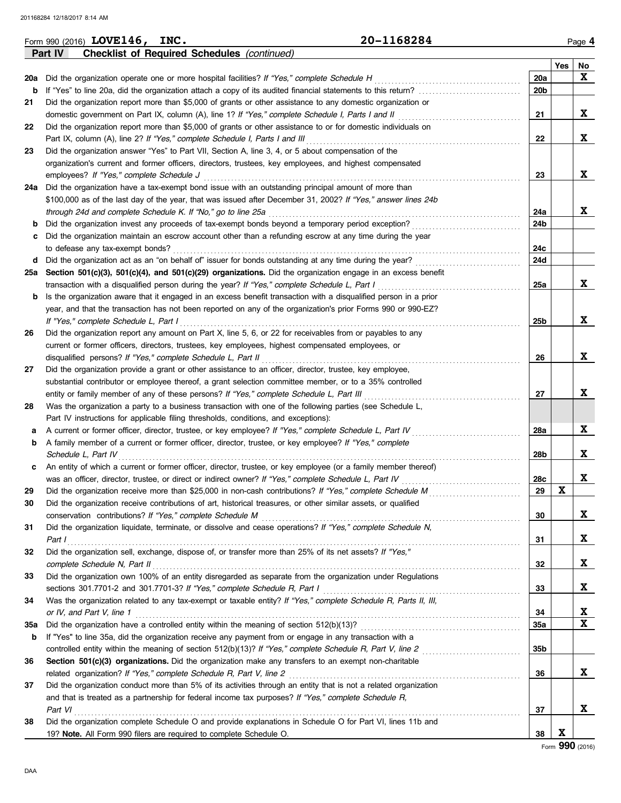|     | Part IV<br><b>Checklist of Required Schedules (continued)</b>                                                         |     |     |                  |
|-----|-----------------------------------------------------------------------------------------------------------------------|-----|-----|------------------|
|     |                                                                                                                       |     | Yes | No               |
| 20a | Did the organization operate one or more hospital facilities? If "Yes," complete Schedule H                           | 20a |     | X                |
| b   | If "Yes" to line 20a, did the organization attach a copy of its audited financial statements to this return?          | 20b |     |                  |
| 21  | Did the organization report more than \$5,000 of grants or other assistance to any domestic organization or           |     |     |                  |
|     | domestic government on Part IX, column (A), line 1? If "Yes," complete Schedule I, Parts I and II                     | 21  |     | X                |
| 22  | Did the organization report more than \$5,000 of grants or other assistance to or for domestic individuals on         |     |     |                  |
|     | Part IX, column (A), line 2? If "Yes," complete Schedule I, Parts I and III                                           | 22  |     | X                |
| 23  | Did the organization answer "Yes" to Part VII, Section A, line 3, 4, or 5 about compensation of the                   |     |     |                  |
|     | organization's current and former officers, directors, trustees, key employees, and highest compensated               |     |     |                  |
|     | employees? If "Yes," complete Schedule J                                                                              | 23  |     | X                |
|     | 24a Did the organization have a tax-exempt bond issue with an outstanding principal amount of more than               |     |     |                  |
|     | \$100,000 as of the last day of the year, that was issued after December 31, 2002? If "Yes," answer lines 24b         |     |     |                  |
|     | through 24d and complete Schedule K. If "No," go to line 25a                                                          | 24a |     | X                |
| b   | Did the organization invest any proceeds of tax-exempt bonds beyond a temporary period exception?                     | 24b |     |                  |
| c   | Did the organization maintain an escrow account other than a refunding escrow at any time during the year             |     |     |                  |
|     | to defease any tax-exempt bonds?                                                                                      | 24c |     |                  |
|     | d Did the organization act as an "on behalf of" issuer for bonds outstanding at any time during the year?             | 24d |     |                  |
|     | 25a Section 501(c)(3), 501(c)(4), and 501(c)(29) organizations. Did the organization engage in an excess benefit      |     |     |                  |
|     | transaction with a disqualified person during the year? If "Yes," complete Schedule L, Part I                         | 25a |     | X                |
| b   | Is the organization aware that it engaged in an excess benefit transaction with a disqualified person in a prior      |     |     |                  |
|     | year, and that the transaction has not been reported on any of the organization's prior Forms 990 or 990-EZ?          |     |     |                  |
|     | If "Yes," complete Schedule L, Part I                                                                                 | 25b |     | X                |
| 26  | Did the organization report any amount on Part X, line 5, 6, or 22 for receivables from or payables to any            |     |     |                  |
|     | current or former officers, directors, trustees, key employees, highest compensated employees, or                     |     |     |                  |
|     | disqualified persons? If "Yes," complete Schedule L, Part II                                                          | 26  |     | X                |
| 27  | Did the organization provide a grant or other assistance to an officer, director, trustee, key employee,              |     |     |                  |
|     | substantial contributor or employee thereof, a grant selection committee member, or to a 35% controlled               |     |     |                  |
|     | entity or family member of any of these persons? If "Yes," complete Schedule L, Part III                              | 27  |     | X                |
| 28  | Was the organization a party to a business transaction with one of the following parties (see Schedule L,             |     |     |                  |
|     | Part IV instructions for applicable filing thresholds, conditions, and exceptions):                                   |     |     |                  |
| а   | A current or former officer, director, trustee, or key employee? If "Yes," complete Schedule L, Part IV               | 28a |     | X                |
| b   | A family member of a current or former officer, director, trustee, or key employee? If "Yes," complete                |     |     |                  |
|     | Schedule L, Part IV                                                                                                   | 28b |     | X                |
| c   | An entity of which a current or former officer, director, trustee, or key employee (or a family member thereof)       |     |     |                  |
|     | was an officer, director, trustee, or direct or indirect owner? If "Yes," complete Schedule L, Part IV                | 28c |     | X                |
| 29  | Did the organization receive more than \$25,000 in non-cash contributions? If "Yes," complete Schedule M              | 29  | X   |                  |
| 30  | Did the organization receive contributions of art, historical treasures, or other similar assets, or qualified        |     |     |                  |
|     | conservation contributions? If "Yes," complete Schedule M                                                             | 30  |     | X                |
| 31  | Did the organization liquidate, terminate, or dissolve and cease operations? If "Yes," complete Schedule N,           |     |     |                  |
|     | Part I                                                                                                                | 31  |     | X                |
| 32  | Did the organization sell, exchange, dispose of, or transfer more than 25% of its net assets? If "Yes,"               |     |     | X                |
|     | complete Schedule N, Part II                                                                                          | 32  |     |                  |
| 33  | Did the organization own 100% of an entity disregarded as separate from the organization under Regulations            |     |     | X                |
|     | sections 301.7701-2 and 301.7701-3? If "Yes," complete Schedule R, Part I                                             | 33  |     |                  |
| 34  | Was the organization related to any tax-exempt or taxable entity? If "Yes," complete Schedule R, Parts II, III,       |     |     |                  |
|     | or IV, and Part V, line 1                                                                                             | 34  |     | X<br>$\mathbf x$ |
| 35a |                                                                                                                       | 35a |     |                  |
| b   | If "Yes" to line 35a, did the organization receive any payment from or engage in any transaction with a               |     |     |                  |
|     | controlled entity within the meaning of section 512(b)(13)? If "Yes," complete Schedule R, Part V, line 2             | 35b |     |                  |
| 36  | Section 501(c)(3) organizations. Did the organization make any transfers to an exempt non-charitable                  |     |     |                  |
|     | related organization? If "Yes," complete Schedule R, Part V, line 2                                                   | 36  |     | X                |
| 37  | Did the organization conduct more than 5% of its activities through an entity that is not a related organization      |     |     |                  |
|     | and that is treated as a partnership for federal income tax purposes? If "Yes," complete Schedule R,                  |     |     | X                |
|     | Part VI<br>Did the organization complete Schedule O and provide explanations in Schedule O for Part VI, lines 11b and | 37  |     |                  |
| 38  |                                                                                                                       |     | X   |                  |
|     | 19? Note. All Form 990 filers are required to complete Schedule O.                                                    | 38  |     |                  |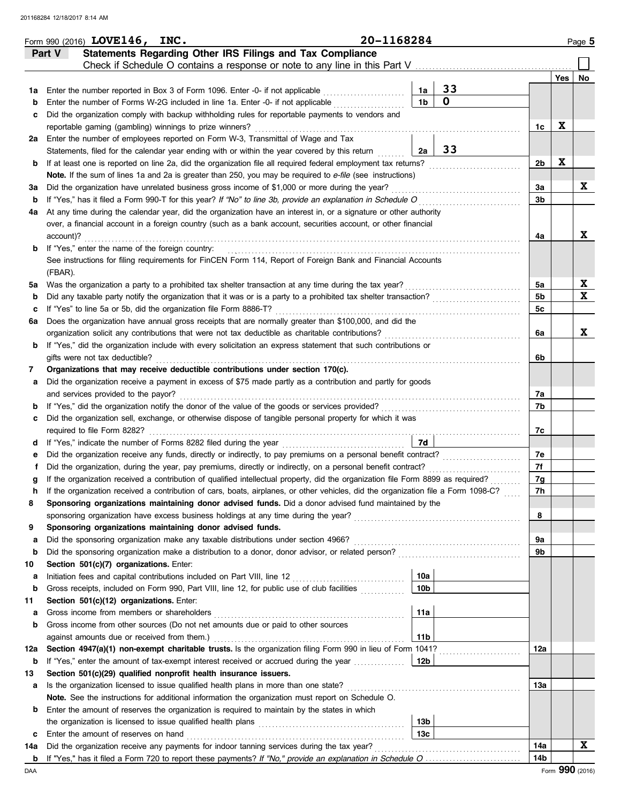|         | Form 990 (2016) LOVE146, INC.                                                                                                      | 20-1168284      |             |           |     | Page 5 |
|---------|------------------------------------------------------------------------------------------------------------------------------------|-----------------|-------------|-----------|-----|--------|
|         | Statements Regarding Other IRS Filings and Tax Compliance<br>Part V                                                                |                 |             |           |     |        |
|         |                                                                                                                                    |                 |             |           |     |        |
|         |                                                                                                                                    |                 |             |           | Yes | No     |
| 1a      | Enter the number reported in Box 3 of Form 1096. Enter -0- if not applicable                                                       | 1a              | 33          |           |     |        |
| b       | Enter the number of Forms W-2G included in line 1a. Enter -0- if not applicable                                                    | 1 <sub>b</sub>  | $\mathbf 0$ |           |     |        |
| c       | Did the organization comply with backup withholding rules for reportable payments to vendors and                                   |                 |             |           |     |        |
|         | reportable gaming (gambling) winnings to prize winners?                                                                            |                 |             | 1c        | X   |        |
| 2a      | Enter the number of employees reported on Form W-3, Transmittal of Wage and Tax                                                    |                 |             |           |     |        |
|         | Statements, filed for the calendar year ending with or within the year covered by this return                                      | 2a              | 33          |           |     |        |
| b       | If at least one is reported on line 2a, did the organization file all required federal employment tax returns?                     |                 |             | 2b        | X   |        |
|         | Note. If the sum of lines 1a and 2a is greater than 250, you may be required to e-file (see instructions)                          |                 |             |           |     |        |
| За      | Did the organization have unrelated business gross income of \$1,000 or more during the year?                                      |                 |             | 3a        |     | X      |
| b       | If "Yes," has it filed a Form 990-T for this year? If "No" to line 3b, provide an explanation in Schedule O                        |                 |             | 3b        |     |        |
| 4a      | At any time during the calendar year, did the organization have an interest in, or a signature or other authority                  |                 |             |           |     |        |
|         | over, a financial account in a foreign country (such as a bank account, securities account, or other financial                     |                 |             |           |     | X      |
| b       | account)?<br>If "Yes," enter the name of the foreign country:                                                                      |                 |             | 4a        |     |        |
|         | See instructions for filing requirements for FinCEN Form 114, Report of Foreign Bank and Financial Accounts                        |                 |             |           |     |        |
|         | (FBAR).                                                                                                                            |                 |             |           |     |        |
| 5а      | Was the organization a party to a prohibited tax shelter transaction at any time during the tax year?                              |                 |             | 5a        |     | X      |
| b       |                                                                                                                                    |                 |             | 5b        |     | X      |
| c       | If "Yes" to line 5a or 5b, did the organization file Form 8886-T?                                                                  |                 |             | <b>5c</b> |     |        |
| ба      | Does the organization have annual gross receipts that are normally greater than \$100,000, and did the                             |                 |             |           |     |        |
|         |                                                                                                                                    |                 |             | 6a        |     | X      |
| b       | If "Yes," did the organization include with every solicitation an express statement that such contributions or                     |                 |             |           |     |        |
|         | gifts were not tax deductible?                                                                                                     |                 |             | 6b        |     |        |
| 7       | Organizations that may receive deductible contributions under section 170(c).                                                      |                 |             |           |     |        |
| а       | Did the organization receive a payment in excess of \$75 made partly as a contribution and partly for goods                        |                 |             |           |     |        |
|         | and services provided to the payor?                                                                                                |                 |             | 7a        |     |        |
| b       |                                                                                                                                    |                 |             | 7b        |     |        |
| c       | Did the organization sell, exchange, or otherwise dispose of tangible personal property for which it was                           |                 |             |           |     |        |
|         | required to file Form 8282?                                                                                                        |                 |             | 7c        |     |        |
| d       |                                                                                                                                    | <b>7d</b>       |             |           |     |        |
| e       | Did the organization receive any funds, directly or indirectly, to pay premiums on a personal benefit contract?                    |                 |             | 7e        |     |        |
|         | Did the organization, during the year, pay premiums, directly or indirectly, on a personal benefit contract?                       |                 |             | 7f        |     |        |
| g       | If the organization received a contribution of qualified intellectual property, did the organization file Form 8899 as required?   |                 |             | 7g        |     |        |
| h       | If the organization received a contribution of cars, boats, airplanes, or other vehicles, did the organization file a Form 1098-C? |                 |             | 7h        |     |        |
| 8       | Sponsoring organizations maintaining donor advised funds. Did a donor advised fund maintained by the                               |                 |             |           |     |        |
|         |                                                                                                                                    |                 |             | 8         |     |        |
| 9       | Sponsoring organizations maintaining donor advised funds.                                                                          |                 |             |           |     |        |
| a       | Did the sponsoring organization make any taxable distributions under section 4966?                                                 |                 |             | 9a<br>9b  |     |        |
| b<br>10 | Section 501(c)(7) organizations. Enter:                                                                                            |                 |             |           |     |        |
| а       | Initiation fees and capital contributions included on Part VIII, line 12 [10] [10] [10] [10] [10] [10] [11] [1                     | 10a             |             |           |     |        |
| b       | Gross receipts, included on Form 990, Part VIII, line 12, for public use of club facilities                                        | 10 <sub>b</sub> |             |           |     |        |
| 11      | Section 501(c)(12) organizations. Enter:                                                                                           |                 |             |           |     |        |
| а       |                                                                                                                                    | 11a             |             |           |     |        |
| b       | Gross income from other sources (Do not net amounts due or paid to other sources                                                   |                 |             |           |     |        |
|         | against amounts due or received from them.)                                                                                        | 11b             |             |           |     |        |
| 12a     | Section 4947(a)(1) non-exempt charitable trusts. Is the organization filing Form 990 in lieu of Form 1041?                         |                 |             | 12a       |     |        |
| b       | If "Yes," enter the amount of tax-exempt interest received or accrued during the year                                              | 12 <sub>b</sub> |             |           |     |        |
| 13      | Section 501(c)(29) qualified nonprofit health insurance issuers.                                                                   |                 |             |           |     |        |
| а       | Is the organization licensed to issue qualified health plans in more than one state?                                               |                 |             | 13a       |     |        |
|         | Note. See the instructions for additional information the organization must report on Schedule O.                                  |                 |             |           |     |        |
| b       | Enter the amount of reserves the organization is required to maintain by the states in which                                       |                 |             |           |     |        |
|         |                                                                                                                                    | 13 <sub>b</sub> |             |           |     |        |
| c       | Enter the amount of reserves on hand                                                                                               | 13c             |             |           |     |        |
| 14a     |                                                                                                                                    |                 |             | 14a       |     | X      |
| b       |                                                                                                                                    |                 |             | 14b       |     |        |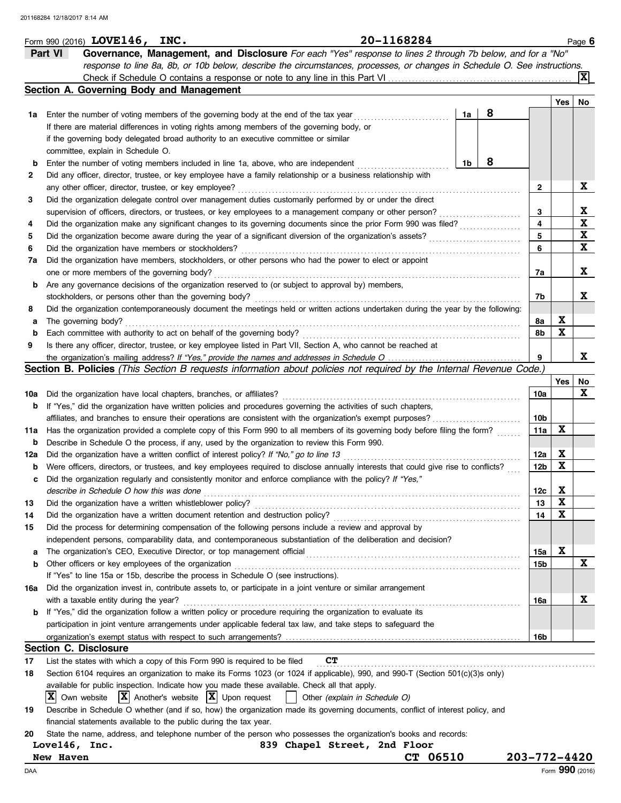|     | 20-1168284<br>Form 990 (2016) LOVE146, INC.                                                                                         |                    |    |   |                 |     | Page 6      |
|-----|-------------------------------------------------------------------------------------------------------------------------------------|--------------------|----|---|-----------------|-----|-------------|
|     | Governance, Management, and Disclosure For each "Yes" response to lines 2 through 7b below, and for a "No"<br>Part VI               |                    |    |   |                 |     |             |
|     | response to line 8a, 8b, or 10b below, describe the circumstances, processes, or changes in Schedule O. See instructions.           |                    |    |   |                 |     |             |
|     |                                                                                                                                     |                    |    |   |                 |     | X           |
|     | Section A. Governing Body and Management                                                                                            |                    |    |   |                 |     |             |
|     |                                                                                                                                     |                    |    |   |                 | Yes | No          |
|     | <b>1a</b> Enter the number of voting members of the governing body at the end of the tax year                                       |                    | 1a | 8 |                 |     |             |
|     | If there are material differences in voting rights among members of the governing body, or                                          |                    |    |   |                 |     |             |
|     | if the governing body delegated broad authority to an executive committee or similar                                                |                    |    |   |                 |     |             |
|     | committee, explain in Schedule O.                                                                                                   |                    |    |   |                 |     |             |
| b   | Enter the number of voting members included in line 1a, above, who are independent                                                  |                    | 1b | 8 |                 |     |             |
| 2   | Did any officer, director, trustee, or key employee have a family relationship or a business relationship with                      |                    |    |   |                 |     |             |
|     | any other officer, director, trustee, or key employee?                                                                              |                    |    |   | 2               |     | X           |
| 3   | Did the organization delegate control over management duties customarily performed by or under the direct                           |                    |    |   |                 |     |             |
|     | supervision of officers, directors, or trustees, or key employees to a management company or other person?                          |                    |    |   | 3               |     | X           |
| 4   |                                                                                                                                     |                    |    |   | 4               |     | $\mathbf x$ |
| 5   | Did the organization become aware during the year of a significant diversion of the organization's assets?                          |                    |    |   | 5               |     | X           |
| 6   | Did the organization have members or stockholders?                                                                                  |                    |    |   | 6               |     | X           |
| 7a  | Did the organization have members, stockholders, or other persons who had the power to elect or appoint                             |                    |    |   |                 |     |             |
|     | one or more members of the governing body?                                                                                          |                    |    |   | 7a              |     | X           |
| b   | Are any governance decisions of the organization reserved to (or subject to approval by) members,                                   |                    |    |   |                 |     |             |
|     | stockholders, or persons other than the governing body?                                                                             |                    |    |   | 7b              |     | x           |
| 8   | Did the organization contemporaneously document the meetings held or written actions undertaken during the year by the following:   |                    |    |   |                 |     |             |
| а   | The governing body?                                                                                                                 |                    |    |   | 8a              | X   |             |
| b   | Each committee with authority to act on behalf of the governing body?                                                               |                    |    |   | 8b              | X   |             |
| 9   | Is there any officer, director, trustee, or key employee listed in Part VII, Section A, who cannot be reached at                    |                    |    |   |                 |     |             |
|     |                                                                                                                                     |                    |    |   | 9               |     | X           |
|     | Section B. Policies (This Section B requests information about policies not required by the Internal Revenue Code.)                 |                    |    |   |                 |     |             |
|     |                                                                                                                                     |                    |    |   |                 | Yes | No          |
| 10a | Did the organization have local chapters, branches, or affiliates?                                                                  |                    |    |   | 10a             |     | X           |
| b   | If "Yes," did the organization have written policies and procedures governing the activities of such chapters,                      |                    |    |   |                 |     |             |
|     | affiliates, and branches to ensure their operations are consistent with the organization's exempt purposes?                         |                    |    |   | 10 <sub>b</sub> |     |             |
| 11a | Has the organization provided a complete copy of this Form 990 to all members of its governing body before filing the form?         |                    |    |   | 11a             | X   |             |
| b   | Describe in Schedule O the process, if any, used by the organization to review this Form 990.                                       |                    |    |   |                 |     |             |
| 12a |                                                                                                                                     |                    |    |   | 12a             | X   |             |
| b   | Were officers, directors, or trustees, and key employees required to disclose annually interests that could give rise to conflicts? |                    |    |   | 12 <sub>b</sub> | X   |             |
| c   | Did the organization regularly and consistently monitor and enforce compliance with the policy? If "Yes,"                           |                    |    |   |                 |     |             |
|     | describe in Schedule O how this was done                                                                                            |                    |    |   | 12c             | л.  |             |
| 13  | Did the organization have a written whistleblower policy?                                                                           |                    |    |   | 13              | X   |             |
| 14  | Did the organization have a written document retention and destruction policy?                                                      |                    |    |   | 14              | X   |             |
| 15  | Did the process for determining compensation of the following persons include a review and approval by                              |                    |    |   |                 |     |             |
|     | independent persons, comparability data, and contemporaneous substantiation of the deliberation and decision?                       |                    |    |   |                 |     |             |
| а   | The organization's CEO, Executive Director, or top management official                                                              |                    |    |   | 15a             | X   |             |
| b   | Other officers or key employees of the organization                                                                                 |                    |    |   | 15b             |     | X           |
|     | If "Yes" to line 15a or 15b, describe the process in Schedule O (see instructions).                                                 |                    |    |   |                 |     |             |
| 16a | Did the organization invest in, contribute assets to, or participate in a joint venture or similar arrangement                      |                    |    |   |                 |     |             |
|     | with a taxable entity during the year?                                                                                              |                    |    |   | 16a             |     | X           |
| b   | If "Yes," did the organization follow a written policy or procedure requiring the organization to evaluate its                      |                    |    |   |                 |     |             |
|     | participation in joint venture arrangements under applicable federal tax law, and take steps to safeguard the                       |                    |    |   |                 |     |             |
|     |                                                                                                                                     |                    |    |   | 16b             |     |             |
|     | <b>Section C. Disclosure</b>                                                                                                        |                    |    |   |                 |     |             |
| 17  | <b>CT</b><br>List the states with which a copy of this Form 990 is required to be filed                                             |                    |    |   |                 |     |             |
| 18  | Section 6104 requires an organization to make its Forms 1023 (or 1024 if applicable), 990, and 990-T (Section 501(c)(3)s only)      |                    |    |   |                 |     |             |
|     | available for public inspection. Indicate how you made these available. Check all that apply.                                       |                    |    |   |                 |     |             |
|     | $ \mathbf{X} $ Another's website $ \mathbf{X} $ Upon request<br> X <br>Own website<br>Other (explain in Schedule O)                 |                    |    |   |                 |     |             |
| 19  | Describe in Schedule O whether (and if so, how) the organization made its governing documents, conflict of interest policy, and     |                    |    |   |                 |     |             |
|     | financial statements available to the public during the tax year.                                                                   |                    |    |   |                 |     |             |
| 20  | State the name, address, and telephone number of the person who possesses the organization's books and records:                     |                    |    |   |                 |     |             |
|     | 839 Chapel Street, 2nd Floor<br>Love146, Inc.                                                                                       |                    |    |   |                 |     |             |
|     | New Haven                                                                                                                           | 06510<br><b>CT</b> |    |   | 203-772-4420    |     |             |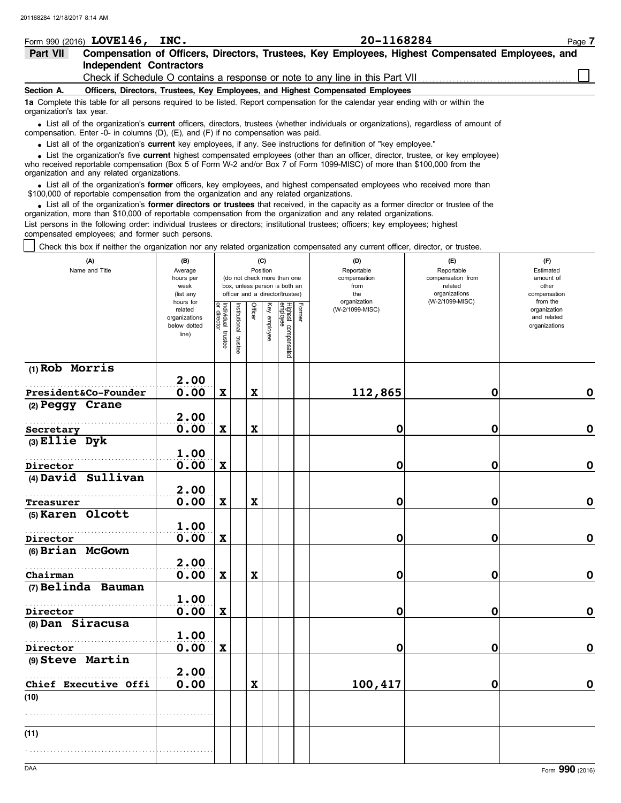|                          | Form 990 (2016) LOVE146, INC.               |                                                                                                                    | 20-1168284                                                                                                                                                                                                                                                  | Page 7 |
|--------------------------|---------------------------------------------|--------------------------------------------------------------------------------------------------------------------|-------------------------------------------------------------------------------------------------------------------------------------------------------------------------------------------------------------------------------------------------------------|--------|
| Part VII                 |                                             |                                                                                                                    | Compensation of Officers, Directors, Trustees, Key Employees, Highest Compensated Employees, and                                                                                                                                                            |        |
|                          | <b>Independent Contractors</b>              |                                                                                                                    |                                                                                                                                                                                                                                                             |        |
|                          |                                             |                                                                                                                    | Check if Schedule O contains a response or note to any line in this Part VII                                                                                                                                                                                |        |
| Section A.               |                                             | Officers, Directors, Trustees, Key Employees, and Highest Compensated Employees                                    |                                                                                                                                                                                                                                                             |        |
| organization's tax year. |                                             |                                                                                                                    | 1a Complete this table for all persons required to be listed. Report compensation for the calendar year ending with or within the                                                                                                                           |        |
|                          |                                             | compensation. Enter -0- in columns $(D)$ , $(E)$ , and $(F)$ if no compensation was paid.                          | • List all of the organization's current officers, directors, trustees (whether individuals or organizations), regardless of amount of                                                                                                                      |        |
|                          |                                             | • List all of the organization's current key employees, if any. See instructions for definition of "key employee." |                                                                                                                                                                                                                                                             |        |
|                          | organization and any related organizations. |                                                                                                                    | • List the organization's five current highest compensated employees (other than an officer, director, trustee, or key employee)<br>who received reportable compensation (Box 5 of Form W-2 and/or Box 7 of Form 1099-MISC) of more than \$100,000 from the |        |
|                          |                                             | \$100,000 of reportable compensation from the organization and any related organizations.                          | • List all of the organization's former officers, key employees, and highest compensated employees who received more than                                                                                                                                   |        |

List all of the organization's **former directors or trustees** that received, in the capacity as a former director or trustee of the • List all of the organization's former directors or trustees that received, in the capacity as a former director organization, more than \$10,000 of reportable compensation from the organization and any related organizatio List persons in the following order: individual trustees or directors; institutional trustees; officers; key employees; highest

compensated employees; and former such persons.

Check this box if neither the organization nor any related organization compensated any current officer, director, or trustee.

| (A)<br>Name and Title | (B)<br>Average<br>hours per<br>week<br>(list any<br>hours for |                                      |                       |                           | (C)<br>Position | (do not check more than one<br>box, unless person is both an<br>officer and a director/trustee) | (D)<br>Reportable<br>compensation<br>from<br>the<br>organization | (E)<br>Reportable<br>compensation from<br>related<br>organizations<br>(W-2/1099-MISC) | (F)<br>Estimated<br>amount of<br>other<br>compensation<br>from the |
|-----------------------|---------------------------------------------------------------|--------------------------------------|-----------------------|---------------------------|-----------------|-------------------------------------------------------------------------------------------------|------------------------------------------------------------------|---------------------------------------------------------------------------------------|--------------------------------------------------------------------|
|                       | related<br>organizations<br>below dotted<br>line)             | Individual<br>or director<br>trustee | Institutional trustee | Officer                   | Key employee    | Highest compensated<br>employee<br>Former                                                       | (W-2/1099-MISC)                                                  |                                                                                       | organization<br>and related<br>organizations                       |
| $(1)$ Rob Morris      | 2.00                                                          |                                      |                       |                           |                 |                                                                                                 |                                                                  |                                                                                       |                                                                    |
| President&Co-Founder  | 0.00                                                          | $\mathbf x$                          |                       | $\mathbf x$               |                 |                                                                                                 | 112,865                                                          | $\mathbf 0$                                                                           | $\mathbf 0$                                                        |
| (2) Peggy Crane       | 2.00                                                          |                                      |                       |                           |                 |                                                                                                 |                                                                  |                                                                                       |                                                                    |
| Secretary             | 0.00                                                          | $\mathbf x$                          |                       | $\mathbf x$               |                 |                                                                                                 | 0                                                                | $\mathbf 0$                                                                           | $\mathbf 0$                                                        |
| $(3)$ Ellie Dyk       | 1.00                                                          |                                      |                       |                           |                 |                                                                                                 |                                                                  |                                                                                       |                                                                    |
| Director              | 0.00                                                          | $\mathbf x$                          |                       |                           |                 |                                                                                                 | 0                                                                | $\mathbf 0$                                                                           | $\mathbf 0$                                                        |
| (4) David Sullivan    |                                                               |                                      |                       |                           |                 |                                                                                                 |                                                                  |                                                                                       |                                                                    |
|                       | 2.00                                                          |                                      |                       |                           |                 |                                                                                                 |                                                                  |                                                                                       |                                                                    |
| Treasurer             | 0.00                                                          | $\mathbf x$                          |                       | $\mathbf x$               |                 |                                                                                                 | 0                                                                | $\mathbf 0$                                                                           | $\mathbf 0$                                                        |
| (5) Karen Olcott      | 1.00                                                          |                                      |                       |                           |                 |                                                                                                 |                                                                  |                                                                                       |                                                                    |
| Director              | 0.00                                                          | $\mathbf x$                          |                       |                           |                 |                                                                                                 | 0                                                                | $\mathbf 0$                                                                           | $\mathbf 0$                                                        |
| (6) Brian McGown      | 2.00                                                          |                                      |                       |                           |                 |                                                                                                 |                                                                  |                                                                                       |                                                                    |
| Chairman              | 0.00                                                          | $\mathbf x$                          |                       | $\mathbf x$               |                 |                                                                                                 | 0                                                                | $\boldsymbol{0}$                                                                      | $\mathbf 0$                                                        |
| (7) Belinda Bauman    | 1.00                                                          |                                      |                       |                           |                 |                                                                                                 |                                                                  |                                                                                       |                                                                    |
| Director              | 0.00                                                          | $\mathbf x$                          |                       |                           |                 |                                                                                                 | 0                                                                | $\mathbf 0$                                                                           | $\mathbf 0$                                                        |
| (8) Dan Siracusa      | 1.00                                                          |                                      |                       |                           |                 |                                                                                                 |                                                                  |                                                                                       |                                                                    |
| Director              | 0.00                                                          | $\mathbf x$                          |                       |                           |                 |                                                                                                 | 0                                                                | $\mathbf 0$                                                                           | $\mathbf 0$                                                        |
| (9) Steve Martin      | 2.00                                                          |                                      |                       |                           |                 |                                                                                                 |                                                                  |                                                                                       |                                                                    |
| Chief Executive Offi  | 0.00                                                          |                                      |                       | $\boldsymbol{\mathrm{X}}$ |                 |                                                                                                 | 100,417                                                          | $\mathbf 0$                                                                           | $\mathbf 0$                                                        |
| (10)                  |                                                               |                                      |                       |                           |                 |                                                                                                 |                                                                  |                                                                                       |                                                                    |
|                       |                                                               |                                      |                       |                           |                 |                                                                                                 |                                                                  |                                                                                       |                                                                    |
| (11)                  |                                                               |                                      |                       |                           |                 |                                                                                                 |                                                                  |                                                                                       |                                                                    |
|                       |                                                               |                                      |                       |                           |                 |                                                                                                 |                                                                  |                                                                                       |                                                                    |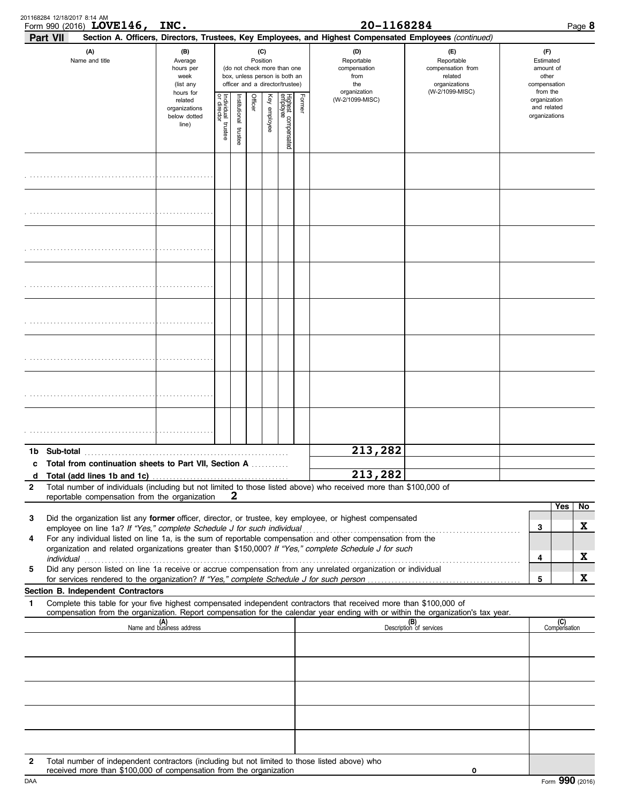| (A)<br>(B)<br>(C)<br>(D)<br>(F)<br>$(\mathsf{F})$<br>Position<br>Reportable<br>Reportable<br>Name and title<br>Average<br>Estimated<br>(do not check more than one<br>compensation from<br>hours per<br>compensation<br>amount of<br>box, unless person is both an<br>from<br>related<br>other<br>week<br>officer and a director/trustee)<br>the<br>organizations<br>compensation<br>(list any<br>(W-2/1099-MISC)<br>organization<br>from the<br>hours for<br>Individual<br>or director<br>Highest compensated<br>employee<br>Institutional trustee<br>Officer<br>Key employee<br>Former<br>(W-2/1099-MISC)<br>related<br>organization<br>and related<br>organizations<br>organizations<br>below dotted<br>trustee<br>line)<br>213,282<br>Total from continuation sheets to Part VII, Section A<br>$\overline{213,282}$<br>d<br>Total number of individuals (including but not limited to those listed above) who received more than \$100,000 of<br>$\mathbf{2}$<br>reportable compensation from the organization<br>$\mathbf{z}$<br>Yes<br>Did the organization list any former officer, director, or trustee, key employee, or highest compensated<br>3<br>3<br>For any individual listed on line 1a, is the sum of reportable compensation and other compensation from the<br>4<br>organization and related organizations greater than \$150,000? If "Yes," complete Schedule J for such<br>4<br>Did any person listed on line 1a receive or accrue compensation from any unrelated organization or individual<br>5<br>5<br>Section B. Independent Contractors<br>Complete this table for your five highest compensated independent contractors that received more than \$100,000 of<br>1.<br>compensation from the organization. Report compensation for the calendar year ending with or within the organization's tax year.<br>(B)<br>Description of services<br>(C)<br>Compensation<br>(A)<br>Name and business address<br>Total number of independent contractors (including but not limited to those listed above) who<br>2<br>received more than \$100,000 of compensation from the organization<br>0 | <b>Part VII</b> | Form 990 (2016) LOVE146, | INC. |  |  |  |  |  | 20-1168284<br>Section A. Officers, Directors, Trustees, Key Employees, and Highest Compensated Employees (continued) | Page 8          |
|------------------------------------------------------------------------------------------------------------------------------------------------------------------------------------------------------------------------------------------------------------------------------------------------------------------------------------------------------------------------------------------------------------------------------------------------------------------------------------------------------------------------------------------------------------------------------------------------------------------------------------------------------------------------------------------------------------------------------------------------------------------------------------------------------------------------------------------------------------------------------------------------------------------------------------------------------------------------------------------------------------------------------------------------------------------------------------------------------------------------------------------------------------------------------------------------------------------------------------------------------------------------------------------------------------------------------------------------------------------------------------------------------------------------------------------------------------------------------------------------------------------------------------------------------------------------------------------------------------------------------------------------------------------------------------------------------------------------------------------------------------------------------------------------------------------------------------------------------------------------------------------------------------------------------------------------------------------------------------------------------------------------------------------------------------------------------------------------------------------|-----------------|--------------------------|------|--|--|--|--|--|----------------------------------------------------------------------------------------------------------------------|-----------------|
|                                                                                                                                                                                                                                                                                                                                                                                                                                                                                                                                                                                                                                                                                                                                                                                                                                                                                                                                                                                                                                                                                                                                                                                                                                                                                                                                                                                                                                                                                                                                                                                                                                                                                                                                                                                                                                                                                                                                                                                                                                                                                                                  |                 |                          |      |  |  |  |  |  |                                                                                                                      |                 |
|                                                                                                                                                                                                                                                                                                                                                                                                                                                                                                                                                                                                                                                                                                                                                                                                                                                                                                                                                                                                                                                                                                                                                                                                                                                                                                                                                                                                                                                                                                                                                                                                                                                                                                                                                                                                                                                                                                                                                                                                                                                                                                                  |                 |                          |      |  |  |  |  |  |                                                                                                                      |                 |
|                                                                                                                                                                                                                                                                                                                                                                                                                                                                                                                                                                                                                                                                                                                                                                                                                                                                                                                                                                                                                                                                                                                                                                                                                                                                                                                                                                                                                                                                                                                                                                                                                                                                                                                                                                                                                                                                                                                                                                                                                                                                                                                  |                 |                          |      |  |  |  |  |  |                                                                                                                      |                 |
|                                                                                                                                                                                                                                                                                                                                                                                                                                                                                                                                                                                                                                                                                                                                                                                                                                                                                                                                                                                                                                                                                                                                                                                                                                                                                                                                                                                                                                                                                                                                                                                                                                                                                                                                                                                                                                                                                                                                                                                                                                                                                                                  |                 |                          |      |  |  |  |  |  |                                                                                                                      |                 |
|                                                                                                                                                                                                                                                                                                                                                                                                                                                                                                                                                                                                                                                                                                                                                                                                                                                                                                                                                                                                                                                                                                                                                                                                                                                                                                                                                                                                                                                                                                                                                                                                                                                                                                                                                                                                                                                                                                                                                                                                                                                                                                                  |                 |                          |      |  |  |  |  |  |                                                                                                                      |                 |
|                                                                                                                                                                                                                                                                                                                                                                                                                                                                                                                                                                                                                                                                                                                                                                                                                                                                                                                                                                                                                                                                                                                                                                                                                                                                                                                                                                                                                                                                                                                                                                                                                                                                                                                                                                                                                                                                                                                                                                                                                                                                                                                  |                 |                          |      |  |  |  |  |  |                                                                                                                      |                 |
|                                                                                                                                                                                                                                                                                                                                                                                                                                                                                                                                                                                                                                                                                                                                                                                                                                                                                                                                                                                                                                                                                                                                                                                                                                                                                                                                                                                                                                                                                                                                                                                                                                                                                                                                                                                                                                                                                                                                                                                                                                                                                                                  |                 |                          |      |  |  |  |  |  |                                                                                                                      |                 |
|                                                                                                                                                                                                                                                                                                                                                                                                                                                                                                                                                                                                                                                                                                                                                                                                                                                                                                                                                                                                                                                                                                                                                                                                                                                                                                                                                                                                                                                                                                                                                                                                                                                                                                                                                                                                                                                                                                                                                                                                                                                                                                                  |                 |                          |      |  |  |  |  |  |                                                                                                                      |                 |
|                                                                                                                                                                                                                                                                                                                                                                                                                                                                                                                                                                                                                                                                                                                                                                                                                                                                                                                                                                                                                                                                                                                                                                                                                                                                                                                                                                                                                                                                                                                                                                                                                                                                                                                                                                                                                                                                                                                                                                                                                                                                                                                  |                 |                          |      |  |  |  |  |  |                                                                                                                      |                 |
|                                                                                                                                                                                                                                                                                                                                                                                                                                                                                                                                                                                                                                                                                                                                                                                                                                                                                                                                                                                                                                                                                                                                                                                                                                                                                                                                                                                                                                                                                                                                                                                                                                                                                                                                                                                                                                                                                                                                                                                                                                                                                                                  |                 |                          |      |  |  |  |  |  |                                                                                                                      |                 |
|                                                                                                                                                                                                                                                                                                                                                                                                                                                                                                                                                                                                                                                                                                                                                                                                                                                                                                                                                                                                                                                                                                                                                                                                                                                                                                                                                                                                                                                                                                                                                                                                                                                                                                                                                                                                                                                                                                                                                                                                                                                                                                                  |                 |                          |      |  |  |  |  |  |                                                                                                                      |                 |
|                                                                                                                                                                                                                                                                                                                                                                                                                                                                                                                                                                                                                                                                                                                                                                                                                                                                                                                                                                                                                                                                                                                                                                                                                                                                                                                                                                                                                                                                                                                                                                                                                                                                                                                                                                                                                                                                                                                                                                                                                                                                                                                  |                 |                          |      |  |  |  |  |  |                                                                                                                      |                 |
|                                                                                                                                                                                                                                                                                                                                                                                                                                                                                                                                                                                                                                                                                                                                                                                                                                                                                                                                                                                                                                                                                                                                                                                                                                                                                                                                                                                                                                                                                                                                                                                                                                                                                                                                                                                                                                                                                                                                                                                                                                                                                                                  |                 |                          |      |  |  |  |  |  |                                                                                                                      |                 |
|                                                                                                                                                                                                                                                                                                                                                                                                                                                                                                                                                                                                                                                                                                                                                                                                                                                                                                                                                                                                                                                                                                                                                                                                                                                                                                                                                                                                                                                                                                                                                                                                                                                                                                                                                                                                                                                                                                                                                                                                                                                                                                                  |                 |                          |      |  |  |  |  |  |                                                                                                                      | No<br>X<br>X    |
|                                                                                                                                                                                                                                                                                                                                                                                                                                                                                                                                                                                                                                                                                                                                                                                                                                                                                                                                                                                                                                                                                                                                                                                                                                                                                                                                                                                                                                                                                                                                                                                                                                                                                                                                                                                                                                                                                                                                                                                                                                                                                                                  |                 |                          |      |  |  |  |  |  |                                                                                                                      | X               |
|                                                                                                                                                                                                                                                                                                                                                                                                                                                                                                                                                                                                                                                                                                                                                                                                                                                                                                                                                                                                                                                                                                                                                                                                                                                                                                                                                                                                                                                                                                                                                                                                                                                                                                                                                                                                                                                                                                                                                                                                                                                                                                                  |                 |                          |      |  |  |  |  |  |                                                                                                                      |                 |
|                                                                                                                                                                                                                                                                                                                                                                                                                                                                                                                                                                                                                                                                                                                                                                                                                                                                                                                                                                                                                                                                                                                                                                                                                                                                                                                                                                                                                                                                                                                                                                                                                                                                                                                                                                                                                                                                                                                                                                                                                                                                                                                  |                 |                          |      |  |  |  |  |  |                                                                                                                      |                 |
|                                                                                                                                                                                                                                                                                                                                                                                                                                                                                                                                                                                                                                                                                                                                                                                                                                                                                                                                                                                                                                                                                                                                                                                                                                                                                                                                                                                                                                                                                                                                                                                                                                                                                                                                                                                                                                                                                                                                                                                                                                                                                                                  |                 |                          |      |  |  |  |  |  |                                                                                                                      |                 |
|                                                                                                                                                                                                                                                                                                                                                                                                                                                                                                                                                                                                                                                                                                                                                                                                                                                                                                                                                                                                                                                                                                                                                                                                                                                                                                                                                                                                                                                                                                                                                                                                                                                                                                                                                                                                                                                                                                                                                                                                                                                                                                                  |                 |                          |      |  |  |  |  |  |                                                                                                                      |                 |
|                                                                                                                                                                                                                                                                                                                                                                                                                                                                                                                                                                                                                                                                                                                                                                                                                                                                                                                                                                                                                                                                                                                                                                                                                                                                                                                                                                                                                                                                                                                                                                                                                                                                                                                                                                                                                                                                                                                                                                                                                                                                                                                  |                 |                          |      |  |  |  |  |  |                                                                                                                      |                 |
|                                                                                                                                                                                                                                                                                                                                                                                                                                                                                                                                                                                                                                                                                                                                                                                                                                                                                                                                                                                                                                                                                                                                                                                                                                                                                                                                                                                                                                                                                                                                                                                                                                                                                                                                                                                                                                                                                                                                                                                                                                                                                                                  |                 |                          |      |  |  |  |  |  |                                                                                                                      | Form 990 (2016) |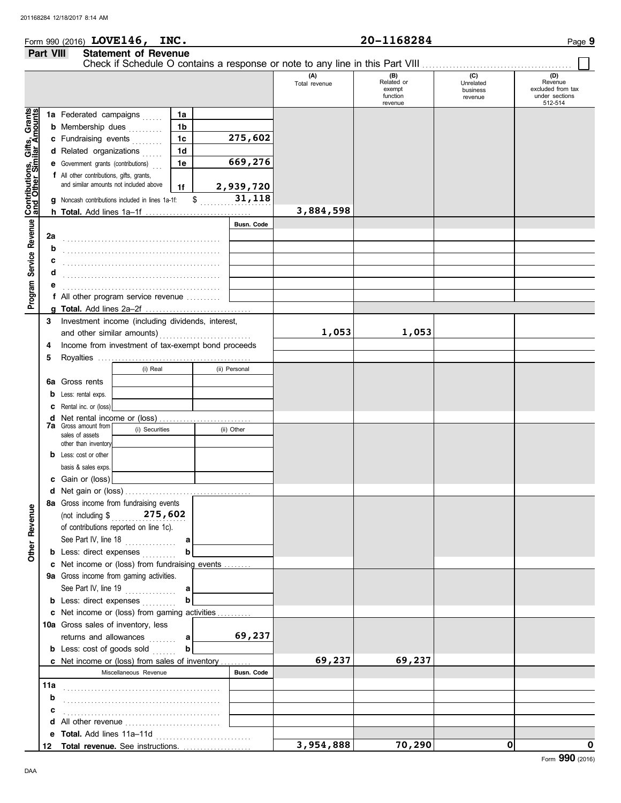## Form 990 (2016) Page **9 LOVE146, INC. 20-1168284**

|                                                                                                           | Part VIII         | <b>Statement of Revenue</b>                                                                                                                                                                                                                                                                                                                         |                                 |                      |                                                      |                                         |                                                                  |
|-----------------------------------------------------------------------------------------------------------|-------------------|-----------------------------------------------------------------------------------------------------------------------------------------------------------------------------------------------------------------------------------------------------------------------------------------------------------------------------------------------------|---------------------------------|----------------------|------------------------------------------------------|-----------------------------------------|------------------------------------------------------------------|
|                                                                                                           |                   |                                                                                                                                                                                                                                                                                                                                                     |                                 | (A)<br>Total revenue | $(B)$<br>Related or<br>exempt<br>function<br>revenue | (C)<br>Unrelated<br>business<br>revenue | (D)<br>Revenue<br>excluded from tax<br>under sections<br>512-514 |
| Program Service Revenue Contributions, Gifts, Grants<br>Program Service Revenue and Other Similar Amounts |                   | 1a Federated campaigns<br>1a<br><b>b</b> Membership dues<br>1b<br>c Fundraising events<br>1 <sub>c</sub><br>d Related organizations<br>1d<br>1e<br>e Government grants (contributions)<br>f All other contributions, gifts, grants,<br>and similar amounts not included above<br>1f<br>\$31,118<br>g Noncash contributions included in lines 1a-1f: | 275,602<br>669,276<br>2,939,720 |                      |                                                      |                                         |                                                                  |
|                                                                                                           |                   |                                                                                                                                                                                                                                                                                                                                                     |                                 | 3,884,598            |                                                      |                                         |                                                                  |
|                                                                                                           |                   |                                                                                                                                                                                                                                                                                                                                                     | Busn. Code                      |                      |                                                      |                                         |                                                                  |
|                                                                                                           | 2a<br>b<br>с<br>d |                                                                                                                                                                                                                                                                                                                                                     |                                 |                      |                                                      |                                         |                                                                  |
|                                                                                                           | е                 |                                                                                                                                                                                                                                                                                                                                                     |                                 |                      |                                                      |                                         |                                                                  |
|                                                                                                           |                   | f All other program service revenue                                                                                                                                                                                                                                                                                                                 |                                 |                      |                                                      |                                         |                                                                  |
|                                                                                                           | 3<br>4            | Investment income (including dividends, interest,<br>Income from investment of tax-exempt bond proceeds                                                                                                                                                                                                                                             |                                 | 1,053                | 1,053                                                |                                         |                                                                  |
|                                                                                                           | 5                 |                                                                                                                                                                                                                                                                                                                                                     |                                 |                      |                                                      |                                         |                                                                  |
|                                                                                                           |                   | (i) Real<br>(ii) Personal                                                                                                                                                                                                                                                                                                                           |                                 |                      |                                                      |                                         |                                                                  |
|                                                                                                           |                   | 6a Gross rents<br>Less: rental exps.<br>C Rental inc. or (loss)                                                                                                                                                                                                                                                                                     |                                 |                      |                                                      |                                         |                                                                  |
|                                                                                                           |                   | 7a Gross amount from                                                                                                                                                                                                                                                                                                                                |                                 |                      |                                                      |                                         |                                                                  |
|                                                                                                           |                   | (i) Securities<br>(ii) Other<br>sales of assets<br>other than inventory<br><b>b</b> Less: cost or other                                                                                                                                                                                                                                             |                                 |                      |                                                      |                                         |                                                                  |
|                                                                                                           |                   | basis & sales exps.<br>c Gain or (loss)                                                                                                                                                                                                                                                                                                             |                                 |                      |                                                      |                                         |                                                                  |
|                                                                                                           |                   |                                                                                                                                                                                                                                                                                                                                                     |                                 |                      |                                                      |                                         |                                                                  |
| <b>Other Revenue</b>                                                                                      |                   | 8a Gross income from fundraising events<br>(not including $$$ 275,602<br>of contributions reported on line 1c).<br>See Part IV, line 18<br>a                                                                                                                                                                                                        |                                 |                      |                                                      |                                         |                                                                  |
|                                                                                                           |                   | b<br><b>b</b> Less: direct expenses                                                                                                                                                                                                                                                                                                                 |                                 |                      |                                                      |                                         |                                                                  |
|                                                                                                           |                   | c Net income or (loss) from fundraising events                                                                                                                                                                                                                                                                                                      |                                 |                      |                                                      |                                         |                                                                  |
|                                                                                                           |                   | 9a Gross income from gaming activities.                                                                                                                                                                                                                                                                                                             |                                 |                      |                                                      |                                         |                                                                  |
|                                                                                                           |                   | See Part IV, line 19<br>a<br>b<br><b>b</b> Less: direct expenses                                                                                                                                                                                                                                                                                    |                                 |                      |                                                      |                                         |                                                                  |
|                                                                                                           |                   | c Net income or (loss) from gaming activities                                                                                                                                                                                                                                                                                                       |                                 |                      |                                                      |                                         |                                                                  |
|                                                                                                           |                   | 10a Gross sales of inventory, less<br>returns and allowances<br>a                                                                                                                                                                                                                                                                                   | 69,237                          |                      |                                                      |                                         |                                                                  |
|                                                                                                           |                   | <b>b</b> Less: cost of goods sold<br>b                                                                                                                                                                                                                                                                                                              |                                 | 69,237               | 69,237                                               |                                         |                                                                  |
|                                                                                                           |                   | c Net income or (loss) from sales of inventory<br>Miscellaneous Revenue                                                                                                                                                                                                                                                                             | <b>Busn. Code</b>               |                      |                                                      |                                         |                                                                  |
|                                                                                                           | 11a               |                                                                                                                                                                                                                                                                                                                                                     |                                 |                      |                                                      |                                         |                                                                  |
|                                                                                                           | b                 |                                                                                                                                                                                                                                                                                                                                                     |                                 |                      |                                                      |                                         |                                                                  |
|                                                                                                           | с                 |                                                                                                                                                                                                                                                                                                                                                     |                                 |                      |                                                      |                                         |                                                                  |
|                                                                                                           |                   | d All other revenue                                                                                                                                                                                                                                                                                                                                 |                                 |                      |                                                      |                                         |                                                                  |
|                                                                                                           |                   |                                                                                                                                                                                                                                                                                                                                                     |                                 |                      |                                                      |                                         |                                                                  |
|                                                                                                           | 12.               | Total revenue. See instructions.                                                                                                                                                                                                                                                                                                                    |                                 | 3,954,888            | 70,290                                               | 0                                       | 0                                                                |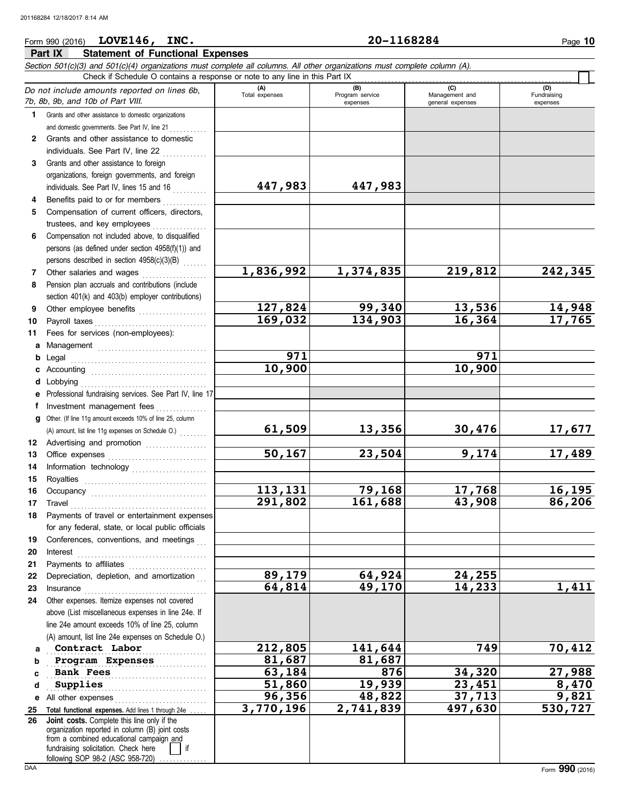## **Part IX Statement of Functional Expenses** Form 990 (2016) Page **10 LOVE146, INC. 20-1168284**

|              | Section 501(c)(3) and 501(c)(4) organizations must complete all columns. All other organizations must complete column (A).<br>Check if Schedule O contains a response or note to any line in this Part IX |                |                             |                                    |                         |  |  |  |  |
|--------------|-----------------------------------------------------------------------------------------------------------------------------------------------------------------------------------------------------------|----------------|-----------------------------|------------------------------------|-------------------------|--|--|--|--|
|              | Do not include amounts reported on lines 6b,                                                                                                                                                              | (A)            | (B)                         | (C)                                | (D)                     |  |  |  |  |
|              | 7b, 8b, 9b, and 10b of Part VIII.                                                                                                                                                                         | Total expenses | Program service<br>expenses | Management and<br>general expenses | Fundraising<br>expenses |  |  |  |  |
| $\mathbf{1}$ | Grants and other assistance to domestic organizations                                                                                                                                                     |                |                             |                                    |                         |  |  |  |  |
|              | and domestic governments. See Part IV, line 21                                                                                                                                                            |                |                             |                                    |                         |  |  |  |  |
| 2            | Grants and other assistance to domestic                                                                                                                                                                   |                |                             |                                    |                         |  |  |  |  |
|              | individuals. See Part IV, line 22                                                                                                                                                                         |                |                             |                                    |                         |  |  |  |  |
| 3            | Grants and other assistance to foreign                                                                                                                                                                    |                |                             |                                    |                         |  |  |  |  |
|              | organizations, foreign governments, and foreign                                                                                                                                                           |                |                             |                                    |                         |  |  |  |  |
|              | individuals. See Part IV, lines 15 and 16                                                                                                                                                                 | 447,983        | 447,983                     |                                    |                         |  |  |  |  |
| 4            | Benefits paid to or for members                                                                                                                                                                           |                |                             |                                    |                         |  |  |  |  |
| 5            | Compensation of current officers, directors,                                                                                                                                                              |                |                             |                                    |                         |  |  |  |  |
|              | trustees, and key employees                                                                                                                                                                               |                |                             |                                    |                         |  |  |  |  |
| 6            | Compensation not included above, to disqualified                                                                                                                                                          |                |                             |                                    |                         |  |  |  |  |
|              | persons (as defined under section $4958(f)(1)$ ) and                                                                                                                                                      |                |                             |                                    |                         |  |  |  |  |
|              | persons described in section 4958(c)(3)(B)                                                                                                                                                                |                |                             |                                    |                         |  |  |  |  |
| 7            | Other salaries and wages                                                                                                                                                                                  | 1,836,992      | 1,374,835                   | 219,812                            | 242,345                 |  |  |  |  |
| 8            | Pension plan accruals and contributions (include                                                                                                                                                          |                |                             |                                    |                         |  |  |  |  |
|              | section 401(k) and 403(b) employer contributions)                                                                                                                                                         |                |                             |                                    |                         |  |  |  |  |
| 9            | Other employee benefits                                                                                                                                                                                   | 127,824        | 99,340                      | 13,536                             | $\frac{14,948}{17,765}$ |  |  |  |  |
| 10           |                                                                                                                                                                                                           | 169,032        | 134,903                     | 16,364                             |                         |  |  |  |  |
| 11           | Fees for services (non-employees):                                                                                                                                                                        |                |                             |                                    |                         |  |  |  |  |
| a            |                                                                                                                                                                                                           |                |                             |                                    |                         |  |  |  |  |
| b            |                                                                                                                                                                                                           | 971            |                             | 971                                |                         |  |  |  |  |
| c            | Accounting <b>contained contained contained contained </b>                                                                                                                                                | 10,900         |                             | 10,900                             |                         |  |  |  |  |
| d            |                                                                                                                                                                                                           |                |                             |                                    |                         |  |  |  |  |
|              | Professional fundraising services. See Part IV, line 17                                                                                                                                                   |                |                             |                                    |                         |  |  |  |  |
| f.           | Investment management fees                                                                                                                                                                                |                |                             |                                    |                         |  |  |  |  |
| a            | Other. (If line 11g amount exceeds 10% of line 25, column                                                                                                                                                 |                |                             |                                    |                         |  |  |  |  |
|              |                                                                                                                                                                                                           | 61,509         | 13,356                      | 30,476                             | <u>17,677</u>           |  |  |  |  |
| 12           |                                                                                                                                                                                                           |                |                             |                                    |                         |  |  |  |  |
| 13           |                                                                                                                                                                                                           | 50,167         | 23,504                      | 9,174                              | 17,489                  |  |  |  |  |
| 14           | Information technology                                                                                                                                                                                    |                |                             |                                    |                         |  |  |  |  |
| 15           | Royalties                                                                                                                                                                                                 |                |                             |                                    |                         |  |  |  |  |
| 16           |                                                                                                                                                                                                           | 113,131        | 79,168                      | 17,768                             | 16,195                  |  |  |  |  |
| 17           | Travel <b>Executive Strategier Prayer</b>                                                                                                                                                                 | 291,802        | 161,688                     | 43,908                             | 86,206                  |  |  |  |  |
| 18           | Payments of travel or entertainment expenses                                                                                                                                                              |                |                             |                                    |                         |  |  |  |  |
|              | for any federal, state, or local public officials                                                                                                                                                         |                |                             |                                    |                         |  |  |  |  |
| 19           | Conferences, conventions, and meetings                                                                                                                                                                    |                |                             |                                    |                         |  |  |  |  |
| 20           | Interest                                                                                                                                                                                                  |                |                             |                                    |                         |  |  |  |  |
| 21           | Payments to affiliates                                                                                                                                                                                    |                |                             |                                    |                         |  |  |  |  |
| 22           | Depreciation, depletion, and amortization                                                                                                                                                                 | 89,179         | 64,924                      | 24,255                             |                         |  |  |  |  |
| 23           | Insurance                                                                                                                                                                                                 | 64,814         | 49,170                      | 14,233                             | 1,411                   |  |  |  |  |
| 24           | Other expenses. Itemize expenses not covered                                                                                                                                                              |                |                             |                                    |                         |  |  |  |  |
|              | above (List miscellaneous expenses in line 24e. If                                                                                                                                                        |                |                             |                                    |                         |  |  |  |  |
|              | line 24e amount exceeds 10% of line 25, column                                                                                                                                                            |                |                             |                                    |                         |  |  |  |  |
|              | (A) amount, list line 24e expenses on Schedule O.)                                                                                                                                                        |                |                             |                                    |                         |  |  |  |  |
| a            | Contract Labor                                                                                                                                                                                            | 212,805        | 141,644                     | 749                                | 70,412                  |  |  |  |  |
| b            | Program Expenses                                                                                                                                                                                          | 81,687         | 81,687                      |                                    |                         |  |  |  |  |
| c            | <b>Bank Fees</b>                                                                                                                                                                                          | 63,184         | 876                         | 34,320                             | 27,988                  |  |  |  |  |
| d            | Supplies                                                                                                                                                                                                  | 51,860         | 19,939                      | 23,451                             | 8,470                   |  |  |  |  |
|              | e All other expenses                                                                                                                                                                                      | 96,356         | 48,822                      | 37,713                             | 9,821                   |  |  |  |  |
| 25           | Total functional expenses. Add lines 1 through 24e                                                                                                                                                        | 3,770,196      | 2,741,839                   | 497,630                            | 530,727                 |  |  |  |  |
| 26           | Joint costs. Complete this line only if the<br>organization reported in column (B) joint costs                                                                                                            |                |                             |                                    |                         |  |  |  |  |
|              | from a combined educational campaign and                                                                                                                                                                  |                |                             |                                    |                         |  |  |  |  |
|              | fundraising solicitation. Check here<br>if                                                                                                                                                                |                |                             |                                    |                         |  |  |  |  |

following SOP 98-2 (ASC 958-720) ...............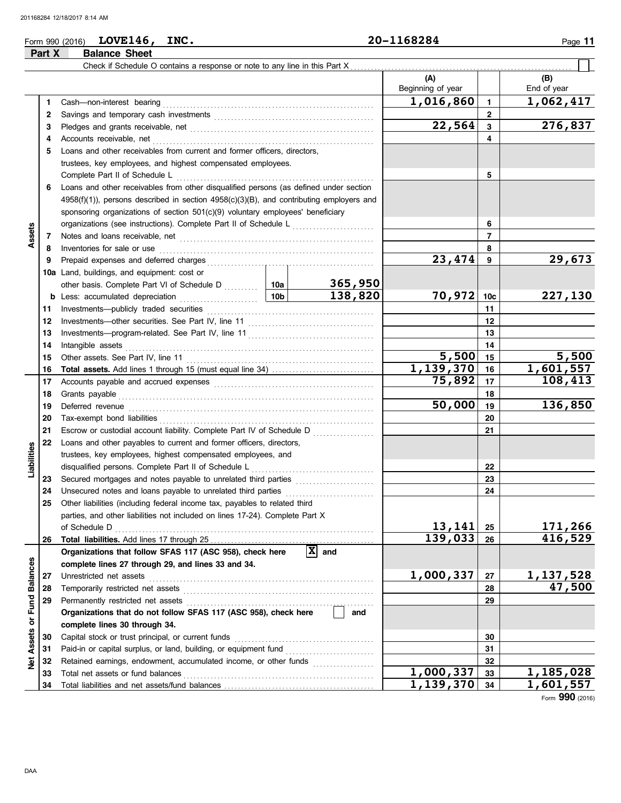### Form 990 (2016) **LOVE146, INC.**  $20-1168284$  Page 11 **LOVE146, INC. 20-1168284**

|                 | Part X | <b>Balance Sheet</b>                                                                                                |                 |                               |                          |                 |                    |
|-----------------|--------|---------------------------------------------------------------------------------------------------------------------|-----------------|-------------------------------|--------------------------|-----------------|--------------------|
|                 |        | Check if Schedule O contains a response or note to any line in this Part X.                                         |                 |                               |                          |                 |                    |
|                 |        |                                                                                                                     |                 |                               | (A)<br>Beginning of year |                 | (B)<br>End of year |
|                 | 1.     | Cash-non-interest bearing                                                                                           |                 |                               | 1,016,860                | 1               | 1,062,417          |
|                 | 2      |                                                                                                                     |                 |                               |                          | $\mathbf{2}$    |                    |
|                 | 3      |                                                                                                                     |                 |                               | 22,564                   | 3               | 276,837            |
|                 | 4      | Accounts receivable, net                                                                                            |                 |                               | 4                        |                 |                    |
|                 | 5      | Loans and other receivables from current and former officers, directors,                                            |                 |                               |                          |                 |                    |
|                 |        | trustees, key employees, and highest compensated employees.                                                         |                 |                               |                          |                 |                    |
|                 |        | Complete Part II of Schedule L                                                                                      |                 |                               |                          |                 |                    |
|                 | 6      | Loans and other receivables from other disqualified persons (as defined under section                               |                 |                               |                          |                 |                    |
|                 |        | $4958(f)(1)$ ), persons described in section $4958(c)(3)(B)$ , and contributing employers and                       |                 |                               |                          |                 |                    |
|                 |        | sponsoring organizations of section 501(c)(9) voluntary employees' beneficiary                                      |                 |                               |                          |                 |                    |
| Assets          |        |                                                                                                                     |                 |                               |                          | 6               |                    |
|                 | 7      |                                                                                                                     |                 |                               |                          | 7               |                    |
|                 | 8      | Inventories for sale or use                                                                                         |                 |                               |                          | 8               |                    |
|                 | 9      | Prepaid expenses and deferred charges                                                                               |                 |                               | 23,474                   | 9               | 29,673             |
|                 | 10a    | Land, buildings, and equipment: cost or                                                                             |                 |                               |                          |                 |                    |
|                 |        |                                                                                                                     |                 | 365,950                       |                          |                 |                    |
|                 |        | <b>b</b> Less: accumulated depreciation                                                                             | 10 <sub>b</sub> | 138,820                       | 70,972                   | 10 <sub>c</sub> | 227,130            |
|                 | 11     |                                                                                                                     |                 |                               |                          | 11              |                    |
|                 | 12     |                                                                                                                     |                 |                               |                          | 12              |                    |
|                 | 13     |                                                                                                                     |                 |                               |                          | 13              |                    |
|                 | 14     | Intangible assets                                                                                                   |                 | 14                            |                          |                 |                    |
|                 | 15     |                                                                                                                     | 5,500           | 15                            | 5,500                    |                 |                    |
|                 | 16     |                                                                                                                     | 1,139,370       | 16                            | 1,601,557                |                 |                    |
|                 | 17     |                                                                                                                     | 75,892          | 17                            | 108,413                  |                 |                    |
|                 | 18     | Grants payable                                                                                                      |                 | 18                            |                          |                 |                    |
|                 | 19     | Deferred revenue                                                                                                    |                 | 50,000                        | 19                       | 136,850         |                    |
|                 | 20     |                                                                                                                     |                 |                               |                          | 20              |                    |
|                 | 21     | Escrow or custodial account liability. Complete Part IV of Schedule D                                               |                 |                               |                          | 21              |                    |
|                 | 22     | Loans and other payables to current and former officers, directors,                                                 |                 |                               |                          |                 |                    |
| Liabilities     |        | trustees, key employees, highest compensated employees, and<br>disqualified persons. Complete Part II of Schedule L |                 |                               |                          | 22              |                    |
|                 | 23     |                                                                                                                     |                 |                               |                          | 23              |                    |
|                 | 24     |                                                                                                                     |                 |                               |                          | 24              |                    |
|                 | 25     | Other liabilities (including federal income tax, payables to related third                                          |                 |                               |                          |                 |                    |
|                 |        | parties, and other liabilities not included on lines 17-24). Complete Part X                                        |                 |                               |                          |                 |                    |
|                 |        |                                                                                                                     |                 |                               | 13,141                   | 25              | 171,266            |
|                 | 26     |                                                                                                                     |                 |                               | 139,033                  | 26              | 416,529            |
|                 |        | Organizations that follow SFAS 117 (ASC 958), check here                                                            |                 | $ \mathbf{\overline{X}} $ and |                          |                 |                    |
| <b>Balances</b> |        | complete lines 27 through 29, and lines 33 and 34.                                                                  |                 |                               |                          |                 |                    |
|                 | 27     | Unrestricted net assets                                                                                             |                 |                               | 1,000,337                | 27              | 1,137,528          |
|                 | 28     |                                                                                                                     |                 |                               |                          | 28              | 47,500             |
| Fund            | 29     | Permanently restricted net assets                                                                                   |                 |                               |                          | 29              |                    |
|                 |        | Organizations that do not follow SFAS 117 (ASC 958), check here                                                     |                 | and                           |                          |                 |                    |
| ŏ               |        | complete lines 30 through 34.                                                                                       |                 |                               |                          |                 |                    |
| Assets          | 30     | Capital stock or trust principal, or current funds                                                                  |                 |                               |                          | 30              |                    |
|                 | 31     |                                                                                                                     |                 |                               |                          | 31              |                    |
| Net             | 32     | Retained earnings, endowment, accumulated income, or other funds                                                    |                 |                               |                          | 32              |                    |
|                 | 33     | Total net assets or fund balances                                                                                   |                 |                               | 1,000,337                | 33              | 1,185,028          |
|                 | 34     |                                                                                                                     |                 |                               | 1,139,370                | 34              | 1,601,557          |

Form **990** (2016)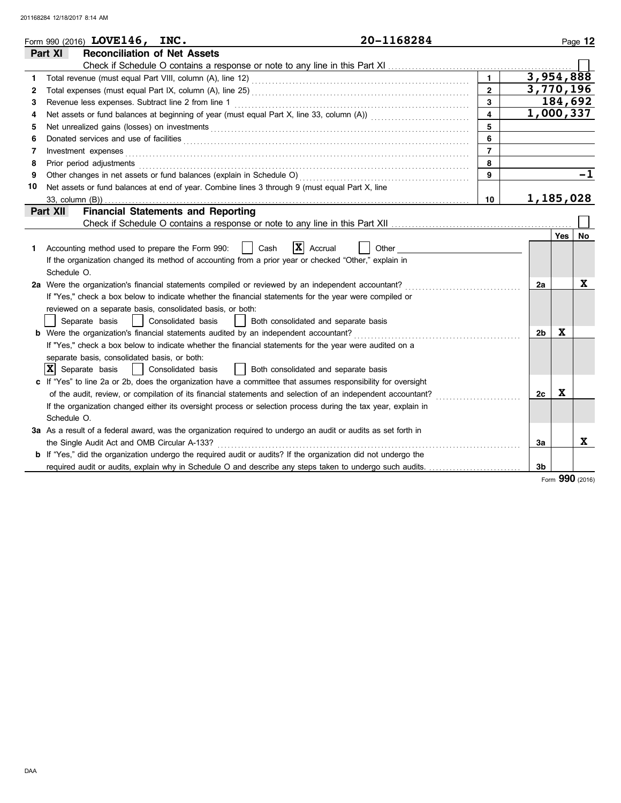|    | 20-1168284<br>Form 990 (2016) LOVE146, INC.                                                                                                                                                                                         |                |                |         | Page 12   |  |  |
|----|-------------------------------------------------------------------------------------------------------------------------------------------------------------------------------------------------------------------------------------|----------------|----------------|---------|-----------|--|--|
|    | Part XI<br><b>Reconciliation of Net Assets</b>                                                                                                                                                                                      |                |                |         |           |  |  |
|    |                                                                                                                                                                                                                                     |                |                |         |           |  |  |
| 1  |                                                                                                                                                                                                                                     | $\mathbf{1}$   | 3,954,888      |         |           |  |  |
| 2  |                                                                                                                                                                                                                                     | $\overline{2}$ | 3,770,196      |         |           |  |  |
| 3  |                                                                                                                                                                                                                                     | 3              | 1,000,337      | 184,692 |           |  |  |
| 4  | 4                                                                                                                                                                                                                                   |                |                |         |           |  |  |
| 5  | Net unrealized gains (losses) on investments [1] production in the universe of the state of the state of the state of the state of the state of the state of the state of the state of the state of the state of the state of       | 5              |                |         |           |  |  |
| 6  | Donated services and use of facilities <b>constructs</b> and a service of the service of the service of the service of the service of the service of the service of the service of the service of the service of the service of the | 6              |                |         |           |  |  |
| 7  | Investment expenses                                                                                                                                                                                                                 | $\overline{7}$ |                |         |           |  |  |
| 8  | Prior period adjustments entertainments and a series of the series of the series of the series of the series of the series of the series of the series of the series of the series of the series of the series of the series o      | 8              |                |         |           |  |  |
| 9  |                                                                                                                                                                                                                                     | 9              |                |         | $-1$      |  |  |
| 10 | Net assets or fund balances at end of year. Combine lines 3 through 9 (must equal Part X, line                                                                                                                                      |                |                |         |           |  |  |
|    |                                                                                                                                                                                                                                     | 10             | 1,185,028      |         |           |  |  |
|    | Part XII<br><b>Financial Statements and Reporting</b>                                                                                                                                                                               |                |                |         |           |  |  |
|    |                                                                                                                                                                                                                                     |                |                |         |           |  |  |
|    |                                                                                                                                                                                                                                     |                |                | Yes     | <b>No</b> |  |  |
| 1. | $ \mathbf{X} $ Accrual<br>Cash<br>Accounting method used to prepare the Form 990:<br>Other<br>$\perp$                                                                                                                               |                |                |         |           |  |  |
|    | If the organization changed its method of accounting from a prior year or checked "Other," explain in                                                                                                                               |                |                |         |           |  |  |
|    | Schedule O.                                                                                                                                                                                                                         |                |                |         |           |  |  |
|    | 2a Were the organization's financial statements compiled or reviewed by an independent accountant?                                                                                                                                  |                | 2a             |         | X         |  |  |
|    | If "Yes," check a box below to indicate whether the financial statements for the year were compiled or                                                                                                                              |                |                |         |           |  |  |
|    | reviewed on a separate basis, consolidated basis, or both:                                                                                                                                                                          |                |                |         |           |  |  |
|    | Consolidated basis<br>Separate basis<br>Both consolidated and separate basis<br>$\mathbf{1}$                                                                                                                                        |                |                |         |           |  |  |
|    | <b>b</b> Were the organization's financial statements audited by an independent accountant?                                                                                                                                         |                | 2 <sub>b</sub> | X       |           |  |  |
|    | If "Yes," check a box below to indicate whether the financial statements for the year were audited on a                                                                                                                             |                |                |         |           |  |  |
|    | separate basis, consolidated basis, or both:                                                                                                                                                                                        |                |                |         |           |  |  |
|    | IX.<br>Separate basis<br>Consolidated basis<br>Both consolidated and separate basis                                                                                                                                                 |                |                |         |           |  |  |
|    | c If "Yes" to line 2a or 2b, does the organization have a committee that assumes responsibility for oversight                                                                                                                       |                |                |         |           |  |  |
|    | of the audit, review, or compilation of its financial statements and selection of an independent accountant?                                                                                                                        |                | 2c             | X       |           |  |  |
|    | If the organization changed either its oversight process or selection process during the tax year, explain in                                                                                                                       |                |                |         |           |  |  |
|    | Schedule O.                                                                                                                                                                                                                         |                |                |         |           |  |  |
|    | 3a As a result of a federal award, was the organization required to undergo an audit or audits as set forth in                                                                                                                      |                |                |         |           |  |  |
|    | the Single Audit Act and OMB Circular A-133?                                                                                                                                                                                        |                | Зa             |         | X         |  |  |
|    | <b>b</b> If "Yes," did the organization undergo the required audit or audits? If the organization did not undergo the                                                                                                               |                |                |         |           |  |  |
|    | required audit or audits, explain why in Schedule O and describe any steps taken to undergo such audits.                                                                                                                            |                | 3b             |         |           |  |  |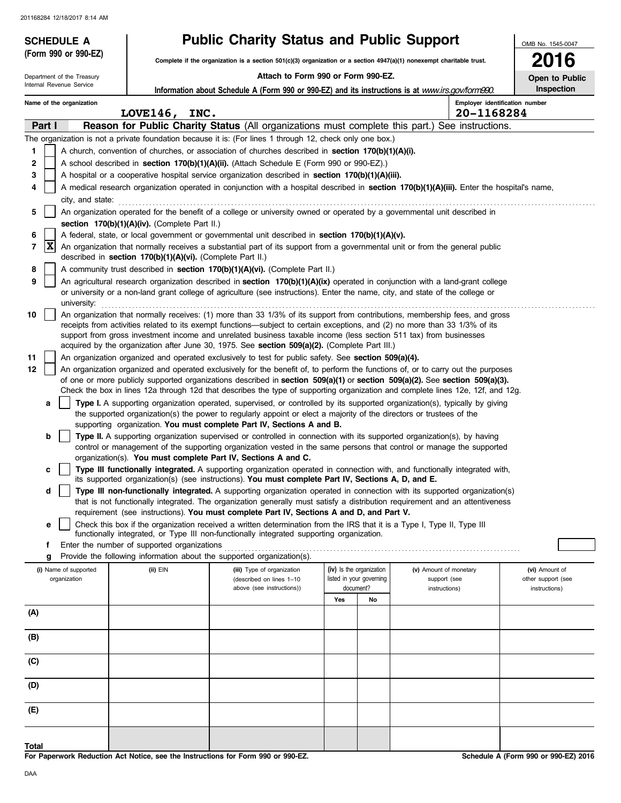# **SCHEDULE A Public Charity Status and Public Support**

**Complete if the organization is a section 501(c)(3) organization or a section 4947(a)(1) nonexempt charitable trust. (Form 990 or 990-EZ)**

**2016 Open to Public**

OMB No. 1545-0047

|        |   | Department of the Treasury |                                                            | Attach to Form 990 or Form 990-EZ.<br>Open to Public                                                                                                                                                                                                |     |                          |                        |                                              |                    |  |
|--------|---|----------------------------|------------------------------------------------------------|-----------------------------------------------------------------------------------------------------------------------------------------------------------------------------------------------------------------------------------------------------|-----|--------------------------|------------------------|----------------------------------------------|--------------------|--|
|        |   | Internal Revenue Service   |                                                            | Information about Schedule A (Form 990 or 990-EZ) and its instructions is at www.irs.gov/form990.                                                                                                                                                   |     |                          |                        |                                              | Inspection         |  |
|        |   | Name of the organization   | LOVE146, INC.                                              |                                                                                                                                                                                                                                                     |     |                          |                        | Employer identification number<br>20-1168284 |                    |  |
| Part I |   |                            |                                                            | Reason for Public Charity Status (All organizations must complete this part.) See instructions.                                                                                                                                                     |     |                          |                        |                                              |                    |  |
|        |   |                            |                                                            | The organization is not a private foundation because it is: (For lines 1 through 12, check only one box.)                                                                                                                                           |     |                          |                        |                                              |                    |  |
| 1      |   |                            |                                                            | A church, convention of churches, or association of churches described in <b>section 170(b)(1)(A)(i).</b>                                                                                                                                           |     |                          |                        |                                              |                    |  |
| 2      |   |                            |                                                            | A school described in section $170(b)(1)(A)(ii)$ . (Attach Schedule E (Form 990 or 990-EZ).)                                                                                                                                                        |     |                          |                        |                                              |                    |  |
| 3      |   |                            |                                                            | A hospital or a cooperative hospital service organization described in section 170(b)(1)(A)(iii).                                                                                                                                                   |     |                          |                        |                                              |                    |  |
| 4      |   |                            |                                                            | A medical research organization operated in conjunction with a hospital described in section 170(b)(1)(A)(iii). Enter the hospital's name,                                                                                                          |     |                          |                        |                                              |                    |  |
|        |   | city, and state:           |                                                            |                                                                                                                                                                                                                                                     |     |                          |                        |                                              |                    |  |
| 5      |   |                            |                                                            | An organization operated for the benefit of a college or university owned or operated by a governmental unit described in                                                                                                                           |     |                          |                        |                                              |                    |  |
|        |   |                            | section 170(b)(1)(A)(iv). (Complete Part II.)              |                                                                                                                                                                                                                                                     |     |                          |                        |                                              |                    |  |
| 6<br>7 | X |                            |                                                            | A federal, state, or local government or governmental unit described in section 170(b)(1)(A)(v).                                                                                                                                                    |     |                          |                        |                                              |                    |  |
|        |   |                            | described in section 170(b)(1)(A)(vi). (Complete Part II.) | An organization that normally receives a substantial part of its support from a governmental unit or from the general public                                                                                                                        |     |                          |                        |                                              |                    |  |
| 8      |   |                            |                                                            | A community trust described in section 170(b)(1)(A)(vi). (Complete Part II.)                                                                                                                                                                        |     |                          |                        |                                              |                    |  |
| 9      |   |                            |                                                            | An agricultural research organization described in section 170(b)(1)(A)(ix) operated in conjunction with a land-grant college                                                                                                                       |     |                          |                        |                                              |                    |  |
|        |   | university:                |                                                            | or university or a non-land grant college of agriculture (see instructions). Enter the name, city, and state of the college or                                                                                                                      |     |                          |                        |                                              |                    |  |
| 10     |   |                            |                                                            | An organization that normally receives: (1) more than 33 1/3% of its support from contributions, membership fees, and gross                                                                                                                         |     |                          |                        |                                              |                    |  |
|        |   |                            |                                                            | receipts from activities related to its exempt functions—subject to certain exceptions, and (2) no more than 33 1/3% of its<br>support from gross investment income and unrelated business taxable income (less section 511 tax) from businesses    |     |                          |                        |                                              |                    |  |
|        |   |                            |                                                            | acquired by the organization after June 30, 1975. See section 509(a)(2). (Complete Part III.)                                                                                                                                                       |     |                          |                        |                                              |                    |  |
| 11     |   |                            |                                                            | An organization organized and operated exclusively to test for public safety. See section 509(a)(4).                                                                                                                                                |     |                          |                        |                                              |                    |  |
| 12     |   |                            |                                                            | An organization organized and operated exclusively for the benefit of, to perform the functions of, or to carry out the purposes                                                                                                                    |     |                          |                        |                                              |                    |  |
|        |   |                            |                                                            | of one or more publicly supported organizations described in section 509(a)(1) or section 509(a)(2). See section 509(a)(3).                                                                                                                         |     |                          |                        |                                              |                    |  |
|        |   |                            |                                                            | Check the box in lines 12a through 12d that describes the type of supporting organization and complete lines 12e, 12f, and 12g.                                                                                                                     |     |                          |                        |                                              |                    |  |
|        | а |                            |                                                            | Type I. A supporting organization operated, supervised, or controlled by its supported organization(s), typically by giving<br>the supported organization(s) the power to regularly appoint or elect a majority of the directors or trustees of the |     |                          |                        |                                              |                    |  |
|        |   |                            |                                                            | supporting organization. You must complete Part IV, Sections A and B.                                                                                                                                                                               |     |                          |                        |                                              |                    |  |
|        | b |                            |                                                            | Type II. A supporting organization supervised or controlled in connection with its supported organization(s), by having                                                                                                                             |     |                          |                        |                                              |                    |  |
|        |   |                            |                                                            | control or management of the supporting organization vested in the same persons that control or manage the supported                                                                                                                                |     |                          |                        |                                              |                    |  |
|        |   |                            |                                                            | organization(s). You must complete Part IV, Sections A and C.                                                                                                                                                                                       |     |                          |                        |                                              |                    |  |
|        | с |                            |                                                            | Type III functionally integrated. A supporting organization operated in connection with, and functionally integrated with,<br>its supported organization(s) (see instructions). You must complete Part IV, Sections A, D, and E.                    |     |                          |                        |                                              |                    |  |
|        | d |                            |                                                            | Type III non-functionally integrated. A supporting organization operated in connection with its supported organization(s)                                                                                                                           |     |                          |                        |                                              |                    |  |
|        |   |                            |                                                            | that is not functionally integrated. The organization generally must satisfy a distribution requirement and an attentiveness                                                                                                                        |     |                          |                        |                                              |                    |  |
|        |   |                            |                                                            | requirement (see instructions). You must complete Part IV, Sections A and D, and Part V.                                                                                                                                                            |     |                          |                        |                                              |                    |  |
|        |   |                            |                                                            | Check this box if the organization received a written determination from the IRS that it is a Type I, Type II, Type III<br>functionally integrated, or Type III non-functionally integrated supporting organization.                                |     |                          |                        |                                              |                    |  |
|        | f |                            | Enter the number of supported organizations                |                                                                                                                                                                                                                                                     |     |                          |                        |                                              |                    |  |
|        | g |                            |                                                            | Provide the following information about the supported organization(s).                                                                                                                                                                              |     |                          |                        |                                              |                    |  |
|        |   | (i) Name of supported      | $(ii)$ $EIN$                                               | (iii) Type of organization                                                                                                                                                                                                                          |     | (iv) Is the organization | (v) Amount of monetary |                                              | (vi) Amount of     |  |
|        |   | organization               |                                                            | (described on lines 1-10                                                                                                                                                                                                                            |     | listed in your governing | support (see           |                                              | other support (see |  |
|        |   |                            |                                                            | above (see instructions))                                                                                                                                                                                                                           | Yes | document?<br>No          | instructions)          |                                              | instructions)      |  |
| (A)    |   |                            |                                                            |                                                                                                                                                                                                                                                     |     |                          |                        |                                              |                    |  |
|        |   |                            |                                                            |                                                                                                                                                                                                                                                     |     |                          |                        |                                              |                    |  |
| (B)    |   |                            |                                                            |                                                                                                                                                                                                                                                     |     |                          |                        |                                              |                    |  |
| (C)    |   |                            |                                                            |                                                                                                                                                                                                                                                     |     |                          |                        |                                              |                    |  |
|        |   |                            |                                                            |                                                                                                                                                                                                                                                     |     |                          |                        |                                              |                    |  |
| (D)    |   |                            |                                                            |                                                                                                                                                                                                                                                     |     |                          |                        |                                              |                    |  |
| (E)    |   |                            |                                                            |                                                                                                                                                                                                                                                     |     |                          |                        |                                              |                    |  |
| Total  |   |                            |                                                            |                                                                                                                                                                                                                                                     |     |                          |                        |                                              |                    |  |

**For Paperwork Reduction Act Notice, see the Instructions for Form 990 or 990-EZ.**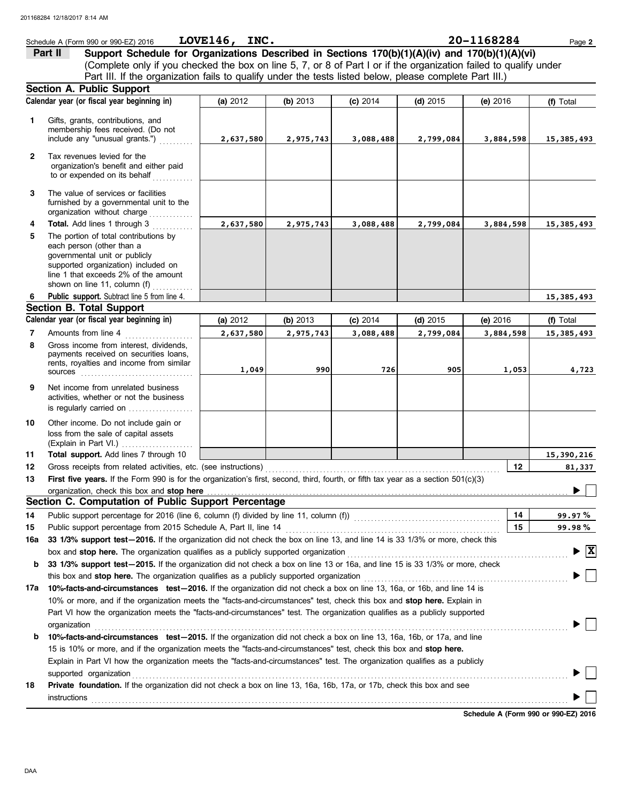|              | Schedule A (Form 990 or 990-EZ) 2016                                                                                                                                                                                                                             | LOVE146, INC. |            |            |            | 20-1168284 | Page 2                             |
|--------------|------------------------------------------------------------------------------------------------------------------------------------------------------------------------------------------------------------------------------------------------------------------|---------------|------------|------------|------------|------------|------------------------------------|
|              | Support Schedule for Organizations Described in Sections 170(b)(1)(A)(iv) and 170(b)(1)(A)(vi)<br>Part II                                                                                                                                                        |               |            |            |            |            |                                    |
|              | (Complete only if you checked the box on line 5, 7, or 8 of Part I or if the organization failed to qualify under                                                                                                                                                |               |            |            |            |            |                                    |
|              | Part III. If the organization fails to qualify under the tests listed below, please complete Part III.)                                                                                                                                                          |               |            |            |            |            |                                    |
|              | Section A. Public Support                                                                                                                                                                                                                                        |               |            |            |            |            |                                    |
|              | Calendar year (or fiscal year beginning in)                                                                                                                                                                                                                      | (a) 2012      | (b) $2013$ | $(c)$ 2014 | (d) $2015$ | (e) 2016   | (f) Total                          |
|              |                                                                                                                                                                                                                                                                  |               |            |            |            |            |                                    |
| 1            | Gifts, grants, contributions, and<br>membership fees received. (Do not                                                                                                                                                                                           |               |            |            |            |            |                                    |
|              | include any "unusual grants.")                                                                                                                                                                                                                                   | 2,637,580     | 2,975,743  | 3,088,488  | 2,799,084  | 3,884,598  | 15, 385, 493                       |
|              |                                                                                                                                                                                                                                                                  |               |            |            |            |            |                                    |
| $\mathbf{2}$ | Tax revenues levied for the<br>organization's benefit and either paid<br>to or expended on its behalf                                                                                                                                                            |               |            |            |            |            |                                    |
| 3            | The value of services or facilities<br>furnished by a governmental unit to the<br>organization without charge                                                                                                                                                    |               |            |            |            |            |                                    |
| 4            | Total. Add lines 1 through 3                                                                                                                                                                                                                                     | 2,637,580     | 2,975,743  | 3,088,488  | 2,799,084  | 3,884,598  | 15,385,493                         |
| 5            | The portion of total contributions by                                                                                                                                                                                                                            |               |            |            |            |            |                                    |
|              | each person (other than a<br>governmental unit or publicly<br>supported organization) included on<br>line 1 that exceeds 2% of the amount<br>shown on line 11, column (f)                                                                                        |               |            |            |            |            |                                    |
| 6            | Public support. Subtract line 5 from line 4.                                                                                                                                                                                                                     |               |            |            |            |            | 15,385,493                         |
|              | <b>Section B. Total Support</b>                                                                                                                                                                                                                                  |               |            |            |            |            |                                    |
|              | Calendar year (or fiscal year beginning in)                                                                                                                                                                                                                      | (a) 2012      | (b) 2013   | $(c)$ 2014 | (d) $2015$ | (e) 2016   | (f) Total                          |
| 7            | Amounts from line 4                                                                                                                                                                                                                                              | 2,637,580     | 2,975,743  | 3,088,488  | 2,799,084  | 3,884,598  | 15,385,493                         |
| 8            | Gross income from interest, dividends,                                                                                                                                                                                                                           |               |            |            |            |            |                                    |
|              | payments received on securities loans,<br>rents, royalties and income from similar                                                                                                                                                                               |               |            |            |            |            |                                    |
|              | <b>sources</b>                                                                                                                                                                                                                                                   | 1,049         | 990        | 726        | 905        | 1,053      | 4,723                              |
| 9            | Net income from unrelated business<br>activities, whether or not the business<br>is regularly carried on                                                                                                                                                         |               |            |            |            |            |                                    |
| 10           | Other income. Do not include gain or                                                                                                                                                                                                                             |               |            |            |            |            |                                    |
|              | loss from the sale of capital assets<br>(Explain in Part VI.)                                                                                                                                                                                                    |               |            |            |            |            |                                    |
| 11           | Total support. Add lines 7 through 10                                                                                                                                                                                                                            |               |            |            |            |            | 15,390,216                         |
| 12           |                                                                                                                                                                                                                                                                  |               |            |            |            | 12         | 81,337                             |
| 13           | First five years. If the Form 990 is for the organization's first, second, third, fourth, or fifth tax year as a section 501(c)(3)                                                                                                                               |               |            |            |            |            |                                    |
|              |                                                                                                                                                                                                                                                                  |               |            |            |            |            |                                    |
|              | Section C. Computation of Public Support Percentage                                                                                                                                                                                                              |               |            |            |            |            |                                    |
| 14           | Public support percentage for 2016 (line 6, column (f) divided by line 11, column (f)) [[[[[[[[[[[[[[[[[[[[[[                                                                                                                                                    |               |            |            |            | 14         | 99.97%                             |
| 15           |                                                                                                                                                                                                                                                                  |               |            |            |            | 15         | 99.98%                             |
| 16a          | 33 1/3% support test-2016. If the organization did not check the box on line 13, and line 14 is 33 1/3% or more, check this                                                                                                                                      |               |            |            |            |            | $\blacktriangleright$ $\mathbf{X}$ |
| b            | box and stop here. The organization qualifies as a publicly supported organization <b>conserved</b> conserved in the organization<br>33 1/3% support test-2015. If the organization did not check a box on line 13 or 16a, and line 15 is 33 1/3% or more, check |               |            |            |            |            |                                    |
|              | this box and stop here. The organization qualifies as a publicly supported organization <i>[[[[[[[[[[[[[[[[[[[[[[[[]]]]]</i>                                                                                                                                     |               |            |            |            |            |                                    |
|              | 17a 10%-facts-and-circumstances test-2016. If the organization did not check a box on line 13, 16a, or 16b, and line 14 is                                                                                                                                       |               |            |            |            |            |                                    |
|              | 10% or more, and if the organization meets the "facts-and-circumstances" test, check this box and stop here. Explain in                                                                                                                                          |               |            |            |            |            |                                    |
|              | Part VI how the organization meets the "facts-and-circumstances" test. The organization qualifies as a publicly supported                                                                                                                                        |               |            |            |            |            |                                    |
|              | organization                                                                                                                                                                                                                                                     |               |            |            |            |            |                                    |
| b            | 10%-facts-and-circumstances test-2015. If the organization did not check a box on line 13, 16a, 16b, or 17a, and line                                                                                                                                            |               |            |            |            |            |                                    |
|              | 15 is 10% or more, and if the organization meets the "facts-and-circumstances" test, check this box and stop here.                                                                                                                                               |               |            |            |            |            |                                    |
|              | Explain in Part VI how the organization meets the "facts-and-circumstances" test. The organization qualifies as a publicly                                                                                                                                       |               |            |            |            |            |                                    |
|              | supported organization contains and contains a supported organization of the supported organization contains a                                                                                                                                                   |               |            |            |            |            |                                    |
| 18           | Private foundation. If the organization did not check a box on line 13, 16a, 16b, 17a, or 17b, check this box and see                                                                                                                                            |               |            |            |            |            |                                    |
|              | instructions                                                                                                                                                                                                                                                     |               |            |            |            |            |                                    |
|              |                                                                                                                                                                                                                                                                  |               |            |            |            |            |                                    |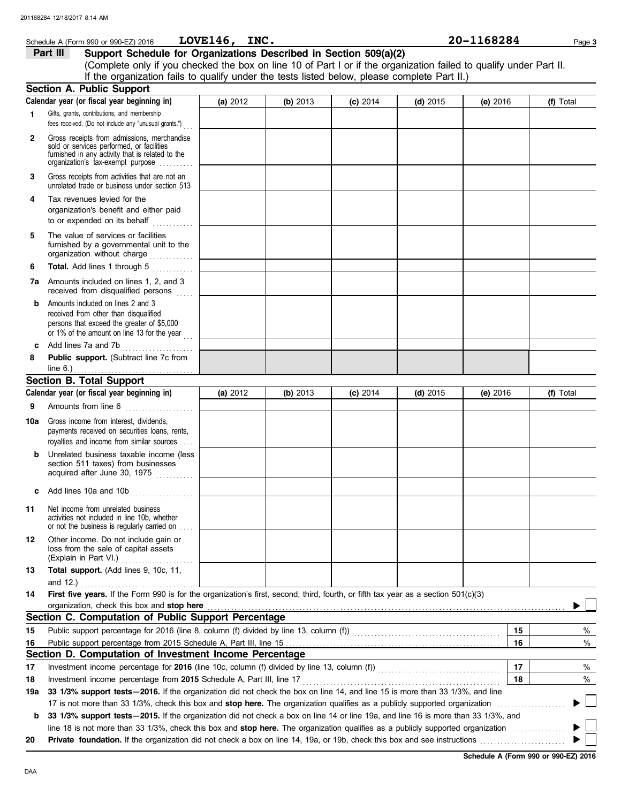|     | Schedule A (Form 990 or 990-EZ) 2016                                                                                                                                              | LOVE146, INC. |            |            |            | 20-1168284 | Page 3    |
|-----|-----------------------------------------------------------------------------------------------------------------------------------------------------------------------------------|---------------|------------|------------|------------|------------|-----------|
|     | Support Schedule for Organizations Described in Section 509(a)(2)<br>Part III                                                                                                     |               |            |            |            |            |           |
|     | (Complete only if you checked the box on line 10 of Part I or if the organization failed to qualify under Part II.                                                                |               |            |            |            |            |           |
|     | If the organization fails to qualify under the tests listed below, please complete Part II.)                                                                                      |               |            |            |            |            |           |
|     | <b>Section A. Public Support</b>                                                                                                                                                  |               |            |            |            |            |           |
|     | Calendar year (or fiscal year beginning in)                                                                                                                                       | (a) 2012      | (b) 2013   | $(c)$ 2014 | (d) $2015$ | (e) 2016   | (f) Total |
| 1.  | Gifts, grants, contributions, and membership<br>fees received. (Do not include any "unusual grants.")                                                                             |               |            |            |            |            |           |
| 2   | Gross receipts from admissions, merchandise<br>sold or services performed, or facilities<br>furnished in any activity that is related to the<br>organization's tax-exempt purpose |               |            |            |            |            |           |
| 3   | Gross receipts from activities that are not an<br>unrelated trade or business under section 513                                                                                   |               |            |            |            |            |           |
| 4   | Tax revenues levied for the<br>organization's benefit and either paid<br>to or expended on its behalf                                                                             |               |            |            |            |            |           |
| 5   | The value of services or facilities<br>furnished by a governmental unit to the<br>organization without charge                                                                     |               |            |            |            |            |           |
| 6   | Total. Add lines 1 through 5<br>.                                                                                                                                                 |               |            |            |            |            |           |
|     | <b>7a</b> Amounts included on lines 1, 2, and 3<br>received from disqualified persons                                                                                             |               |            |            |            |            |           |
| b   | Amounts included on lines 2 and 3<br>received from other than disqualified<br>persons that exceed the greater of \$5,000<br>or 1% of the amount on line 13 for the year           |               |            |            |            |            |           |
| c   | Add lines 7a and 7b                                                                                                                                                               |               |            |            |            |            |           |
| 8   | Public support. (Subtract line 7c from<br>line $6.$ )                                                                                                                             |               |            |            |            |            |           |
|     | <b>Section B. Total Support</b>                                                                                                                                                   |               |            |            |            |            |           |
|     | Calendar year (or fiscal year beginning in)                                                                                                                                       | (a) 2012      | (b) $2013$ | $(c)$ 2014 | $(d)$ 2015 | (e) $2016$ | (f) Total |
| 9   | Amounts from line 6                                                                                                                                                               |               |            |            |            |            |           |
| 10a | Gross income from interest, dividends,<br>payments received on securities loans, rents,<br>royalties and income from similar sources                                              |               |            |            |            |            |           |
| b   | Unrelated business taxable income (less<br>section 511 taxes) from businesses<br>acquired after June 30, 1975                                                                     |               |            |            |            |            |           |
| c   | Add lines 10a and 10b                                                                                                                                                             |               |            |            |            |            |           |
| 11  | Net income from unrelated business<br>activities not included in line 10b, whether<br>or not the business is regularly carried on                                                 |               |            |            |            |            |           |
| 12  | Other income. Do not include gain or<br>loss from the sale of capital assets<br>(Explain in Part VI.)                                                                             |               |            |            |            |            |           |
| 13  | Total support. (Add lines 9, 10c, 11,<br>and $12.$ )                                                                                                                              |               |            |            |            |            |           |
| 14  | First five years. If the Form 990 is for the organization's first, second, third, fourth, or fifth tax year as a section 501(c)(3)<br>organization, check this box and stop here  |               |            |            |            |            |           |
|     | Section C. Computation of Public Support Percentage                                                                                                                               |               |            |            |            |            |           |
| 15  | Public support percentage for 2016 (line 8, column (f) divided by line 13, column (f)) [[[[[[[[[[[[[[[[[[[[[[                                                                     |               |            |            |            | 15         | %         |
| 16  |                                                                                                                                                                                   |               |            |            |            | 16         | $\%$      |
|     | Section D. Computation of Investment Income Percentage                                                                                                                            |               |            |            |            |            |           |
| 17  |                                                                                                                                                                                   |               |            |            |            | 17         | %         |
| 18  |                                                                                                                                                                                   |               |            |            |            | 18         | %         |
| 19а | 33 1/3% support tests - 2016. If the organization did not check the box on line 14, and line 15 is more than 33 1/3%, and line                                                    |               |            |            |            |            |           |
|     |                                                                                                                                                                                   |               |            |            |            |            |           |
| b   | 33 1/3% support tests - 2015. If the organization did not check a box on line 14 or line 19a, and line 16 is more than 33 1/3%, and                                               |               |            |            |            |            |           |
|     |                                                                                                                                                                                   |               |            |            |            |            |           |
| 20  |                                                                                                                                                                                   |               |            |            |            |            |           |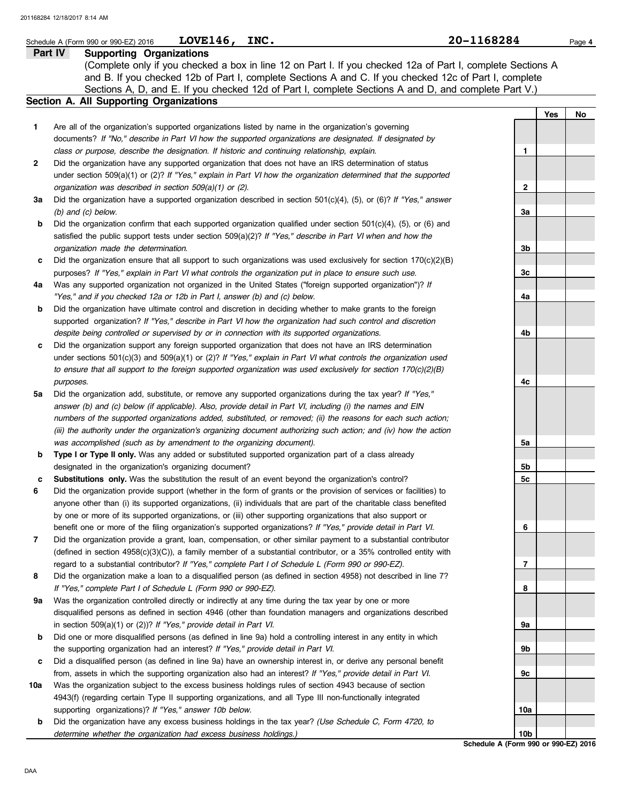|     | LOVE146, INC.<br>Schedule A (Form 990 or 990-EZ) 2016                                                                    | 20-1168284                           | Page 4 |
|-----|--------------------------------------------------------------------------------------------------------------------------|--------------------------------------|--------|
|     | Part IV<br><b>Supporting Organizations</b>                                                                               |                                      |        |
|     | (Complete only if you checked a box in line 12 on Part I. If you checked 12a of Part I, complete Sections A              |                                      |        |
|     | and B. If you checked 12b of Part I, complete Sections A and C. If you checked 12c of Part I, complete                   |                                      |        |
|     | Sections A, D, and E. If you checked 12d of Part I, complete Sections A and D, and complete Part V.)                     |                                      |        |
|     | Section A. All Supporting Organizations                                                                                  |                                      |        |
|     |                                                                                                                          | Yes                                  | No     |
| 1   | Are all of the organization's supported organizations listed by name in the organization's governing                     |                                      |        |
|     | documents? If "No," describe in Part VI how the supported organizations are designated. If designated by                 |                                      |        |
|     | class or purpose, describe the designation. If historic and continuing relationship, explain.                            | 1                                    |        |
| 2   | Did the organization have any supported organization that does not have an IRS determination of status                   |                                      |        |
|     | under section 509(a)(1) or (2)? If "Yes," explain in Part VI how the organization determined that the supported          |                                      |        |
|     | organization was described in section 509(a)(1) or (2).                                                                  | 2                                    |        |
| За  | Did the organization have a supported organization described in section $501(c)(4)$ , (5), or (6)? If "Yes," answer      |                                      |        |
|     | $(b)$ and $(c)$ below.                                                                                                   | 3a                                   |        |
| b   | Did the organization confirm that each supported organization qualified under section $501(c)(4)$ , $(5)$ , or $(6)$ and |                                      |        |
|     | satisfied the public support tests under section $509(a)(2)?$ If "Yes," describe in Part VI when and how the             |                                      |        |
|     | organization made the determination.                                                                                     | 3b                                   |        |
| с   | Did the organization ensure that all support to such organizations was used exclusively for section $170(c)(2)(B)$       |                                      |        |
|     |                                                                                                                          | 3c                                   |        |
|     | purposes? If "Yes," explain in Part VI what controls the organization put in place to ensure such use.                   |                                      |        |
| 4a  | Was any supported organization not organized in the United States ("foreign supported organization")? If                 |                                      |        |
|     | "Yes," and if you checked 12a or 12b in Part I, answer (b) and (c) below.                                                | 4a                                   |        |
| b   | Did the organization have ultimate control and discretion in deciding whether to make grants to the foreign              |                                      |        |
|     | supported organization? If "Yes," describe in Part VI how the organization had such control and discretion               |                                      |        |
|     | despite being controlled or supervised by or in connection with its supported organizations.                             | 4b                                   |        |
| c   | Did the organization support any foreign supported organization that does not have an IRS determination                  |                                      |        |
|     | under sections $501(c)(3)$ and $509(a)(1)$ or (2)? If "Yes," explain in Part VI what controls the organization used      |                                      |        |
|     | to ensure that all support to the foreign supported organization was used exclusively for section $170(c)(2)(B)$         |                                      |        |
|     | purposes.                                                                                                                | 4с                                   |        |
| 5a  | Did the organization add, substitute, or remove any supported organizations during the tax year? If "Yes,"               |                                      |        |
|     | answer (b) and (c) below (if applicable). Also, provide detail in Part VI, including (i) the names and EIN               |                                      |        |
|     | numbers of the supported organizations added, substituted, or removed; (ii) the reasons for each such action;            |                                      |        |
|     | (iii) the authority under the organization's organizing document authorizing such action; and (iv) how the action        |                                      |        |
|     | was accomplished (such as by amendment to the organizing document).                                                      | 5a                                   |        |
| b   | Type I or Type II only. Was any added or substituted supported organization part of a class already                      |                                      |        |
|     | designated in the organization's organizing document?                                                                    | 5b                                   |        |
| c   | Substitutions only. Was the substitution the result of an event beyond the organization's control?                       | 5c                                   |        |
| 6   | Did the organization provide support (whether in the form of grants or the provision of services or facilities) to       |                                      |        |
|     | anyone other than (i) its supported organizations, (ii) individuals that are part of the charitable class benefited      |                                      |        |
|     | by one or more of its supported organizations, or (iii) other supporting organizations that also support or              |                                      |        |
|     | benefit one or more of the filing organization's supported organizations? If "Yes," provide detail in Part VI.           | 6                                    |        |
| 7   | Did the organization provide a grant, loan, compensation, or other similar payment to a substantial contributor          |                                      |        |
|     | (defined in section $4958(c)(3)(C)$ ), a family member of a substantial contributor, or a 35% controlled entity with     |                                      |        |
|     | regard to a substantial contributor? If "Yes," complete Part I of Schedule L (Form 990 or 990-EZ).                       | 7                                    |        |
| 8   | Did the organization make a loan to a disqualified person (as defined in section 4958) not described in line 7?          |                                      |        |
|     | If "Yes," complete Part I of Schedule L (Form 990 or 990-EZ).                                                            | 8                                    |        |
| 9а  | Was the organization controlled directly or indirectly at any time during the tax year by one or more                    |                                      |        |
|     | disqualified persons as defined in section 4946 (other than foundation managers and organizations described              |                                      |        |
|     | in section $509(a)(1)$ or $(2)$ ? If "Yes," provide detail in Part VI.                                                   | 9a                                   |        |
| b   | Did one or more disqualified persons (as defined in line 9a) hold a controlling interest in any entity in which          |                                      |        |
|     | the supporting organization had an interest? If "Yes," provide detail in Part VI.                                        | 9b                                   |        |
| с   | Did a disqualified person (as defined in line 9a) have an ownership interest in, or derive any personal benefit          |                                      |        |
|     | from, assets in which the supporting organization also had an interest? If "Yes," provide detail in Part VI.             | 9с                                   |        |
| 10a | Was the organization subject to the excess business holdings rules of section 4943 because of section                    |                                      |        |
|     | 4943(f) (regarding certain Type II supporting organizations, and all Type III non-functionally integrated                |                                      |        |
|     | supporting organizations)? If "Yes," answer 10b below.                                                                   | 10a                                  |        |
|     | Did the organization have any excess business holdings in the tax year? (Use Schedule C, Form 4720, to                   |                                      |        |
| b   |                                                                                                                          | 10b                                  |        |
|     | determine whether the organization had excess business holdings.)                                                        | Schedule A (Form 990 or 990-EZ) 2016 |        |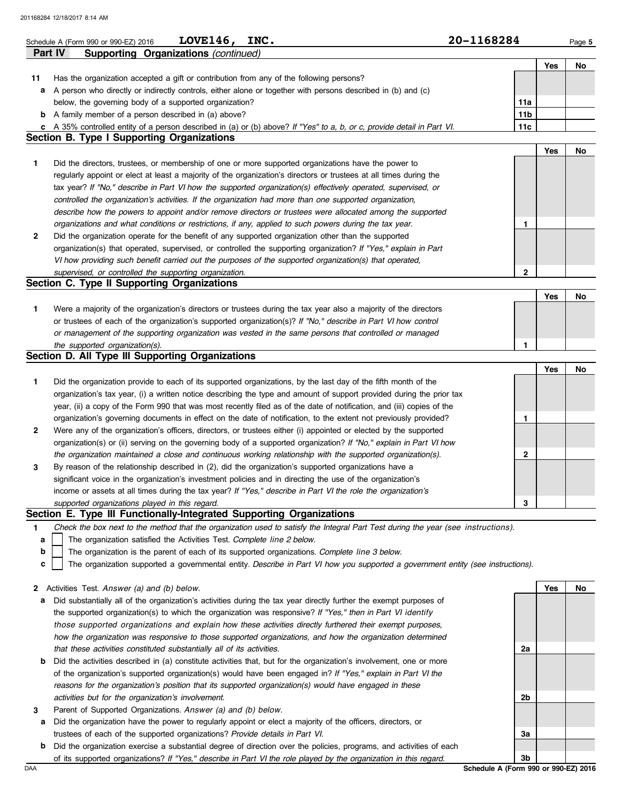|    | 01168284 12/18/2017 8:14 AM                                                                                                                                                                                                      |                 |     |        |
|----|----------------------------------------------------------------------------------------------------------------------------------------------------------------------------------------------------------------------------------|-----------------|-----|--------|
|    | <b>LOVE146,</b><br>INC.<br>Schedule A (Form 990 or 990-EZ) 2016                                                                                                                                                                  | 20-1168284      |     | Page 5 |
|    | Part IV<br><b>Supporting Organizations (continued)</b>                                                                                                                                                                           |                 |     |        |
|    |                                                                                                                                                                                                                                  |                 | Yes | No     |
| 11 | Has the organization accepted a gift or contribution from any of the following persons?                                                                                                                                          |                 |     |        |
| а  | A person who directly or indirectly controls, either alone or together with persons described in (b) and (c)                                                                                                                     |                 |     |        |
|    | below, the governing body of a supported organization?                                                                                                                                                                           | 11a             |     |        |
|    | <b>b</b> A family member of a person described in (a) above?                                                                                                                                                                     | 11 <sub>b</sub> |     |        |
|    | c A 35% controlled entity of a person described in (a) or (b) above? If "Yes" to a, b, or c, provide detail in Part VI.<br><b>Section B. Type I Supporting Organizations</b>                                                     | 11c             |     |        |
|    |                                                                                                                                                                                                                                  |                 | Yes | No     |
| 1  | Did the directors, trustees, or membership of one or more supported organizations have the power to                                                                                                                              |                 |     |        |
|    | regularly appoint or elect at least a majority of the organization's directors or trustees at all times during the                                                                                                               |                 |     |        |
|    | tax year? If "No," describe in Part VI how the supported organization(s) effectively operated, supervised, or                                                                                                                    |                 |     |        |
|    | controlled the organization's activities. If the organization had more than one supported organization,                                                                                                                          |                 |     |        |
|    | describe how the powers to appoint and/or remove directors or trustees were allocated among the supported                                                                                                                        |                 |     |        |
|    | organizations and what conditions or restrictions, if any, applied to such powers during the tax year.                                                                                                                           | 1               |     |        |
| 2  | Did the organization operate for the benefit of any supported organization other than the supported                                                                                                                              |                 |     |        |
|    | organization(s) that operated, supervised, or controlled the supporting organization? If "Yes," explain in Part                                                                                                                  |                 |     |        |
|    | VI how providing such benefit carried out the purposes of the supported organization(s) that operated,                                                                                                                           |                 |     |        |
|    | supervised, or controlled the supporting organization.                                                                                                                                                                           | $\mathbf{2}$    |     |        |
|    | Section C. Type II Supporting Organizations                                                                                                                                                                                      |                 |     |        |
|    |                                                                                                                                                                                                                                  |                 | Yes | No     |
| 1  | Were a majority of the organization's directors or trustees during the tax year also a majority of the directors                                                                                                                 |                 |     |        |
|    | or trustees of each of the organization's supported organization(s)? If "No," describe in Part VI how control                                                                                                                    |                 |     |        |
|    | or management of the supporting organization was vested in the same persons that controlled or managed                                                                                                                           |                 |     |        |
|    | the supported organization(s).<br>Section D. All Type III Supporting Organizations                                                                                                                                               | 1               |     |        |
|    |                                                                                                                                                                                                                                  |                 | Yes | No     |
| 1  | Did the organization provide to each of its supported organizations, by the last day of the fifth month of the                                                                                                                   |                 |     |        |
|    | organization's tax year, (i) a written notice describing the type and amount of support provided during the prior tax                                                                                                            |                 |     |        |
|    | year, (ii) a copy of the Form 990 that was most recently filed as of the date of notification, and (iii) copies of the                                                                                                           |                 |     |        |
|    | organization's governing documents in effect on the date of notification, to the extent not previously provided?                                                                                                                 | 1               |     |        |
| 2  | Were any of the organization's officers, directors, or trustees either (i) appointed or elected by the supported                                                                                                                 |                 |     |        |
|    | organization(s) or (ii) serving on the governing body of a supported organization? If "No," explain in Part VI how                                                                                                               |                 |     |        |
|    | the organization maintained a close and continuous working relationship with the supported organization(s).                                                                                                                      | 2               |     |        |
|    | By reason of the relationship described in (2), did the organization's supported organizations have a                                                                                                                            |                 |     |        |
|    | significant voice in the organization's investment policies and in directing the use of the organization's                                                                                                                       |                 |     |        |
|    | income or assets at all times during the tax year? If "Yes," describe in Part VI the role the organization's                                                                                                                     |                 |     |        |
|    | supported organizations played in this regard.                                                                                                                                                                                   | 3               |     |        |
|    | Section E. Type III Functionally-Integrated Supporting Organizations                                                                                                                                                             |                 |     |        |
| 1  | Check the box next to the method that the organization used to satisfy the Integral Part Test during the year (see instructions).                                                                                                |                 |     |        |
| а  | The organization satisfied the Activities Test. Complete line 2 below.                                                                                                                                                           |                 |     |        |
| b  | The organization is the parent of each of its supported organizations. Complete line 3 below.                                                                                                                                    |                 |     |        |
| c  | The organization supported a governmental entity. Describe in Part VI how you supported a government entity (see instructions).                                                                                                  |                 |     |        |
|    |                                                                                                                                                                                                                                  |                 |     |        |
| 2  | Activities Test. Answer (a) and (b) below.                                                                                                                                                                                       |                 | Yes | No     |
| а  | Did substantially all of the organization's activities during the tax year directly further the exempt purposes of<br>the supported organization(s) to which the organization was responsive? If "Yes," then in Part VI identify |                 |     |        |
|    | those supported organizations and explain how these activities directly furthered their exempt purposes,                                                                                                                         |                 |     |        |
|    | how the organization was responsive to those supported organizations, and how the organization determined                                                                                                                        |                 |     |        |
|    | that these activities constituted substantially all of its activities.                                                                                                                                                           | 2a              |     |        |
| b  | Did the activities described in (a) constitute activities that, but for the organization's involvement, one or more                                                                                                              |                 |     |        |
|    | of the organization's supported organization(s) would have been engaged in? If "Yes," explain in Part VI the                                                                                                                     |                 |     |        |
|    | reasons for the organization's position that its supported organization(s) would have engaged in these                                                                                                                           |                 |     |        |
|    | activities but for the organization's involvement.                                                                                                                                                                               | 2b              |     |        |
| 3  | Parent of Supported Organizations. Answer (a) and (b) below.                                                                                                                                                                     |                 |     |        |
|    |                                                                                                                                                                                                                                  |                 |     |        |

- **a** Did the organization have the power to regularly appoint or elect a majority of the officers, directors, or trustees of each of the supported organizations? *Provide details in Part VI.*
- **b** Did the organization exercise a substantial degree of direction over the policies, programs, and activities of each of its supported organizations? *If "Yes," describe in Part VI the role played by the organization in this regard.*

DAA **Schedule A (Form 990 or 990-EZ) 2016 3b**

**3a**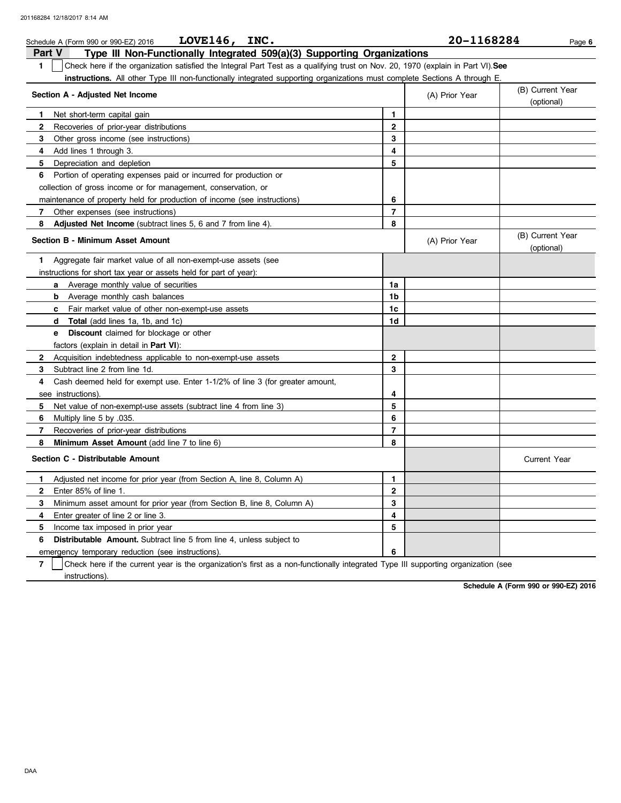| LOVE146,<br>INC.<br>Schedule A (Form 990 or 990-EZ) 2016                                                                               |                         | 20-1168284     | Page 6                         |
|----------------------------------------------------------------------------------------------------------------------------------------|-------------------------|----------------|--------------------------------|
| Type III Non-Functionally Integrated 509(a)(3) Supporting Organizations<br>Part V                                                      |                         |                |                                |
| Check here if the organization satisfied the Integral Part Test as a qualifying trust on Nov. 20, 1970 (explain in Part VI). See<br>1. |                         |                |                                |
| instructions. All other Type III non-functionally integrated supporting organizations must complete Sections A through E.              |                         |                |                                |
| Section A - Adjusted Net Income                                                                                                        |                         | (A) Prior Year | (B) Current Year               |
|                                                                                                                                        |                         |                | (optional)                     |
| Net short-term capital gain<br>$\mathbf 1$                                                                                             | 1                       |                |                                |
| $\mathbf{2}$<br>Recoveries of prior-year distributions                                                                                 | $\mathbf{2}$            |                |                                |
| 3<br>Other gross income (see instructions)                                                                                             | 3                       |                |                                |
| Add lines 1 through 3.<br>4                                                                                                            | 4                       |                |                                |
| 5<br>Depreciation and depletion                                                                                                        | 5                       |                |                                |
| Portion of operating expenses paid or incurred for production or<br>6                                                                  |                         |                |                                |
| collection of gross income or for management, conservation, or                                                                         |                         |                |                                |
| maintenance of property held for production of income (see instructions)                                                               | 6                       |                |                                |
| Other expenses (see instructions)<br>7                                                                                                 | $\overline{7}$          |                |                                |
| Adjusted Net Income (subtract lines 5, 6 and 7 from line 4).<br>8                                                                      | 8                       |                |                                |
| Section B - Minimum Asset Amount                                                                                                       |                         | (A) Prior Year | (B) Current Year<br>(optional) |
| Aggregate fair market value of all non-exempt-use assets (see<br>1.                                                                    |                         |                |                                |
| instructions for short tax year or assets held for part of year):                                                                      |                         |                |                                |
| <b>a</b> Average monthly value of securities                                                                                           | 1a                      |                |                                |
| <b>b</b> Average monthly cash balances                                                                                                 | 1b                      |                |                                |
| <b>c</b> Fair market value of other non-exempt-use assets                                                                              | 1c                      |                |                                |
| <b>d Total</b> (add lines 1a, 1b, and 1c)                                                                                              | 1d                      |                |                                |
| <b>e</b> Discount claimed for blockage or other                                                                                        |                         |                |                                |
| factors (explain in detail in Part VI):                                                                                                |                         |                |                                |
| Acquisition indebtedness applicable to non-exempt-use assets<br>$\mathbf{2}$                                                           | $\mathbf{2}$            |                |                                |
| Subtract line 2 from line 1d.<br>3                                                                                                     | 3                       |                |                                |
| Cash deemed held for exempt use. Enter 1-1/2% of line 3 (for greater amount,<br>4                                                      |                         |                |                                |
| see instructions).                                                                                                                     | 4                       |                |                                |
| 5<br>Net value of non-exempt-use assets (subtract line 4 from line 3)                                                                  | 5                       |                |                                |
| Multiply line 5 by 035.<br>6.                                                                                                          | 6                       |                |                                |
| $\mathbf{7}$<br>Recoveries of prior-year distributions                                                                                 | $\overline{\mathbf{r}}$ |                |                                |
| 8<br>Minimum Asset Amount (add line 7 to line 6)                                                                                       | 8                       |                |                                |
| Section C - Distributable Amount                                                                                                       |                         |                | <b>Current Year</b>            |
| Adjusted net income for prior year (from Section A, line 8, Column A)<br>1.                                                            | 1.                      |                |                                |
| $\mathbf{2}$<br>Enter 85% of line 1.                                                                                                   | $\mathbf{2}$            |                |                                |
| 3<br>Minimum asset amount for prior year (from Section B, line 8, Column A)                                                            | 3                       |                |                                |
| Enter greater of line 2 or line 3.<br>4                                                                                                | 4                       |                |                                |
| 5<br>Income tax imposed in prior year                                                                                                  | 5                       |                |                                |
| <b>Distributable Amount.</b> Subtract line 5 from line 4, unless subject to<br>6                                                       |                         |                |                                |
| emergency temporary reduction (see instructions).                                                                                      | 6                       |                |                                |

**7** instructions). Check here if the current year is the organization's first as a non-functionally integrated Type III supporting organization (see

**Schedule A (Form 990 or 990-EZ) 2016**

DAA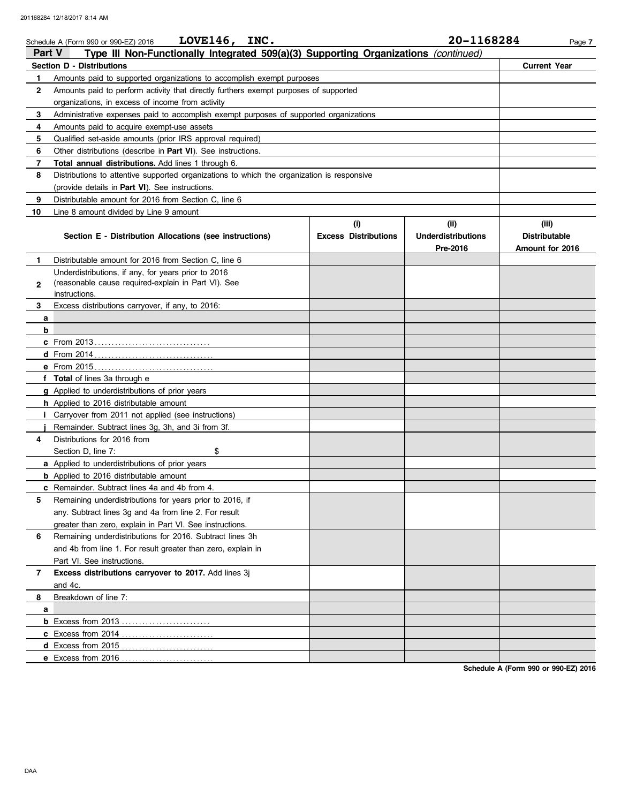|              | 20-1168284<br>LOVE146, INC.<br>Schedule A (Form 990 or 990-EZ) 2016<br>Page 7                              |                             |                           |                      |  |  |  |  |
|--------------|------------------------------------------------------------------------------------------------------------|-----------------------------|---------------------------|----------------------|--|--|--|--|
| Part V       | Type III Non-Functionally Integrated 509(a)(3) Supporting Organizations (continued)                        |                             |                           |                      |  |  |  |  |
|              | Section D - Distributions                                                                                  |                             |                           | <b>Current Year</b>  |  |  |  |  |
| 1            | Amounts paid to supported organizations to accomplish exempt purposes                                      |                             |                           |                      |  |  |  |  |
| $\mathbf{2}$ | Amounts paid to perform activity that directly furthers exempt purposes of supported                       |                             |                           |                      |  |  |  |  |
|              | organizations, in excess of income from activity                                                           |                             |                           |                      |  |  |  |  |
| 3            | Administrative expenses paid to accomplish exempt purposes of supported organizations                      |                             |                           |                      |  |  |  |  |
| 4            | Amounts paid to acquire exempt-use assets                                                                  |                             |                           |                      |  |  |  |  |
| 5            | Qualified set-aside amounts (prior IRS approval required)                                                  |                             |                           |                      |  |  |  |  |
| 6            | Other distributions (describe in <b>Part VI</b> ). See instructions.                                       |                             |                           |                      |  |  |  |  |
| 7            | <b>Total annual distributions.</b> Add lines 1 through 6.                                                  |                             |                           |                      |  |  |  |  |
| 8            | Distributions to attentive supported organizations to which the organization is responsive                 |                             |                           |                      |  |  |  |  |
|              | (provide details in <b>Part VI</b> ). See instructions.                                                    |                             |                           |                      |  |  |  |  |
| 9            | Distributable amount for 2016 from Section C, line 6                                                       |                             |                           |                      |  |  |  |  |
| 10           | Line 8 amount divided by Line 9 amount                                                                     |                             |                           |                      |  |  |  |  |
|              |                                                                                                            | (i)                         | (ii)                      | (iii)                |  |  |  |  |
|              | Section E - Distribution Allocations (see instructions)                                                    | <b>Excess Distributions</b> | <b>Underdistributions</b> | <b>Distributable</b> |  |  |  |  |
|              |                                                                                                            |                             | Pre-2016                  | Amount for 2016      |  |  |  |  |
| 1.           | Distributable amount for 2016 from Section C, line 6                                                       |                             |                           |                      |  |  |  |  |
|              | Underdistributions, if any, for years prior to 2016<br>(reasonable cause required-explain in Part VI). See |                             |                           |                      |  |  |  |  |
| 2            | instructions.                                                                                              |                             |                           |                      |  |  |  |  |
| 3            | Excess distributions carryover, if any, to 2016:                                                           |                             |                           |                      |  |  |  |  |
| a            |                                                                                                            |                             |                           |                      |  |  |  |  |
| b            |                                                                                                            |                             |                           |                      |  |  |  |  |
|              |                                                                                                            |                             |                           |                      |  |  |  |  |
|              |                                                                                                            |                             |                           |                      |  |  |  |  |
|              |                                                                                                            |                             |                           |                      |  |  |  |  |
|              | f Total of lines 3a through e                                                                              |                             |                           |                      |  |  |  |  |
|              | g Applied to underdistributions of prior years                                                             |                             |                           |                      |  |  |  |  |
|              | h Applied to 2016 distributable amount                                                                     |                             |                           |                      |  |  |  |  |
|              | <i>i</i> Carryover from 2011 not applied (see instructions)                                                |                             |                           |                      |  |  |  |  |
|              | Remainder. Subtract lines 3g, 3h, and 3i from 3f.                                                          |                             |                           |                      |  |  |  |  |
| 4            | Distributions for 2016 from                                                                                |                             |                           |                      |  |  |  |  |
|              | Section D, line 7:<br>\$                                                                                   |                             |                           |                      |  |  |  |  |
|              | a Applied to underdistributions of prior years                                                             |                             |                           |                      |  |  |  |  |
|              | <b>b</b> Applied to 2016 distributable amount                                                              |                             |                           |                      |  |  |  |  |
|              | <b>c</b> Remainder. Subtract lines 4a and 4b from 4.                                                       |                             |                           |                      |  |  |  |  |
| 5            | Remaining underdistributions for years prior to 2016, if                                                   |                             |                           |                      |  |  |  |  |
|              | any. Subtract lines 3g and 4a from line 2. For result                                                      |                             |                           |                      |  |  |  |  |
|              | greater than zero, explain in Part VI. See instructions.                                                   |                             |                           |                      |  |  |  |  |
| 6            | Remaining underdistributions for 2016. Subtract lines 3h                                                   |                             |                           |                      |  |  |  |  |
|              | and 4b from line 1. For result greater than zero, explain in                                               |                             |                           |                      |  |  |  |  |
|              | Part VI. See instructions.                                                                                 |                             |                           |                      |  |  |  |  |
| 7            | Excess distributions carryover to 2017. Add lines 3j                                                       |                             |                           |                      |  |  |  |  |
|              | and 4c.                                                                                                    |                             |                           |                      |  |  |  |  |
| 8            | Breakdown of line 7:                                                                                       |                             |                           |                      |  |  |  |  |
| a            |                                                                                                            |                             |                           |                      |  |  |  |  |
|              |                                                                                                            |                             |                           |                      |  |  |  |  |
|              |                                                                                                            |                             |                           |                      |  |  |  |  |
|              |                                                                                                            |                             |                           |                      |  |  |  |  |
|              |                                                                                                            |                             |                           |                      |  |  |  |  |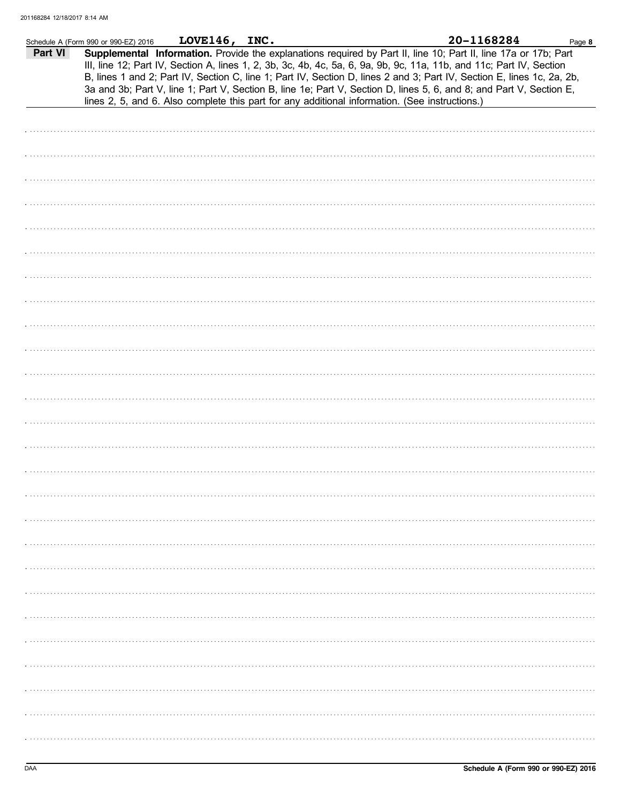|         | Schedule A (Form 990 or 990-EZ) 2016 | LOVE146, INC. |  | 20-1168284                                                                                                                                                                                                                                                                                                                                                                                                                                                                                                                                                                                 | Page 8 |
|---------|--------------------------------------|---------------|--|--------------------------------------------------------------------------------------------------------------------------------------------------------------------------------------------------------------------------------------------------------------------------------------------------------------------------------------------------------------------------------------------------------------------------------------------------------------------------------------------------------------------------------------------------------------------------------------------|--------|
| Part VI |                                      |               |  | Supplemental Information. Provide the explanations required by Part II, line 10; Part II, line 17a or 17b; Part<br>III, line 12; Part IV, Section A, lines 1, 2, 3b, 3c, 4b, 4c, 5a, 6, 9a, 9b, 9c, 11a, 11b, and 11c; Part IV, Section<br>B, lines 1 and 2; Part IV, Section C, line 1; Part IV, Section D, lines 2 and 3; Part IV, Section E, lines 1c, 2a, 2b,<br>3a and 3b; Part V, line 1; Part V, Section B, line 1e; Part V, Section D, lines 5, 6, and 8; and Part V, Section E,<br>lines 2, 5, and 6. Also complete this part for any additional information. (See instructions.) |        |
|         |                                      |               |  |                                                                                                                                                                                                                                                                                                                                                                                                                                                                                                                                                                                            |        |
|         |                                      |               |  |                                                                                                                                                                                                                                                                                                                                                                                                                                                                                                                                                                                            |        |
|         |                                      |               |  |                                                                                                                                                                                                                                                                                                                                                                                                                                                                                                                                                                                            |        |
|         |                                      |               |  |                                                                                                                                                                                                                                                                                                                                                                                                                                                                                                                                                                                            |        |
|         |                                      |               |  |                                                                                                                                                                                                                                                                                                                                                                                                                                                                                                                                                                                            |        |
|         |                                      |               |  |                                                                                                                                                                                                                                                                                                                                                                                                                                                                                                                                                                                            |        |
|         |                                      |               |  |                                                                                                                                                                                                                                                                                                                                                                                                                                                                                                                                                                                            |        |
|         |                                      |               |  |                                                                                                                                                                                                                                                                                                                                                                                                                                                                                                                                                                                            |        |
|         |                                      |               |  |                                                                                                                                                                                                                                                                                                                                                                                                                                                                                                                                                                                            |        |
|         |                                      |               |  |                                                                                                                                                                                                                                                                                                                                                                                                                                                                                                                                                                                            |        |
|         |                                      |               |  |                                                                                                                                                                                                                                                                                                                                                                                                                                                                                                                                                                                            |        |
|         |                                      |               |  |                                                                                                                                                                                                                                                                                                                                                                                                                                                                                                                                                                                            |        |
|         |                                      |               |  |                                                                                                                                                                                                                                                                                                                                                                                                                                                                                                                                                                                            |        |
|         |                                      |               |  |                                                                                                                                                                                                                                                                                                                                                                                                                                                                                                                                                                                            |        |
|         |                                      |               |  |                                                                                                                                                                                                                                                                                                                                                                                                                                                                                                                                                                                            |        |
|         |                                      |               |  |                                                                                                                                                                                                                                                                                                                                                                                                                                                                                                                                                                                            |        |
|         |                                      |               |  |                                                                                                                                                                                                                                                                                                                                                                                                                                                                                                                                                                                            |        |
|         |                                      |               |  |                                                                                                                                                                                                                                                                                                                                                                                                                                                                                                                                                                                            |        |
|         |                                      |               |  |                                                                                                                                                                                                                                                                                                                                                                                                                                                                                                                                                                                            |        |
|         |                                      |               |  |                                                                                                                                                                                                                                                                                                                                                                                                                                                                                                                                                                                            |        |
|         |                                      |               |  |                                                                                                                                                                                                                                                                                                                                                                                                                                                                                                                                                                                            |        |
|         |                                      |               |  |                                                                                                                                                                                                                                                                                                                                                                                                                                                                                                                                                                                            |        |
|         |                                      |               |  |                                                                                                                                                                                                                                                                                                                                                                                                                                                                                                                                                                                            |        |
|         |                                      |               |  |                                                                                                                                                                                                                                                                                                                                                                                                                                                                                                                                                                                            |        |
|         |                                      |               |  |                                                                                                                                                                                                                                                                                                                                                                                                                                                                                                                                                                                            |        |
|         |                                      |               |  |                                                                                                                                                                                                                                                                                                                                                                                                                                                                                                                                                                                            |        |
|         |                                      |               |  |                                                                                                                                                                                                                                                                                                                                                                                                                                                                                                                                                                                            |        |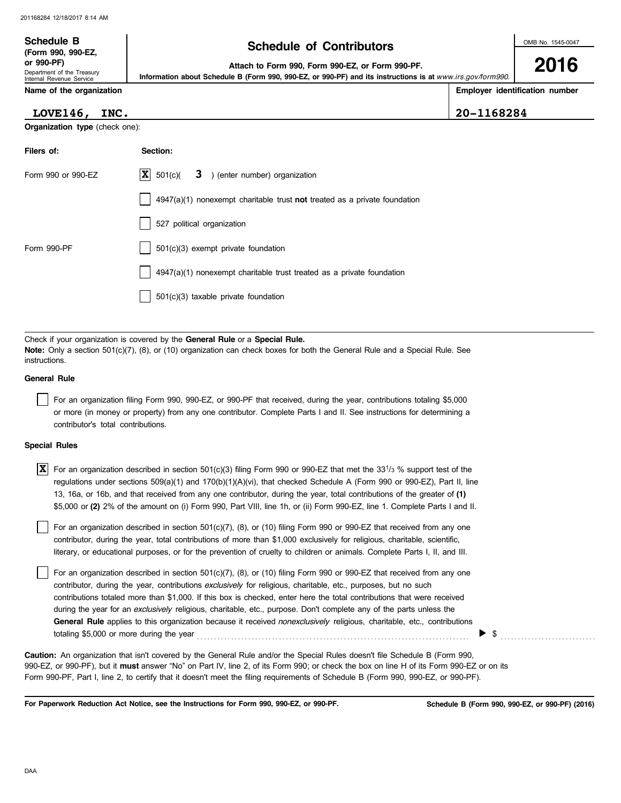Department of the Treasury Internal Revenue Service

**(Form 990, 990-EZ,**

# **Schedule of Contributors Schedule B**

**2016**

**or 990-PF) Attach to Form 990, Form 990-EZ, or Form 990-PF.**

 **Information about Schedule B (Form 990, 990-EZ, or 990-PF) and its instructions is at** *www.irs.gov/form990.*

**Employer identification number**

| Name of the organization |     |  |
|--------------------------|-----|--|
| 7.277777777              | $-$ |  |

**Filers of: Section:**

Form 990 or 990-EZ  $\overline{\mathbf{X}}$  501(c)( **3** ) (enter number) organization

 $\overline{\mathbf{X}}$  **501(c)(** 

**Organization type** (check one):

**LOVE146, INC. 20-1168284**

|                     | $4947(a)(1)$ nonexempt charitable trust not treated as a private foundation                                                                                                                                                                                                                                                                                                                                                                                                                                                                                                                                                                                        |  |
|---------------------|--------------------------------------------------------------------------------------------------------------------------------------------------------------------------------------------------------------------------------------------------------------------------------------------------------------------------------------------------------------------------------------------------------------------------------------------------------------------------------------------------------------------------------------------------------------------------------------------------------------------------------------------------------------------|--|
|                     | 527 political organization                                                                                                                                                                                                                                                                                                                                                                                                                                                                                                                                                                                                                                         |  |
| Form 990-PF         | 501(c)(3) exempt private foundation                                                                                                                                                                                                                                                                                                                                                                                                                                                                                                                                                                                                                                |  |
|                     | 4947(a)(1) nonexempt charitable trust treated as a private foundation                                                                                                                                                                                                                                                                                                                                                                                                                                                                                                                                                                                              |  |
|                     | 501(c)(3) taxable private foundation                                                                                                                                                                                                                                                                                                                                                                                                                                                                                                                                                                                                                               |  |
|                     |                                                                                                                                                                                                                                                                                                                                                                                                                                                                                                                                                                                                                                                                    |  |
| instructions.       | Check if your organization is covered by the General Rule or a Special Rule.<br><b>Note:</b> Only a section 501(c)(7), (8), or (10) organization can check boxes for both the General Rule and a Special Rule. See                                                                                                                                                                                                                                                                                                                                                                                                                                                 |  |
| <b>General Rule</b> |                                                                                                                                                                                                                                                                                                                                                                                                                                                                                                                                                                                                                                                                    |  |
|                     | For an organization filing Form 990, 990-EZ, or 990-PF that received, during the year, contributions totaling \$5,000<br>or more (in money or property) from any one contributor. Complete Parts I and II. See instructions for determining a<br>contributor's total contributions.                                                                                                                                                                                                                                                                                                                                                                                |  |
|                     | <b>Special Rules</b>                                                                                                                                                                                                                                                                                                                                                                                                                                                                                                                                                                                                                                               |  |
| IXI                 | For an organization described in section 501(c)(3) filing Form 990 or 990-EZ that met the 33 <sup>1</sup> / <sub>3</sub> % support test of the<br>regulations under sections $509(a)(1)$ and $170(b)(1)(A)(vi)$ , that checked Schedule A (Form 990 or 990-EZ), Part II, line<br>13, 16a, or 16b, and that received from any one contributor, during the year, total contributions of the greater of (1)<br>\$5,000 or (2) 2% of the amount on (i) Form 990, Part VIII, line 1h, or (ii) Form 990-EZ, line 1. Complete Parts I and II.                                                                                                                             |  |
|                     | For an organization described in section 501(c)(7), (8), or (10) filing Form 990 or 990-EZ that received from any one<br>contributor, during the year, total contributions of more than \$1,000 exclusively for religious, charitable, scientific,<br>literary, or educational purposes, or for the prevention of cruelty to children or animals. Complete Parts I, II, and III.                                                                                                                                                                                                                                                                                   |  |
|                     | For an organization described in section $501(c)(7)$ , (8), or (10) filing Form 990 or 990-EZ that received from any one<br>contributor, during the year, contributions exclusively for religious, charitable, etc., purposes, but no such<br>contributions totaled more than \$1,000. If this box is checked, enter here the total contributions that were received<br>during the year for an exclusively religious, charitable, etc., purpose. Don't complete any of the parts unless the<br>General Rule applies to this organization because it received nonexclusively religious, charitable, etc., contributions<br>totaling \$5,000 or more during the year |  |
|                     | Coution: An erganization that jen't covered by the Coneral Pule and/or the Special Pules decen't file Schodule B (Ferm 000                                                                                                                                                                                                                                                                                                                                                                                                                                                                                                                                         |  |

990-EZ, or 990-PF), but it **must** answer "No" on Part IV, line 2, of its Form 990; or check the box on line H of its Form 990-EZ or on its Form 990-PF, Part I, line 2, to certify that it doesn't meet the filing requirements of Schedule B (Form 990, 990-EZ, or 990-PF). **Caution:** An organization that isn't covered by the General Rule and/or the Special Rules doesn't file Schedule B (Form 990,

**For Paperwork Reduction Act Notice, see the Instructions for Form 990, 990-EZ, or 990-PF.**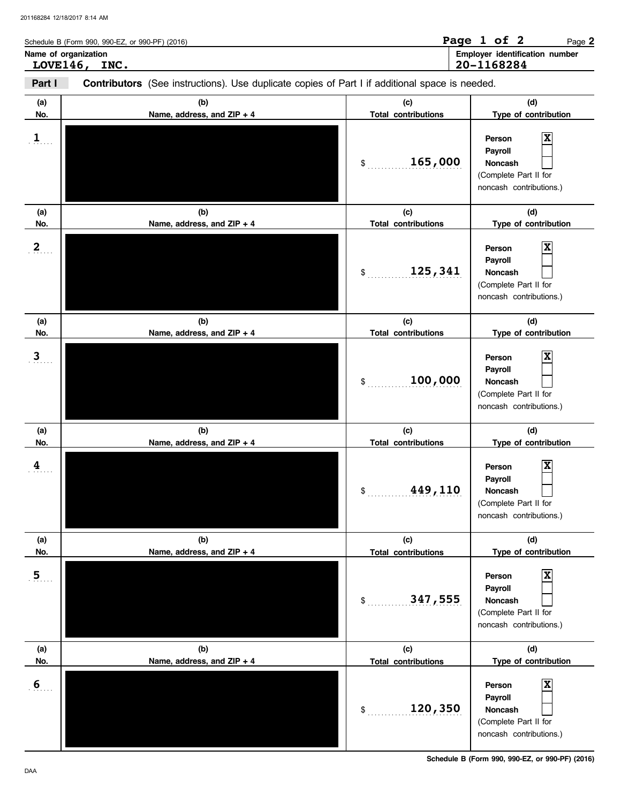|                         | 201168284 12/18/2017 8:14 AM                                                                   |                                                        |                                                                                                                              |
|-------------------------|------------------------------------------------------------------------------------------------|--------------------------------------------------------|------------------------------------------------------------------------------------------------------------------------------|
| LOVE $146,$             | Schedule B (Form 990, 990-EZ, or 990-PF) (2016)<br>Name of organization<br>INC.                |                                                        | Page 1 of 2<br>Page 2<br>Employer identification number<br>20-1168284                                                        |
| Part I                  | Contributors (See instructions). Use duplicate copies of Part I if additional space is needed. |                                                        |                                                                                                                              |
| (a)<br>No.              | (b)<br>Name, address, and ZIP + 4                                                              | (c)<br><b>Total contributions</b>                      | (d)<br>Type of contribution                                                                                                  |
| $\overline{1}$          |                                                                                                | 165,000<br>\$                                          | X<br>Person<br>Payroll<br>Noncash<br>(Complete Part II for<br>noncash contributions.)                                        |
| (a)                     | (b)                                                                                            | (c)                                                    | (d)                                                                                                                          |
| No.<br>$\overline{2}$   | Name, address, and ZIP + 4                                                                     | <b>Total contributions</b><br>125,341<br>\$            | Type of contribution<br>X<br>Person<br>Payroll<br>Noncash<br>(Complete Part II for<br>noncash contributions.)                |
| (a)<br>No.              | (b)<br>Name, address, and ZIP + 4                                                              | (c)<br><b>Total contributions</b>                      | (d)<br>Type of contribution                                                                                                  |
| $\overline{\mathbf{3}}$ |                                                                                                | 100,000<br>\$                                          | X<br>Person<br><b>Payroll</b><br>Noncash<br>(Complete Part II for<br>noncash contributions.)                                 |
| (a)                     | (b)                                                                                            | (c)                                                    | (d)                                                                                                                          |
| No.<br>$\frac{4}{1}$    | Name, address, and ZIP + 4                                                                     | <b>Total contributions</b><br>449,110<br>$\mathfrak s$ | Type of contribution<br><b>Gol</b><br>Person<br> X<br>Payroll<br>Noncash<br>(Complete Part II for<br>noncash contributions.) |
| (a)                     | (b)<br>Name, address, and ZIP + 4                                                              | (c)<br><b>Total contributions</b>                      | (d)<br>Type of contribution                                                                                                  |
| No.<br>5 <sub>1</sub>   |                                                                                                | 347,555<br>$\sim$                                      | $\overline{\mathbf{x}}$<br>Person<br>Payroll<br>Noncash<br>(Complete Part II for<br>noncash contributions.)                  |

**(a) (b) (c) (d)** No. No. Name, address, and ZIP + 4 **Total contributions** Type of contribution

. . . . . . . . . . . . . . . . . . . . . . . . . . . . . . . . . . . . . . . . . . . . . . . . . . . . . . . . . . . . . . . . . . . . . . . . . . . . . . . . . . . . . . . . . . . . . . . . . . . . . . . . . . . . . . . . . . . . . . . . . . . . . . . . . . . . . . . . . . . . . . . . . . . . . . . . . . . .

. . . . . . . . . . . . . . . . . . . . . . . . . . . . . . . . . . . . . . . . . . . . . . . . . . . . . . . . . . . . . . . . . . . . . . . . . . . . . .

**6 NATIONAL CHRISTIAN FOUNDATION** 

| noncash contributions.) |
|-------------------------|
|                         |

**Person Payroll Noncash**

\$ . . . . . . . . . . . . . . . . . . . . . . . . . . . . **120,350**

**Total contributions**

(Complete Part II for

**X**

 $.6$ . . . .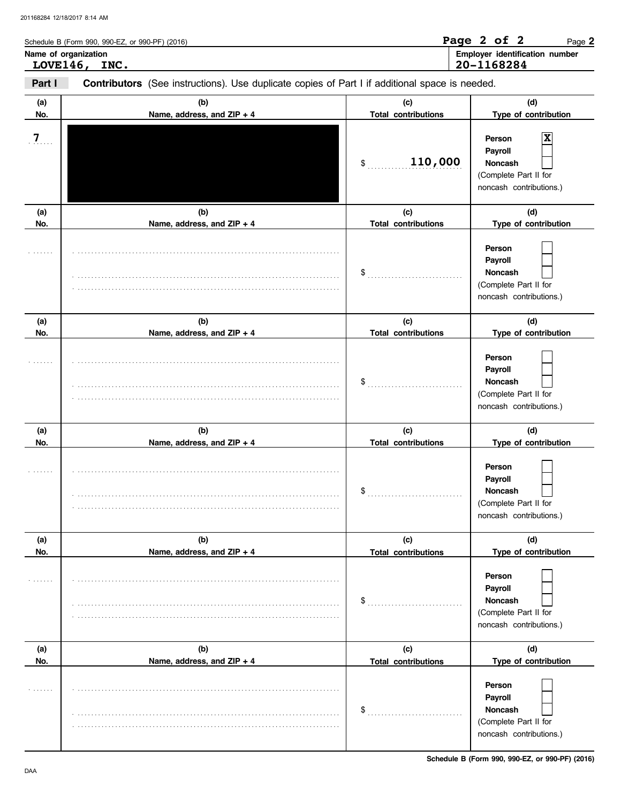|                    | Name of organization<br>LOVE146,<br>INC.                                                       |                                   | Employer identification number<br>20-1168284                                                             |
|--------------------|------------------------------------------------------------------------------------------------|-----------------------------------|----------------------------------------------------------------------------------------------------------|
| Part I             | Contributors (See instructions). Use duplicate copies of Part I if additional space is needed. |                                   |                                                                                                          |
| (a)<br>No.         | (b)<br>Name, address, and ZIP + 4                                                              | (c)<br><b>Total contributions</b> | (d)<br>Type of contribution                                                                              |
| $\overline{Z}$     |                                                                                                | 110,000<br>$\frac{1}{2}$          | X<br>Person<br><b>Payroll</b><br>Noncash<br>(Complete Part II for<br>noncash contributions.)             |
| (a)<br>No.         | (b)<br>Name, address, and ZIP + 4                                                              | (c)<br><b>Total contributions</b> | (d)<br>Type of contribution                                                                              |
|                    |                                                                                                | $\frac{1}{2}$                     | Person<br>Payroll<br>Noncash<br>(Complete Part II for<br>noncash contributions.)                         |
| (a)                | (b)                                                                                            | (c)                               | (d)                                                                                                      |
| No.                | Name, address, and ZIP + 4                                                                     | <b>Total contributions</b>        | Type of contribution                                                                                     |
|                    |                                                                                                | $\frac{1}{2}$                     | Person<br>Payroll<br>Noncash<br>(Complete Part II for<br>noncash contributions.)                         |
| (a)                | (b)                                                                                            | (c)<br><b>Total contributions</b> | (d)                                                                                                      |
| No.<br>1.1.1.1.1.1 | Name, address, and ZIP + 4                                                                     | \$                                | Type of contribution<br>Person<br>Payroll<br>Noncash<br>(Complete Part II for<br>noncash contributions.) |
| (a)<br>No.         | (b)<br>Name, address, and ZIP + 4                                                              | (c)<br><b>Total contributions</b> | (d)<br>Type of contribution                                                                              |
|                    |                                                                                                | \$                                | Person<br>Payroll<br>Noncash<br>(Complete Part II for<br>noncash contributions.)                         |
| (a)                | (b)                                                                                            | (c)                               | (d)                                                                                                      |
| No.                | Name, address, and ZIP + 4                                                                     | <b>Total contributions</b>        | Type of contribution                                                                                     |
|                    |                                                                                                | \$                                | Person<br>Payroll<br>Noncash<br>(Complete Part II for<br>noncash contributions.)                         |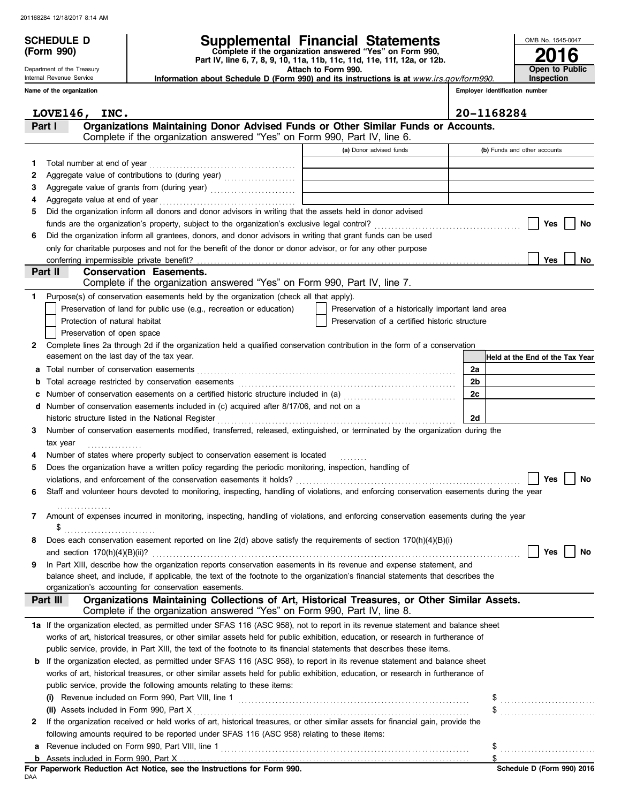**(Form 990)**

Department of the Treasury Internal Revenue Service

# **SCHEDULE D Supplemental Financial Statements**

**Part IV, line 6, 7, 8, 9, 10, 11a, 11b, 11c, 11d, 11e, 11f, 12a, or 12b. Complete if the organization answered "Yes" on Form 990,**

 **Attach to Form 990. Information about Schedule D (Form 990) and its instructions is at** *www.irs.gov/form990.*

**Employer identification number Inspection**

**2016**

**Open to Public**

OMB No. 1545-0047

|    | Name of the organization                                                                                                                                                              |                                                    |    | Employer identification number  |
|----|---------------------------------------------------------------------------------------------------------------------------------------------------------------------------------------|----------------------------------------------------|----|---------------------------------|
|    | LOVE146, INC.                                                                                                                                                                         |                                                    |    | 20-1168284                      |
|    | Organizations Maintaining Donor Advised Funds or Other Similar Funds or Accounts.<br>Part I<br>Complete if the organization answered "Yes" on Form 990, Part IV, line 6.              |                                                    |    |                                 |
|    |                                                                                                                                                                                       | (a) Donor advised funds                            |    | (b) Funds and other accounts    |
| 1. | Total number at end of year                                                                                                                                                           |                                                    |    |                                 |
| 2  | Aggregate value of contributions to (during year)                                                                                                                                     |                                                    |    |                                 |
| 3  |                                                                                                                                                                                       |                                                    |    |                                 |
| 4  |                                                                                                                                                                                       |                                                    |    |                                 |
| 5  | Did the organization inform all donors and donor advisors in writing that the assets held in donor advised                                                                            |                                                    |    |                                 |
|    |                                                                                                                                                                                       |                                                    |    | Yes<br>No                       |
| 6  | Did the organization inform all grantees, donors, and donor advisors in writing that grant funds can be used                                                                          |                                                    |    |                                 |
|    | only for charitable purposes and not for the benefit of the donor or donor advisor, or for any other purpose                                                                          |                                                    |    |                                 |
|    |                                                                                                                                                                                       |                                                    |    | Yes<br>No                       |
|    | Part II<br><b>Conservation Easements.</b><br>Complete if the organization answered "Yes" on Form 990, Part IV, line 7.                                                                |                                                    |    |                                 |
| 1. | Purpose(s) of conservation easements held by the organization (check all that apply).                                                                                                 |                                                    |    |                                 |
|    | Preservation of land for public use (e.g., recreation or education)                                                                                                                   | Preservation of a historically important land area |    |                                 |
|    | Protection of natural habitat                                                                                                                                                         | Preservation of a certified historic structure     |    |                                 |
|    | Preservation of open space                                                                                                                                                            |                                                    |    |                                 |
| 2  | Complete lines 2a through 2d if the organization held a qualified conservation contribution in the form of a conservation                                                             |                                                    |    |                                 |
|    | easement on the last day of the tax year.                                                                                                                                             |                                                    |    | Held at the End of the Tax Year |
| а  |                                                                                                                                                                                       |                                                    | 2a |                                 |
| b  |                                                                                                                                                                                       |                                                    | 2b |                                 |
| с  | Number of conservation easements on a certified historic structure included in (a) [11] Number of conservation easements on a certified historic structure included in (a)            |                                                    | 2c |                                 |
| d  | Number of conservation easements included in (c) acquired after 8/17/06, and not on a                                                                                                 |                                                    |    |                                 |
|    | historic structure listed in the National Register                                                                                                                                    |                                                    | 2d |                                 |
| 3  | Number of conservation easements modified, transferred, released, extinguished, or terminated by the organization during the                                                          |                                                    |    |                                 |
|    | tax year                                                                                                                                                                              |                                                    |    |                                 |
|    | Number of states where property subject to conservation easement is located                                                                                                           |                                                    |    |                                 |
| 5  | Does the organization have a written policy regarding the periodic monitoring, inspection, handling of                                                                                |                                                    |    | Yes<br>No                       |
| 6  | Staff and volunteer hours devoted to monitoring, inspecting, handling of violations, and enforcing conservation easements during the year                                             |                                                    |    |                                 |
|    |                                                                                                                                                                                       |                                                    |    |                                 |
| 7  | Amount of expenses incurred in monitoring, inspecting, handling of violations, and enforcing conservation easements during the year                                                   |                                                    |    |                                 |
|    | \$                                                                                                                                                                                    |                                                    |    |                                 |
|    | Does each conservation easement reported on line $2(d)$ above satisfy the requirements of section $170(h)(4)(B)(i)$                                                                   |                                                    |    |                                 |
|    |                                                                                                                                                                                       |                                                    |    | Yes<br>No                       |
| 9  | In Part XIII, describe how the organization reports conservation easements in its revenue and expense statement, and                                                                  |                                                    |    |                                 |
|    | balance sheet, and include, if applicable, the text of the footnote to the organization's financial statements that describes the                                                     |                                                    |    |                                 |
|    | organization's accounting for conservation easements.                                                                                                                                 |                                                    |    |                                 |
|    | Organizations Maintaining Collections of Art, Historical Treasures, or Other Similar Assets.<br>Part III<br>Complete if the organization answered "Yes" on Form 990, Part IV, line 8. |                                                    |    |                                 |
|    | 1a If the organization elected, as permitted under SFAS 116 (ASC 958), not to report in its revenue statement and balance sheet                                                       |                                                    |    |                                 |
|    | works of art, historical treasures, or other similar assets held for public exhibition, education, or research in furtherance of                                                      |                                                    |    |                                 |
|    | public service, provide, in Part XIII, the text of the footnote to its financial statements that describes these items.                                                               |                                                    |    |                                 |
| b  | If the organization elected, as permitted under SFAS 116 (ASC 958), to report in its revenue statement and balance sheet                                                              |                                                    |    |                                 |
|    | works of art, historical treasures, or other similar assets held for public exhibition, education, or research in furtherance of                                                      |                                                    |    |                                 |
|    | public service, provide the following amounts relating to these items:                                                                                                                |                                                    |    |                                 |
|    |                                                                                                                                                                                       |                                                    |    |                                 |
|    | (ii) Assets included in Form 990, Part X                                                                                                                                              |                                                    |    |                                 |
| 2  | If the organization received or held works of art, historical treasures, or other similar assets for financial gain, provide the                                                      |                                                    |    |                                 |
|    | following amounts required to be reported under SFAS 116 (ASC 958) relating to these items:                                                                                           |                                                    |    |                                 |
| а  |                                                                                                                                                                                       |                                                    |    |                                 |
|    |                                                                                                                                                                                       |                                                    |    |                                 |

DAA **For Paperwork Reduction Act Notice, see the Instructions for Form 990.**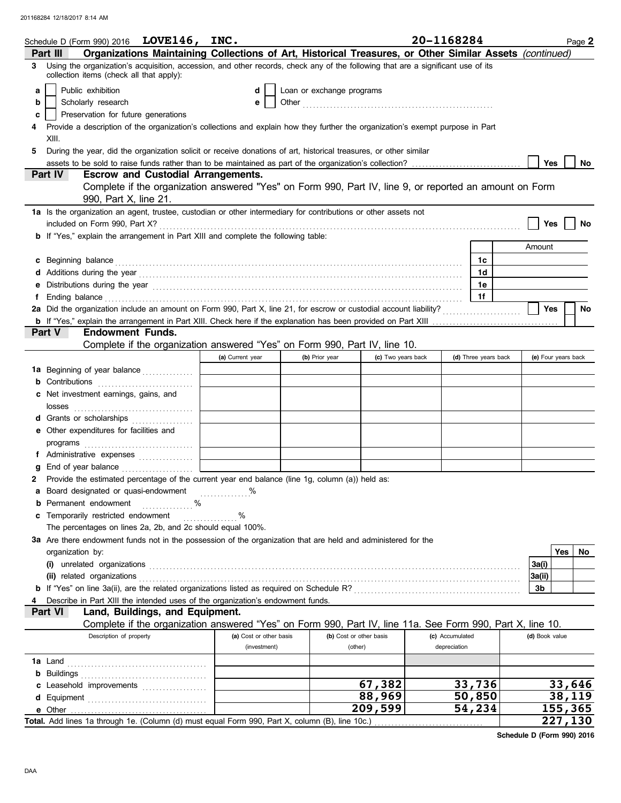|   | Schedule D (Form 990) 2016 $LOVE146$ , INC.                                                                                                                                                                                          |                         |                           |                         | 20-1168284      |                      |                     | Page 2    |
|---|--------------------------------------------------------------------------------------------------------------------------------------------------------------------------------------------------------------------------------------|-------------------------|---------------------------|-------------------------|-----------------|----------------------|---------------------|-----------|
|   | Organizations Maintaining Collections of Art, Historical Treasures, or Other Similar Assets (continued)<br>Part III                                                                                                                  |                         |                           |                         |                 |                      |                     |           |
| 3 | Using the organization's acquisition, accession, and other records, check any of the following that are a significant use of its<br>collection items (check all that apply):                                                         |                         |                           |                         |                 |                      |                     |           |
| a | Public exhibition                                                                                                                                                                                                                    | d                       | Loan or exchange programs |                         |                 |                      |                     |           |
| b | Scholarly research<br>е                                                                                                                                                                                                              |                         |                           |                         |                 |                      |                     |           |
| c | Preservation for future generations                                                                                                                                                                                                  |                         |                           |                         |                 |                      |                     |           |
|   | Provide a description of the organization's collections and explain how they further the organization's exempt purpose in Part                                                                                                       |                         |                           |                         |                 |                      |                     |           |
|   | XIII.                                                                                                                                                                                                                                |                         |                           |                         |                 |                      |                     |           |
| 5 | During the year, did the organization solicit or receive donations of art, historical treasures, or other similar                                                                                                                    |                         |                           |                         |                 |                      |                     |           |
|   |                                                                                                                                                                                                                                      |                         |                           |                         |                 |                      | Yes                 | No        |
|   | Part IV<br><b>Escrow and Custodial Arrangements.</b>                                                                                                                                                                                 |                         |                           |                         |                 |                      |                     |           |
|   | Complete if the organization answered "Yes" on Form 990, Part IV, line 9, or reported an amount on Form                                                                                                                              |                         |                           |                         |                 |                      |                     |           |
|   | 990, Part X, line 21.                                                                                                                                                                                                                |                         |                           |                         |                 |                      |                     |           |
|   | 1a Is the organization an agent, trustee, custodian or other intermediary for contributions or other assets not                                                                                                                      |                         |                           |                         |                 |                      |                     |           |
|   |                                                                                                                                                                                                                                      |                         |                           |                         |                 |                      | Yes                 | No        |
|   | <b>b</b> If "Yes," explain the arrangement in Part XIII and complete the following table:                                                                                                                                            |                         |                           |                         |                 |                      |                     |           |
|   |                                                                                                                                                                                                                                      |                         |                           |                         |                 |                      | Amount              |           |
|   | c Beginning balance <b>contract the contract of the contract of the contract of the contract of the contract of the contract of the contract of the contract of the contract of the contract of the contract of the contract of </b> |                         |                           |                         |                 | 1c                   |                     |           |
|   |                                                                                                                                                                                                                                      |                         |                           |                         |                 | 1d                   |                     |           |
| е | Distributions during the year manufactured contains and all the year manufactured with the year manufactured with the set of the set of the set of the set of the set of the set of the set of the set of the set of the set o       |                         |                           |                         |                 | 1е                   |                     |           |
|   | Ending balance <b>construction and the construction of the construction</b> of the construction of the construction of the construction of the construction of the construction of the construction of the construction of the cons  |                         |                           |                         |                 | 1f                   |                     |           |
|   | 2a Did the organization include an amount on Form 990, Part X, line 21, for escrow or custodial account liability?                                                                                                                   |                         |                           |                         |                 |                      | Yes                 | <b>No</b> |
|   |                                                                                                                                                                                                                                      |                         |                           |                         |                 |                      |                     |           |
|   | Part V<br><b>Endowment Funds.</b>                                                                                                                                                                                                    |                         |                           |                         |                 |                      |                     |           |
|   | Complete if the organization answered "Yes" on Form 990, Part IV, line 10.                                                                                                                                                           |                         |                           |                         |                 |                      |                     |           |
|   |                                                                                                                                                                                                                                      | (a) Current year        | (b) Prior year            | (c) Two years back      |                 | (d) Three years back | (e) Four years back |           |
|   | 1a Beginning of year balance                                                                                                                                                                                                         |                         |                           |                         |                 |                      |                     |           |
|   | <b>b</b> Contributions <b>contributions</b>                                                                                                                                                                                          |                         |                           |                         |                 |                      |                     |           |
|   | c Net investment earnings, gains, and                                                                                                                                                                                                |                         |                           |                         |                 |                      |                     |           |
|   | d Grants or scholarships                                                                                                                                                                                                             |                         |                           |                         |                 |                      |                     |           |
|   | e Other expenditures for facilities and                                                                                                                                                                                              |                         |                           |                         |                 |                      |                     |           |
|   |                                                                                                                                                                                                                                      |                         |                           |                         |                 |                      |                     |           |
|   | f Administrative expenses                                                                                                                                                                                                            |                         |                           |                         |                 |                      |                     |           |
| g | End of year balance                                                                                                                                                                                                                  |                         |                           |                         |                 |                      |                     |           |
|   | Provide the estimated percentage of the current year end balance (line 1g, column (a)) held as:                                                                                                                                      |                         |                           |                         |                 |                      |                     |           |
|   | a Board designated or quasi-endowment                                                                                                                                                                                                |                         |                           |                         |                 |                      |                     |           |
|   | <b>b</b> Permanent endowment<br>℅                                                                                                                                                                                                    |                         |                           |                         |                 |                      |                     |           |
|   | c Temporarily restricted endowment                                                                                                                                                                                                   | $\%$<br>.               |                           |                         |                 |                      |                     |           |
|   | The percentages on lines 2a, 2b, and 2c should equal 100%.                                                                                                                                                                           |                         |                           |                         |                 |                      |                     |           |
|   | 3a Are there endowment funds not in the possession of the organization that are held and administered for the                                                                                                                        |                         |                           |                         |                 |                      |                     |           |
|   | organization by:                                                                                                                                                                                                                     |                         |                           |                         |                 |                      |                     | Yes<br>No |
|   |                                                                                                                                                                                                                                      |                         |                           |                         |                 |                      | 3a(i)               |           |
|   |                                                                                                                                                                                                                                      |                         |                           |                         |                 |                      | 3a(ii)              |           |
|   |                                                                                                                                                                                                                                      |                         |                           |                         |                 |                      | 3b                  |           |
|   | Describe in Part XIII the intended uses of the organization's endowment funds.                                                                                                                                                       |                         |                           |                         |                 |                      |                     |           |
|   | Land, Buildings, and Equipment.<br>Part VI                                                                                                                                                                                           |                         |                           |                         |                 |                      |                     |           |
|   | Complete if the organization answered "Yes" on Form 990, Part IV, line 11a. See Form 990, Part X, line 10.                                                                                                                           |                         |                           |                         |                 |                      |                     |           |
|   | Description of property                                                                                                                                                                                                              | (a) Cost or other basis |                           | (b) Cost or other basis | (c) Accumulated |                      | (d) Book value      |           |
|   |                                                                                                                                                                                                                                      | (investment)            |                           | (other)                 | depreciation    |                      |                     |           |
|   |                                                                                                                                                                                                                                      |                         |                           |                         |                 |                      |                     |           |
|   |                                                                                                                                                                                                                                      |                         |                           | 67,382                  |                 |                      |                     | 33,646    |
|   | c Leasehold improvements                                                                                                                                                                                                             |                         |                           | 88,969                  |                 | 33,736<br>50,850     |                     | 38,119    |
|   |                                                                                                                                                                                                                                      |                         |                           | 209,599                 |                 | 54,234               |                     | 155,365   |
|   | Total. Add lines 1a through 1e. (Column (d) must equal Form 990, Part X, column (B), line 10c.)                                                                                                                                      |                         |                           |                         |                 |                      |                     | 227,130   |
|   |                                                                                                                                                                                                                                      |                         |                           |                         |                 |                      |                     |           |

**Schedule D (Form 990) 2016**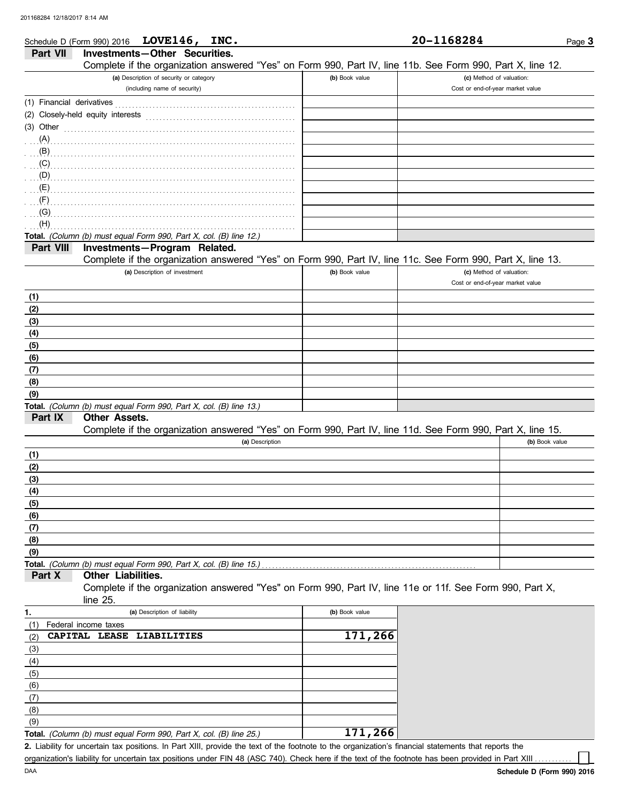|                           | Schedule D (Form 990) 2016 $LOVE146$ ,<br>INC.                                                                          |                | 20-1168284                                                   | Page 3         |
|---------------------------|-------------------------------------------------------------------------------------------------------------------------|----------------|--------------------------------------------------------------|----------------|
| <b>Part VII</b>           | Investments-Other Securities.                                                                                           |                |                                                              |                |
|                           | Complete if the organization answered "Yes" on Form 990, Part IV, line 11b. See Form 990, Part X, line 12.              |                |                                                              |                |
|                           | (a) Description of security or category<br>(including name of security)                                                 | (b) Book value | (c) Method of valuation:<br>Cost or end-of-year market value |                |
| (1) Financial derivatives |                                                                                                                         |                |                                                              |                |
|                           | (2) Closely-held equity interests                                                                                       |                |                                                              |                |
| $(3)$ Other               |                                                                                                                         |                |                                                              |                |
| (A)                       |                                                                                                                         |                |                                                              |                |
| (B)                       |                                                                                                                         |                |                                                              |                |
| (C)                       |                                                                                                                         |                |                                                              |                |
|                           |                                                                                                                         |                |                                                              |                |
|                           |                                                                                                                         |                |                                                              |                |
| (F)                       |                                                                                                                         |                |                                                              |                |
| (G)<br>(H)                |                                                                                                                         |                |                                                              |                |
|                           | Total. (Column (b) must equal Form 990, Part X, col. (B) line 12.)                                                      |                |                                                              |                |
| Part VIII                 | Investments-Program Related.                                                                                            |                |                                                              |                |
|                           | Complete if the organization answered "Yes" on Form 990, Part IV, line 11c. See Form 990, Part X, line 13.              |                |                                                              |                |
|                           | (a) Description of investment                                                                                           | (b) Book value | (c) Method of valuation:<br>Cost or end-of-year market value |                |
| (1)                       |                                                                                                                         |                |                                                              |                |
| (2)                       |                                                                                                                         |                |                                                              |                |
| (3)                       |                                                                                                                         |                |                                                              |                |
| (4)                       |                                                                                                                         |                |                                                              |                |
| (5)                       |                                                                                                                         |                |                                                              |                |
| (6)                       |                                                                                                                         |                |                                                              |                |
| (7)                       |                                                                                                                         |                |                                                              |                |
| (8)                       |                                                                                                                         |                |                                                              |                |
| (9)                       |                                                                                                                         |                |                                                              |                |
|                           | Total. (Column (b) must equal Form 990, Part X, col. (B) line 13.)                                                      |                |                                                              |                |
| Part IX                   | <b>Other Assets.</b>                                                                                                    |                |                                                              |                |
|                           | Complete if the organization answered "Yes" on Form 990, Part IV, line 11d. See Form 990, Part X, line 15.              |                |                                                              |                |
|                           | (a) Description                                                                                                         |                |                                                              | (b) Book value |
| (1)                       |                                                                                                                         |                |                                                              |                |
| (2)                       |                                                                                                                         |                |                                                              |                |
| (3)<br>(4)                |                                                                                                                         |                |                                                              |                |
| (5)                       |                                                                                                                         |                |                                                              |                |
| (6)                       |                                                                                                                         |                |                                                              |                |
| (7)                       |                                                                                                                         |                |                                                              |                |
| (8)                       |                                                                                                                         |                |                                                              |                |
| (9)                       |                                                                                                                         |                |                                                              |                |
|                           | Total. (Column (b) must equal Form 990, Part X, col. (B) line 15.)                                                      |                |                                                              |                |
| Part X                    | Other Liabilities.                                                                                                      |                |                                                              |                |
|                           | Complete if the organization answered "Yes" on Form 990, Part IV, line 11e or 11f. See Form 990, Part X,<br>line $25$ . |                |                                                              |                |
| 1.                        | (a) Description of liability                                                                                            | (b) Book value |                                                              |                |
| (1)                       | Federal income taxes                                                                                                    |                |                                                              |                |
| (2)                       | CAPITAL LEASE LIABILITIES                                                                                               | 171,266        |                                                              |                |
| (3)                       |                                                                                                                         |                |                                                              |                |
| (4)                       |                                                                                                                         |                |                                                              |                |
| (5)                       |                                                                                                                         |                |                                                              |                |
| (6)                       |                                                                                                                         |                |                                                              |                |
| (7)                       |                                                                                                                         |                |                                                              |                |
| (8)                       |                                                                                                                         |                |                                                              |                |
| (9)                       |                                                                                                                         |                |                                                              |                |
|                           | Total. (Column (b) must equal Form 990, Part X, col. (B) line 25.)                                                      | 171,266        |                                                              |                |

| <b>Total.</b> (Column (b) must equal Form 990, Part X, col. (B) line 25.)                                                                                                                                                      |  |
|--------------------------------------------------------------------------------------------------------------------------------------------------------------------------------------------------------------------------------|--|
| A TERM A RESERVED TO A SALE AND THE RESERVED OF THE RESERVED OF THE RESERVED OF THE RESERVED OF THE RESERVED OF THE RESERVED OF THE RESERVED OF THE RESERVED OF THE RESERVED OF THE RESERVED OF THE RESERVED OF THE RESERVED O |  |

Liability for uncertain tax positions. In Part XIII, provide the text of the footnote to the organization's financial statements that reports the **2.** organization's liability for uncertain tax positions under FIN 48 (ASC 740). Check here if the text of the footnote has been provided in Part XIII .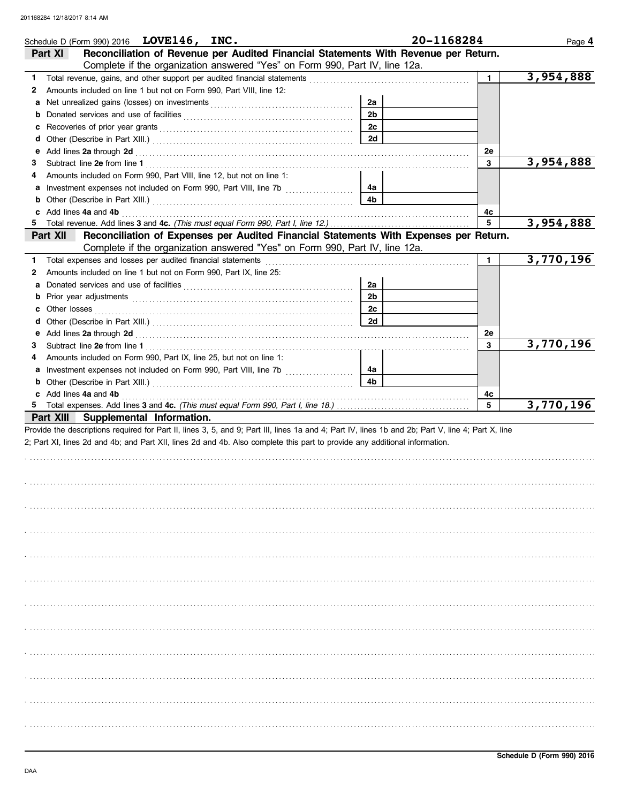|                       | Schedule D (Form 990) 2016 LOVE146, INC.                                                                                                                                                  |                                                                                                                | 20-1168284   | Page 4                    |
|-----------------------|-------------------------------------------------------------------------------------------------------------------------------------------------------------------------------------------|----------------------------------------------------------------------------------------------------------------|--------------|---------------------------|
| Part XI               | Reconciliation of Revenue per Audited Financial Statements With Revenue per Return.                                                                                                       |                                                                                                                |              |                           |
|                       | Complete if the organization answered "Yes" on Form 990, Part IV, line 12a.                                                                                                               |                                                                                                                |              |                           |
| 1                     | Total revenue, gains, and other support per audited financial statements                                                                                                                  | and a complete the contract of the complete the complete the complete the complete the complete the complete t | $\mathbf{1}$ | 3,954,888                 |
| 2                     | Amounts included on line 1 but not on Form 990, Part VIII, line 12:                                                                                                                       |                                                                                                                |              |                           |
|                       | a Net unrealized gains (losses) on investments [111] [11] Net uncontained a Net unrealized gains (losses) on investments [11] [11] $\alpha$                                               | 2a                                                                                                             |              |                           |
| b                     |                                                                                                                                                                                           | 2 <sub>b</sub>                                                                                                 |              |                           |
| c                     |                                                                                                                                                                                           | 2c                                                                                                             |              |                           |
| d                     |                                                                                                                                                                                           | 2d                                                                                                             |              |                           |
|                       |                                                                                                                                                                                           |                                                                                                                | 2e           |                           |
| 3                     |                                                                                                                                                                                           |                                                                                                                | 3            | 3,954,888                 |
| 4                     | Amounts included on Form 990, Part VIII, line 12, but not on line 1:                                                                                                                      |                                                                                                                |              |                           |
|                       | a Investment expenses not included on Form 990, Part VIII, line 7b                                                                                                                        | 4a                                                                                                             |              |                           |
|                       |                                                                                                                                                                                           | 4b                                                                                                             |              |                           |
| c Add lines 4a and 4b |                                                                                                                                                                                           |                                                                                                                | 4c<br>5      | 3,954,888                 |
| Part XII              | Reconciliation of Expenses per Audited Financial Statements With Expenses per Return.                                                                                                     |                                                                                                                |              |                           |
|                       | Complete if the organization answered "Yes" on Form 990, Part IV, line 12a.                                                                                                               |                                                                                                                |              |                           |
| 1.                    | Total expenses and losses per audited financial statements                                                                                                                                |                                                                                                                | $\mathbf{1}$ | $\overline{3,770,196}$    |
| $\mathbf{2}$          | Amounts included on line 1 but not on Form 990, Part IX, line 25:                                                                                                                         |                                                                                                                |              |                           |
|                       |                                                                                                                                                                                           | 2a                                                                                                             |              |                           |
|                       |                                                                                                                                                                                           | 2b                                                                                                             |              |                           |
|                       |                                                                                                                                                                                           | 2c                                                                                                             |              |                           |
|                       |                                                                                                                                                                                           | 2d                                                                                                             |              |                           |
|                       |                                                                                                                                                                                           |                                                                                                                | 2e           |                           |
| 3                     |                                                                                                                                                                                           |                                                                                                                | 3            | 3,770,196                 |
| 4                     | Amounts included on Form 990, Part IX, line 25, but not on line 1:                                                                                                                        |                                                                                                                |              |                           |
|                       |                                                                                                                                                                                           | 4a                                                                                                             |              |                           |
|                       |                                                                                                                                                                                           | 4b                                                                                                             |              |                           |
| c Add lines 4a and 4b |                                                                                                                                                                                           |                                                                                                                | 4c           |                           |
|                       |                                                                                                                                                                                           |                                                                                                                | 5            | $\overline{3}$ , 770, 196 |
|                       | Part XIII Supplemental Information.<br>Provide the descriptions required for Part II, lines 3, 5, and 9; Part III, lines 1a and 4; Part IV, lines 1b and 2b; Part V, line 4; Part X, line |                                                                                                                |              |                           |
|                       | 2; Part XI, lines 2d and 4b; and Part XII, lines 2d and 4b. Also complete this part to provide any additional information.                                                                |                                                                                                                |              |                           |
|                       |                                                                                                                                                                                           |                                                                                                                |              |                           |
|                       |                                                                                                                                                                                           |                                                                                                                |              |                           |
|                       |                                                                                                                                                                                           |                                                                                                                |              |                           |
|                       |                                                                                                                                                                                           |                                                                                                                |              |                           |
|                       |                                                                                                                                                                                           |                                                                                                                |              |                           |
|                       |                                                                                                                                                                                           |                                                                                                                |              |                           |
|                       |                                                                                                                                                                                           |                                                                                                                |              |                           |
|                       |                                                                                                                                                                                           |                                                                                                                |              |                           |
|                       |                                                                                                                                                                                           |                                                                                                                |              |                           |
|                       |                                                                                                                                                                                           |                                                                                                                |              |                           |
|                       |                                                                                                                                                                                           |                                                                                                                |              |                           |
|                       |                                                                                                                                                                                           |                                                                                                                |              |                           |
|                       |                                                                                                                                                                                           |                                                                                                                |              |                           |
|                       |                                                                                                                                                                                           |                                                                                                                |              |                           |
|                       |                                                                                                                                                                                           |                                                                                                                |              |                           |
|                       |                                                                                                                                                                                           |                                                                                                                |              |                           |
|                       |                                                                                                                                                                                           |                                                                                                                |              |                           |
|                       |                                                                                                                                                                                           |                                                                                                                |              |                           |
|                       |                                                                                                                                                                                           |                                                                                                                |              |                           |
|                       |                                                                                                                                                                                           |                                                                                                                |              |                           |
|                       |                                                                                                                                                                                           |                                                                                                                |              |                           |
|                       |                                                                                                                                                                                           |                                                                                                                |              |                           |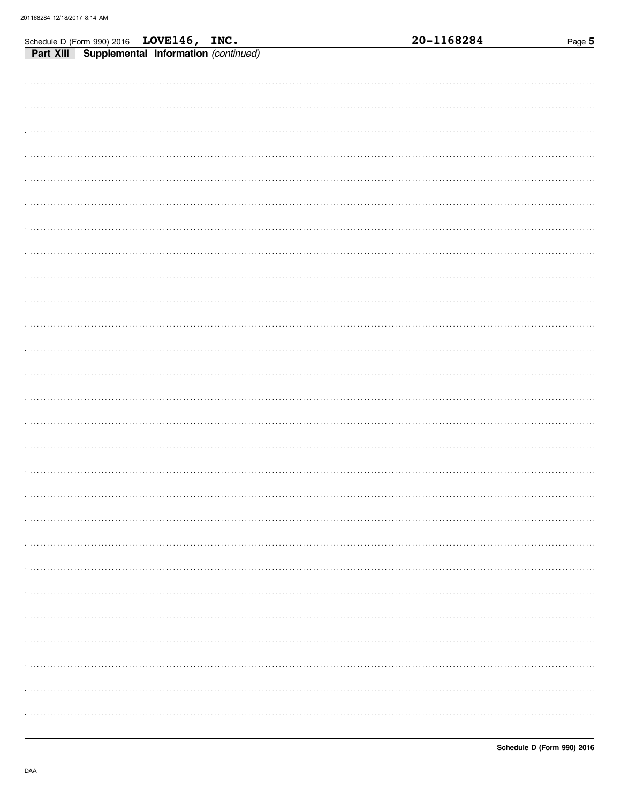| Schedule D (Form 990) 2016 LOVE146, INC.<br>Part XIII Supplemental Information (continued) |  |  | 20-1168284 | Page 5 |
|--------------------------------------------------------------------------------------------|--|--|------------|--------|
|                                                                                            |  |  |            |        |
|                                                                                            |  |  |            |        |
|                                                                                            |  |  |            |        |
|                                                                                            |  |  |            |        |
|                                                                                            |  |  |            |        |
|                                                                                            |  |  |            |        |
|                                                                                            |  |  |            |        |
|                                                                                            |  |  |            |        |
|                                                                                            |  |  |            |        |
|                                                                                            |  |  |            |        |
|                                                                                            |  |  |            |        |
|                                                                                            |  |  |            |        |
|                                                                                            |  |  |            |        |
|                                                                                            |  |  |            |        |
|                                                                                            |  |  |            |        |
|                                                                                            |  |  |            |        |
|                                                                                            |  |  |            |        |
|                                                                                            |  |  |            |        |
|                                                                                            |  |  |            |        |
|                                                                                            |  |  |            |        |
|                                                                                            |  |  |            |        |
|                                                                                            |  |  |            |        |
|                                                                                            |  |  |            |        |
|                                                                                            |  |  |            |        |
|                                                                                            |  |  |            |        |
|                                                                                            |  |  |            |        |
|                                                                                            |  |  |            |        |
|                                                                                            |  |  |            |        |
|                                                                                            |  |  |            |        |
|                                                                                            |  |  |            |        |
|                                                                                            |  |  |            |        |
|                                                                                            |  |  |            |        |
|                                                                                            |  |  |            |        |
|                                                                                            |  |  |            |        |
|                                                                                            |  |  |            |        |
|                                                                                            |  |  |            |        |
|                                                                                            |  |  |            |        |
|                                                                                            |  |  |            |        |
|                                                                                            |  |  |            |        |
|                                                                                            |  |  |            |        |
|                                                                                            |  |  |            |        |
|                                                                                            |  |  |            |        |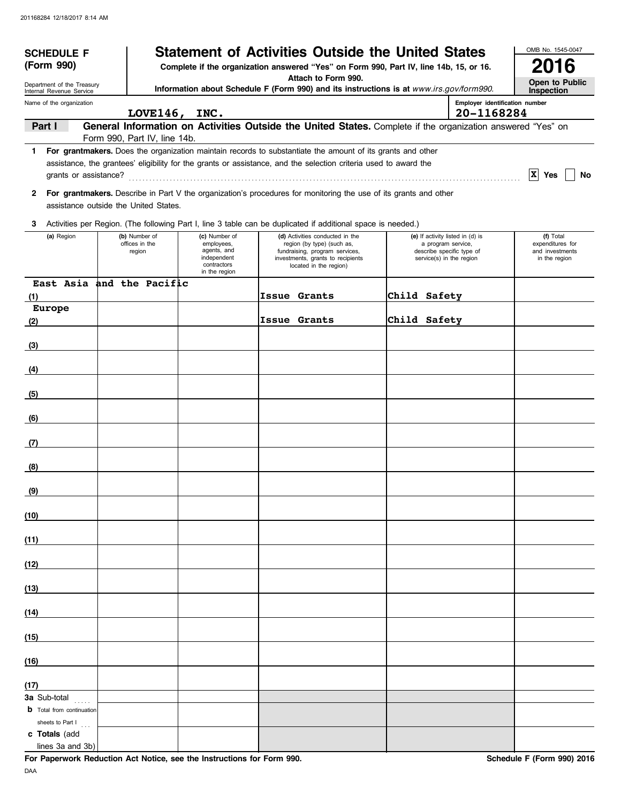| <b>SCHEDULE F</b>                                                                                    |  |                                           |                                                                                           |                                                                                                                                                                | <b>Statement of Activities Outside the United States</b>                                                                                                                                                                         |                                                                                                                 | OMB No. 1545-0047                                                 |
|------------------------------------------------------------------------------------------------------|--|-------------------------------------------|-------------------------------------------------------------------------------------------|----------------------------------------------------------------------------------------------------------------------------------------------------------------|----------------------------------------------------------------------------------------------------------------------------------------------------------------------------------------------------------------------------------|-----------------------------------------------------------------------------------------------------------------|-------------------------------------------------------------------|
| (Form 990)<br>Complete if the organization answered "Yes" on Form 990, Part IV, line 14b, 15, or 16. |  |                                           |                                                                                           |                                                                                                                                                                |                                                                                                                                                                                                                                  | 2016                                                                                                            |                                                                   |
| Department of the Treasury<br>Internal Revenue Service                                               |  |                                           |                                                                                           | Attach to Form 990.<br>Information about Schedule F (Form 990) and its instructions is at www.irs.gov/form990.                                                 |                                                                                                                                                                                                                                  | Open to Public<br>Inspection                                                                                    |                                                                   |
| Name of the organization                                                                             |  | LOVE146, INC.                             |                                                                                           |                                                                                                                                                                |                                                                                                                                                                                                                                  | Employer identification number<br>20-1168284                                                                    |                                                                   |
| Part I                                                                                               |  |                                           |                                                                                           |                                                                                                                                                                | General Information on Activities Outside the United States. Complete if the organization answered "Yes" on                                                                                                                      |                                                                                                                 |                                                                   |
|                                                                                                      |  | Form 990, Part IV, line 14b.              |                                                                                           |                                                                                                                                                                |                                                                                                                                                                                                                                  |                                                                                                                 |                                                                   |
|                                                                                                      |  |                                           |                                                                                           |                                                                                                                                                                | 1 For grantmakers. Does the organization maintain records to substantiate the amount of its grants and other<br>assistance, the grantees' eligibility for the grants or assistance, and the selection criteria used to award the |                                                                                                                 | $ X $ Yes<br>No                                                   |
| 2<br>assistance outside the United States.                                                           |  |                                           |                                                                                           |                                                                                                                                                                | For grantmakers. Describe in Part V the organization's procedures for monitoring the use of its grants and other                                                                                                                 |                                                                                                                 |                                                                   |
| 3                                                                                                    |  |                                           |                                                                                           | Activities per Region. (The following Part I, line 3 table can be duplicated if additional space is needed.)                                                   |                                                                                                                                                                                                                                  |                                                                                                                 |                                                                   |
| (a) Region                                                                                           |  | (b) Number of<br>offices in the<br>region | (c) Number of<br>employees,<br>agents, and<br>independent<br>contractors<br>in the region | (d) Activities conducted in the<br>region (by type) (such as,<br>fundraising, program services,<br>investments, grants to recipients<br>located in the region) |                                                                                                                                                                                                                                  | (e) If activity listed in (d) is<br>a program service,<br>describe specific type of<br>service(s) in the region | (f) Total<br>expenditures for<br>and investments<br>in the region |
| East Asia and the Pacific                                                                            |  |                                           |                                                                                           |                                                                                                                                                                |                                                                                                                                                                                                                                  |                                                                                                                 |                                                                   |
| (1)<br>Europe                                                                                        |  |                                           |                                                                                           | Issue Grants                                                                                                                                                   | Child Safety                                                                                                                                                                                                                     |                                                                                                                 |                                                                   |
| (2)                                                                                                  |  |                                           |                                                                                           | Issue Grants                                                                                                                                                   | Child Safety                                                                                                                                                                                                                     |                                                                                                                 |                                                                   |
| (3)                                                                                                  |  |                                           |                                                                                           |                                                                                                                                                                |                                                                                                                                                                                                                                  |                                                                                                                 |                                                                   |
| (4)                                                                                                  |  |                                           |                                                                                           |                                                                                                                                                                |                                                                                                                                                                                                                                  |                                                                                                                 |                                                                   |
| (5)                                                                                                  |  |                                           |                                                                                           |                                                                                                                                                                |                                                                                                                                                                                                                                  |                                                                                                                 |                                                                   |
| (6)                                                                                                  |  |                                           |                                                                                           |                                                                                                                                                                |                                                                                                                                                                                                                                  |                                                                                                                 |                                                                   |
| (7)                                                                                                  |  |                                           |                                                                                           |                                                                                                                                                                |                                                                                                                                                                                                                                  |                                                                                                                 |                                                                   |
| (8)                                                                                                  |  |                                           |                                                                                           |                                                                                                                                                                |                                                                                                                                                                                                                                  |                                                                                                                 |                                                                   |
| (9)                                                                                                  |  |                                           |                                                                                           |                                                                                                                                                                |                                                                                                                                                                                                                                  |                                                                                                                 |                                                                   |
| (10)                                                                                                 |  |                                           |                                                                                           |                                                                                                                                                                |                                                                                                                                                                                                                                  |                                                                                                                 |                                                                   |
| (11)                                                                                                 |  |                                           |                                                                                           |                                                                                                                                                                |                                                                                                                                                                                                                                  |                                                                                                                 |                                                                   |
| (12)                                                                                                 |  |                                           |                                                                                           |                                                                                                                                                                |                                                                                                                                                                                                                                  |                                                                                                                 |                                                                   |
| (13)                                                                                                 |  |                                           |                                                                                           |                                                                                                                                                                |                                                                                                                                                                                                                                  |                                                                                                                 |                                                                   |
| (14)                                                                                                 |  |                                           |                                                                                           |                                                                                                                                                                |                                                                                                                                                                                                                                  |                                                                                                                 |                                                                   |
| (15)                                                                                                 |  |                                           |                                                                                           |                                                                                                                                                                |                                                                                                                                                                                                                                  |                                                                                                                 |                                                                   |
| (16)                                                                                                 |  |                                           |                                                                                           |                                                                                                                                                                |                                                                                                                                                                                                                                  |                                                                                                                 |                                                                   |
| (17)<br>3a Sub-total                                                                                 |  |                                           |                                                                                           |                                                                                                                                                                |                                                                                                                                                                                                                                  |                                                                                                                 |                                                                   |
| <b>b</b> Total from continuation<br>sheets to Part I                                                 |  |                                           |                                                                                           |                                                                                                                                                                |                                                                                                                                                                                                                                  |                                                                                                                 |                                                                   |
| c Totals (add<br>lines 3a and 3b)                                                                    |  |                                           |                                                                                           |                                                                                                                                                                |                                                                                                                                                                                                                                  |                                                                                                                 |                                                                   |

**For Paperwork Reduction Act Notice, see the Instructions for Form 990.** Schedule F (Form 990) 2016 DAA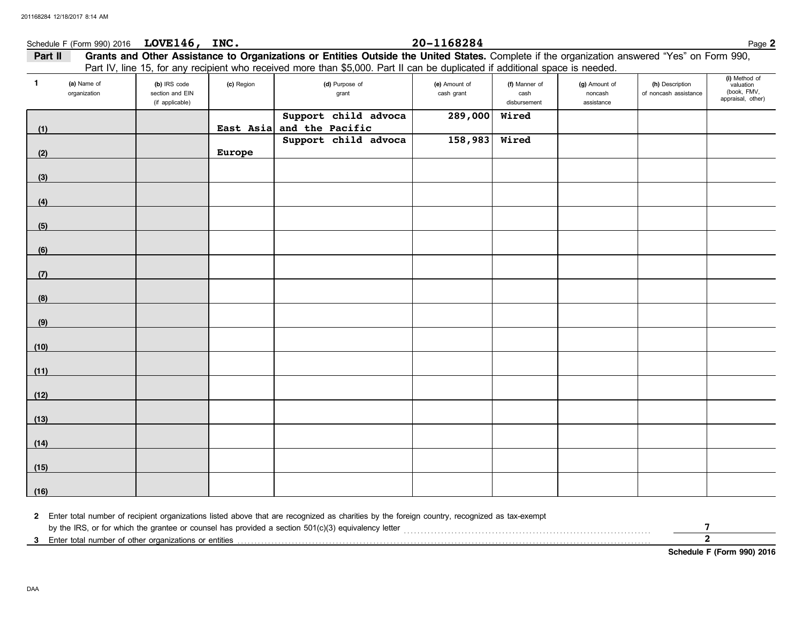|              |                             | Schedule F (Form 990) 2016 LOVE146, INC.           |               |                      |                         | 20-1168284                                                                                                                                   |                                       |                                        |                                          | Page 2                                                         |
|--------------|-----------------------------|----------------------------------------------------|---------------|----------------------|-------------------------|----------------------------------------------------------------------------------------------------------------------------------------------|---------------------------------------|----------------------------------------|------------------------------------------|----------------------------------------------------------------|
| Part II      |                             |                                                    |               |                      |                         | Grants and Other Assistance to Organizations or Entities Outside the United States. Complete if the organization answered "Yes" on Form 990, |                                       |                                        |                                          |                                                                |
|              |                             |                                                    |               |                      |                         | Part IV, line 15, for any recipient who received more than \$5,000. Part II can be duplicated if additional space is needed.                 |                                       |                                        |                                          |                                                                |
| $\mathbf{1}$ | (a) Name of<br>organization | (b) IRS code<br>section and EIN<br>(if applicable) | (c) Region    |                      | (d) Purpose of<br>grant | (e) Amount of<br>cash grant                                                                                                                  | (f) Manner of<br>cash<br>disbursement | (g) Amount of<br>noncash<br>assistance | (h) Description<br>of noncash assistance | (i) Method of<br>valuation<br>(book, FMV,<br>appraisal, other) |
|              |                             |                                                    |               | Support child advoca |                         | 289,000                                                                                                                                      | Wired                                 |                                        |                                          |                                                                |
| (1)          |                             |                                                    | East Asia     | and the Pacific      |                         |                                                                                                                                              |                                       |                                        |                                          |                                                                |
| (2)          |                             |                                                    | <b>Europe</b> | Support child advoca |                         | 158,983                                                                                                                                      | Wired                                 |                                        |                                          |                                                                |
|              |                             |                                                    |               |                      |                         |                                                                                                                                              |                                       |                                        |                                          |                                                                |
| (3)          |                             |                                                    |               |                      |                         |                                                                                                                                              |                                       |                                        |                                          |                                                                |
| (4)          |                             |                                                    |               |                      |                         |                                                                                                                                              |                                       |                                        |                                          |                                                                |
| (5)          |                             |                                                    |               |                      |                         |                                                                                                                                              |                                       |                                        |                                          |                                                                |
| (6)          |                             |                                                    |               |                      |                         |                                                                                                                                              |                                       |                                        |                                          |                                                                |
|              |                             |                                                    |               |                      |                         |                                                                                                                                              |                                       |                                        |                                          |                                                                |
| (7)          |                             |                                                    |               |                      |                         |                                                                                                                                              |                                       |                                        |                                          |                                                                |
| (8)          |                             |                                                    |               |                      |                         |                                                                                                                                              |                                       |                                        |                                          |                                                                |
| (9)          |                             |                                                    |               |                      |                         |                                                                                                                                              |                                       |                                        |                                          |                                                                |
| (10)         |                             |                                                    |               |                      |                         |                                                                                                                                              |                                       |                                        |                                          |                                                                |
| (11)         |                             |                                                    |               |                      |                         |                                                                                                                                              |                                       |                                        |                                          |                                                                |
| (12)         |                             |                                                    |               |                      |                         |                                                                                                                                              |                                       |                                        |                                          |                                                                |
| (13)         |                             |                                                    |               |                      |                         |                                                                                                                                              |                                       |                                        |                                          |                                                                |
|              |                             |                                                    |               |                      |                         |                                                                                                                                              |                                       |                                        |                                          |                                                                |
| (14)         |                             |                                                    |               |                      |                         |                                                                                                                                              |                                       |                                        |                                          |                                                                |
| (15)         |                             |                                                    |               |                      |                         |                                                                                                                                              |                                       |                                        |                                          |                                                                |
| (16)         |                             |                                                    |               |                      |                         |                                                                                                                                              |                                       |                                        |                                          |                                                                |

**2** Enter total number of recipient organizations listed above that are recognized as charities by the foreign country, recognized as tax-exempt

**3** Enter total number of other organizations or entities . . . . . . . . . . . . . . . . . . . . . . . . . . . . . . . . . . . . . . . . . . . . . . . . . . . . . . . . . . . . . . . . . . . . . . . . . . . . . . . . . . . . . . . . . . . . . . . . . . . . . . . . . . . . . . . . . . . . . . . . . . by the IRS, or for which the grantee or counsel has provided a section 501(c)(3) equivalency letter . . . . . . . . . . . . . . . . . . . . . . . . . . . . . . . . . . . . . . . . . . . . . . . . . . . . . . . . . . . . . . . . . . . . . . . . . **7 2**

**Schedule F (Form 990) 2016**

DAA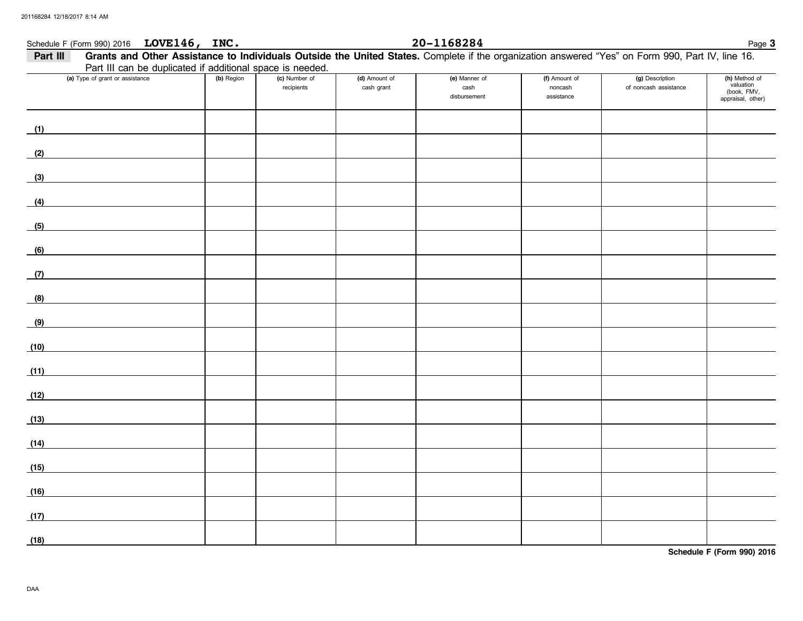### Schedule F (Form 990) 2016 **LOVE146, INC.** 20-1168284 Page 3 **LOVE146, INC. 20-1168284**

| Part III | Grants and Other Assistance to Individuals Outside the United States. Complete if the organization answered "Yes" on Form 990, Part IV, line 16. |            |                             |                             |                                       |                                        |                                          |                                                                |
|----------|--------------------------------------------------------------------------------------------------------------------------------------------------|------------|-----------------------------|-----------------------------|---------------------------------------|----------------------------------------|------------------------------------------|----------------------------------------------------------------|
|          | Part III can be duplicated if additional space is needed.                                                                                        |            |                             |                             |                                       |                                        |                                          |                                                                |
|          | (a) Type of grant or assistance                                                                                                                  | (b) Region | (c) Number of<br>recipients | (d) Amount of<br>cash grant | (e) Manner of<br>cash<br>disbursement | (f) Amount of<br>noncash<br>assistance | (g) Description<br>of noncash assistance | (h) Method of<br>valuation<br>(book, FMV,<br>appraisal, other) |
| (1)      |                                                                                                                                                  |            |                             |                             |                                       |                                        |                                          |                                                                |
| (2)      |                                                                                                                                                  |            |                             |                             |                                       |                                        |                                          |                                                                |
| (3)      |                                                                                                                                                  |            |                             |                             |                                       |                                        |                                          |                                                                |
| (4)      |                                                                                                                                                  |            |                             |                             |                                       |                                        |                                          |                                                                |
| (5)      |                                                                                                                                                  |            |                             |                             |                                       |                                        |                                          |                                                                |
| (6)      |                                                                                                                                                  |            |                             |                             |                                       |                                        |                                          |                                                                |
| (7)      |                                                                                                                                                  |            |                             |                             |                                       |                                        |                                          |                                                                |
| (8)      |                                                                                                                                                  |            |                             |                             |                                       |                                        |                                          |                                                                |
| (9)      |                                                                                                                                                  |            |                             |                             |                                       |                                        |                                          |                                                                |
| (10)     |                                                                                                                                                  |            |                             |                             |                                       |                                        |                                          |                                                                |
| (11)     |                                                                                                                                                  |            |                             |                             |                                       |                                        |                                          |                                                                |
| (12)     |                                                                                                                                                  |            |                             |                             |                                       |                                        |                                          |                                                                |
| (13)     |                                                                                                                                                  |            |                             |                             |                                       |                                        |                                          |                                                                |
| (14)     |                                                                                                                                                  |            |                             |                             |                                       |                                        |                                          |                                                                |
| (15)     |                                                                                                                                                  |            |                             |                             |                                       |                                        |                                          |                                                                |
| (16)     |                                                                                                                                                  |            |                             |                             |                                       |                                        |                                          |                                                                |
| (17)     |                                                                                                                                                  |            |                             |                             |                                       |                                        |                                          |                                                                |
| (18)     |                                                                                                                                                  |            |                             |                             |                                       |                                        |                                          |                                                                |

**Schedule F (Form 990) 2016**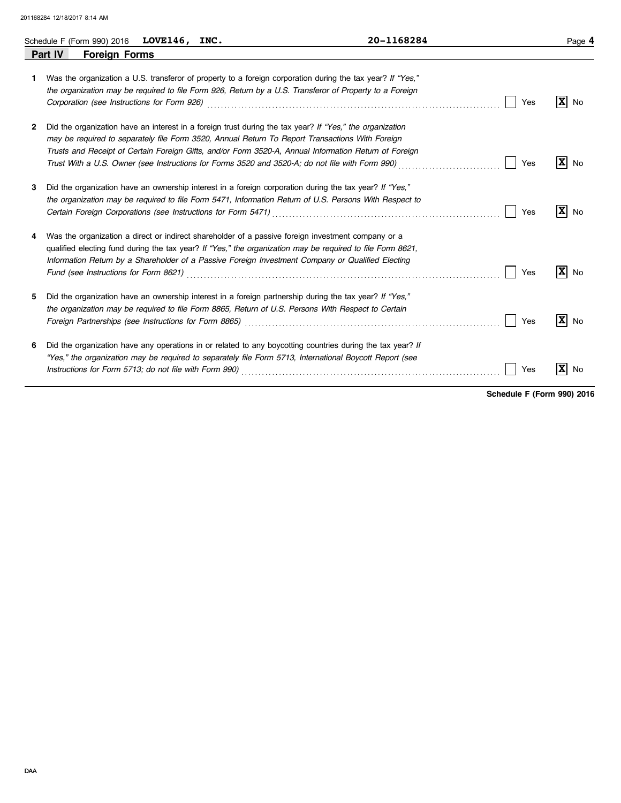|   | LOVE146, INC.<br>Schedule F (Form 990) 2016 | 20-1168284                                                                                                                                                                                                                                                                                                                                                                                                              |     | Page 4               |
|---|---------------------------------------------|-------------------------------------------------------------------------------------------------------------------------------------------------------------------------------------------------------------------------------------------------------------------------------------------------------------------------------------------------------------------------------------------------------------------------|-----|----------------------|
|   | Part IV<br><b>Foreign Forms</b>             |                                                                                                                                                                                                                                                                                                                                                                                                                         |     |                      |
| 1 |                                             | Was the organization a U.S. transferor of property to a foreign corporation during the tax year? If "Yes,"<br>the organization may be required to file Form 926, Return by a U.S. Transferor of Property to a Foreign<br>Corporation (see Instructions for Form 926) Material Corporation (see Instruction of School School and School                                                                                  | Yes | X <br>No             |
| 2 |                                             | Did the organization have an interest in a foreign trust during the tax year? If "Yes," the organization<br>may be required to separately file Form 3520, Annual Return To Report Transactions With Foreign<br>Trusts and Receipt of Certain Foreign Gifts, and/or Form 3520-A, Annual Information Return of Foreign<br>Trust With a U.S. Owner (see Instructions for Forms 3520 and 3520-A; do not file with Form 990) | Yes | X <br><b>No</b>      |
| 3 |                                             | Did the organization have an ownership interest in a foreign corporation during the tax year? If "Yes,"<br>the organization may be required to file Form 5471, Information Return of U.S. Persons With Respect to                                                                                                                                                                                                       | Yes | $ \mathbf{X} $ No    |
| 4 |                                             | Was the organization a direct or indirect shareholder of a passive foreign investment company or a<br>qualified electing fund during the tax year? If "Yes," the organization may be required to file Form 8621,<br>Information Return by a Shareholder of a Passive Foreign Investment Company or Qualified Electing                                                                                                   | Yes | $ \mathbf{x} $<br>No |
| 5 |                                             | Did the organization have an ownership interest in a foreign partnership during the tax year? If "Yes,"<br>the organization may be required to file Form 8865, Return of U.S. Persons With Respect to Certain<br>Foreign Partnerships (see Instructions for Form 8865) Materian Construction Construction Construction Construction                                                                                     | Yes | $ \mathbf{X} $ No    |
| 6 |                                             | Did the organization have any operations in or related to any boycotting countries during the tax year? If<br>"Yes," the organization may be required to separately file Form 5713, International Boycott Report (see                                                                                                                                                                                                   | Yes | X<br>No              |

**Schedule F (Form 990) 2016**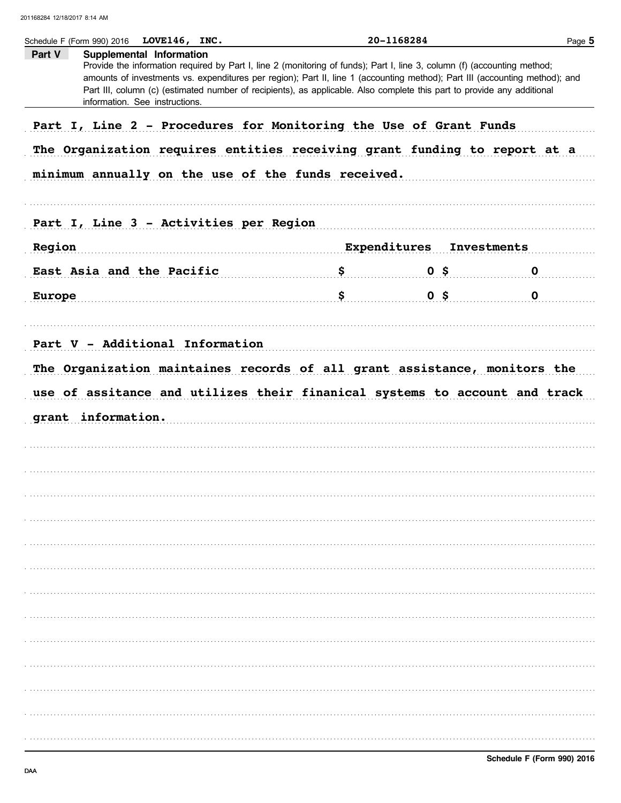| Part V        |                                                            |                                                                                                                                                                                                                                                                                                                                                                                    |                               |
|---------------|------------------------------------------------------------|------------------------------------------------------------------------------------------------------------------------------------------------------------------------------------------------------------------------------------------------------------------------------------------------------------------------------------------------------------------------------------|-------------------------------|
|               | Supplemental Information<br>information. See instructions. | Provide the information required by Part I, line 2 (monitoring of funds); Part I, line 3, column (f) (accounting method;<br>amounts of investments vs. expenditures per region); Part II, line 1 (accounting method); Part III (accounting method); and<br>Part III, column (c) (estimated number of recipients), as applicable. Also complete this part to provide any additional |                               |
|               |                                                            | Part I, Line 2 - Procedures for Monitoring the Use of Grant Funds                                                                                                                                                                                                                                                                                                                  |                               |
|               |                                                            | The Organization requires entities receiving grant funding to report at a                                                                                                                                                                                                                                                                                                          |                               |
|               | minimum annually on the use of the funds received.         |                                                                                                                                                                                                                                                                                                                                                                                    |                               |
|               | Part I, Line 3 - Activities per Region                     |                                                                                                                                                                                                                                                                                                                                                                                    |                               |
| Region        |                                                            | Expenditures Investments                                                                                                                                                                                                                                                                                                                                                           |                               |
|               | East Asia and the Pacific                                  | <u>s and the set of the set of the set of the set of the set of the set of the set of the set of the set of the s</u>                                                                                                                                                                                                                                                              | 0 <sup>5</sup><br>$\mathbf 0$ |
| <b>Europe</b> |                                                            | . \$<br>0 \$                                                                                                                                                                                                                                                                                                                                                                       | $\sim$ 0                      |
|               | Part V - Additional Information                            |                                                                                                                                                                                                                                                                                                                                                                                    |                               |
|               |                                                            |                                                                                                                                                                                                                                                                                                                                                                                    |                               |
|               |                                                            |                                                                                                                                                                                                                                                                                                                                                                                    |                               |
|               |                                                            | The Organization maintaines records of all grant assistance, monitors the                                                                                                                                                                                                                                                                                                          |                               |
|               |                                                            |                                                                                                                                                                                                                                                                                                                                                                                    |                               |
|               |                                                            | use of assitance and utilizes their finanical systems to account and track                                                                                                                                                                                                                                                                                                         |                               |
|               | grant information.                                         |                                                                                                                                                                                                                                                                                                                                                                                    |                               |
|               |                                                            |                                                                                                                                                                                                                                                                                                                                                                                    |                               |
|               |                                                            |                                                                                                                                                                                                                                                                                                                                                                                    |                               |
|               |                                                            |                                                                                                                                                                                                                                                                                                                                                                                    |                               |
|               |                                                            |                                                                                                                                                                                                                                                                                                                                                                                    |                               |
|               |                                                            |                                                                                                                                                                                                                                                                                                                                                                                    |                               |
|               |                                                            |                                                                                                                                                                                                                                                                                                                                                                                    |                               |
|               |                                                            |                                                                                                                                                                                                                                                                                                                                                                                    |                               |
|               |                                                            |                                                                                                                                                                                                                                                                                                                                                                                    |                               |
|               |                                                            |                                                                                                                                                                                                                                                                                                                                                                                    |                               |
|               |                                                            |                                                                                                                                                                                                                                                                                                                                                                                    |                               |
|               |                                                            |                                                                                                                                                                                                                                                                                                                                                                                    |                               |
|               |                                                            |                                                                                                                                                                                                                                                                                                                                                                                    |                               |
|               |                                                            |                                                                                                                                                                                                                                                                                                                                                                                    |                               |
|               |                                                            |                                                                                                                                                                                                                                                                                                                                                                                    |                               |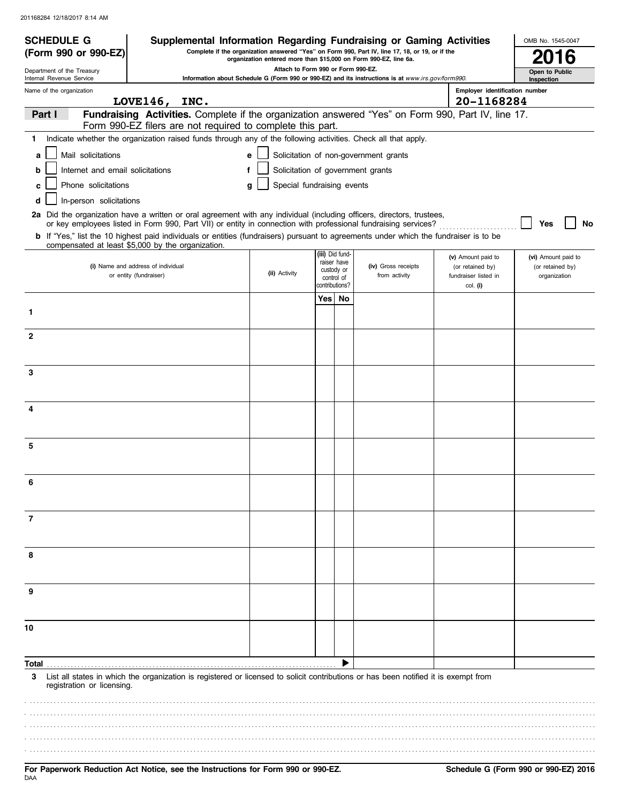| <b>SCHEDULE G</b>                                      | Supplemental Information Regarding Fundraising or Gaming Activities                                                                                                                                                                      |                                                                  |                                |            |                                                                                                   |                                                      | OMB No. 1545-0047                |
|--------------------------------------------------------|------------------------------------------------------------------------------------------------------------------------------------------------------------------------------------------------------------------------------------------|------------------------------------------------------------------|--------------------------------|------------|---------------------------------------------------------------------------------------------------|------------------------------------------------------|----------------------------------|
| (Form 990 or 990-EZ)                                   |                                                                                                                                                                                                                                          | organization entered more than \$15,000 on Form 990-EZ, line 6a. |                                |            | Complete if the organization answered "Yes" on Form 990, Part IV, line 17, 18, or 19, or if the   |                                                      |                                  |
| Department of the Treasury<br>Internal Revenue Service |                                                                                                                                                                                                                                          | Attach to Form 990 or Form 990-EZ.                               |                                |            | Information about Schedule G (Form 990 or 990-EZ) and its instructions is at www.irs.gov/form990. |                                                      | Open to Public<br>Inspection     |
| Name of the organization                               | Employer identification number                                                                                                                                                                                                           |                                                                  |                                |            |                                                                                                   |                                                      |                                  |
|                                                        | LOVE146,<br>INC.                                                                                                                                                                                                                         |                                                                  |                                |            |                                                                                                   | 20-1168284                                           |                                  |
| Part I                                                 | Fundraising Activities. Complete if the organization answered "Yes" on Form 990, Part IV, line 17.<br>Form 990-EZ filers are not required to complete this part.                                                                         |                                                                  |                                |            |                                                                                                   |                                                      |                                  |
| 1                                                      | Indicate whether the organization raised funds through any of the following activities. Check all that apply.                                                                                                                            |                                                                  |                                |            |                                                                                                   |                                                      |                                  |
| Mail solicitations<br>a                                |                                                                                                                                                                                                                                          | e                                                                |                                |            | Solicitation of non-government grants                                                             |                                                      |                                  |
| Internet and email solicitations<br>b                  |                                                                                                                                                                                                                                          | f                                                                |                                |            | Solicitation of government grants                                                                 |                                                      |                                  |
| Phone solicitations<br>c                               |                                                                                                                                                                                                                                          | Special fundraising events<br>q                                  |                                |            |                                                                                                   |                                                      |                                  |
| In-person solicitations<br>d                           |                                                                                                                                                                                                                                          |                                                                  |                                |            |                                                                                                   |                                                      |                                  |
|                                                        | 2a Did the organization have a written or oral agreement with any individual (including officers, directors, trustees,<br>or key employees listed in Form 990, Part VII) or entity in connection with professional fundraising services? |                                                                  |                                |            |                                                                                                   |                                                      | No<br>Yes                        |
|                                                        | b If "Yes," list the 10 highest paid individuals or entities (fundraisers) pursuant to agreements under which the fundraiser is to be<br>compensated at least \$5,000 by the organization.                                               |                                                                  |                                |            |                                                                                                   |                                                      |                                  |
|                                                        |                                                                                                                                                                                                                                          |                                                                  | (iii) Did fund-<br>raiser have |            |                                                                                                   | (v) Amount paid to                                   | (vi) Amount paid to              |
|                                                        | (i) Name and address of individual<br>or entity (fundraiser)                                                                                                                                                                             | (ii) Activity                                                    | control of<br>contributions?   | custody or | (iv) Gross receipts<br>from activity                                                              | (or retained by)<br>fundraiser listed in<br>col. (i) | (or retained by)<br>organization |
|                                                        |                                                                                                                                                                                                                                          |                                                                  | Yes   No                       |            |                                                                                                   |                                                      |                                  |
| 1                                                      |                                                                                                                                                                                                                                          |                                                                  |                                |            |                                                                                                   |                                                      |                                  |
| $\mathbf{2}$                                           |                                                                                                                                                                                                                                          |                                                                  |                                |            |                                                                                                   |                                                      |                                  |
|                                                        |                                                                                                                                                                                                                                          |                                                                  |                                |            |                                                                                                   |                                                      |                                  |
| 3                                                      |                                                                                                                                                                                                                                          |                                                                  |                                |            |                                                                                                   |                                                      |                                  |
|                                                        |                                                                                                                                                                                                                                          |                                                                  |                                |            |                                                                                                   |                                                      |                                  |
| 4                                                      |                                                                                                                                                                                                                                          |                                                                  |                                |            |                                                                                                   |                                                      |                                  |
|                                                        |                                                                                                                                                                                                                                          |                                                                  |                                |            |                                                                                                   |                                                      |                                  |
| 5                                                      |                                                                                                                                                                                                                                          |                                                                  |                                |            |                                                                                                   |                                                      |                                  |
|                                                        |                                                                                                                                                                                                                                          |                                                                  |                                |            |                                                                                                   |                                                      |                                  |
| G                                                      |                                                                                                                                                                                                                                          |                                                                  |                                |            |                                                                                                   |                                                      |                                  |
|                                                        |                                                                                                                                                                                                                                          |                                                                  |                                |            |                                                                                                   |                                                      |                                  |
| 7                                                      |                                                                                                                                                                                                                                          |                                                                  |                                |            |                                                                                                   |                                                      |                                  |
|                                                        |                                                                                                                                                                                                                                          |                                                                  |                                |            |                                                                                                   |                                                      |                                  |
| 8                                                      |                                                                                                                                                                                                                                          |                                                                  |                                |            |                                                                                                   |                                                      |                                  |
|                                                        |                                                                                                                                                                                                                                          |                                                                  |                                |            |                                                                                                   |                                                      |                                  |
| 9                                                      |                                                                                                                                                                                                                                          |                                                                  |                                |            |                                                                                                   |                                                      |                                  |
|                                                        |                                                                                                                                                                                                                                          |                                                                  |                                |            |                                                                                                   |                                                      |                                  |
| 10                                                     |                                                                                                                                                                                                                                          |                                                                  |                                |            |                                                                                                   |                                                      |                                  |
|                                                        |                                                                                                                                                                                                                                          |                                                                  |                                |            |                                                                                                   |                                                      |                                  |
| Total                                                  |                                                                                                                                                                                                                                          |                                                                  |                                |            |                                                                                                   |                                                      |                                  |
| 3<br>registration or licensing.                        | List all states in which the organization is registered or licensed to solicit contributions or has been notified it is exempt from                                                                                                      |                                                                  |                                |            |                                                                                                   |                                                      |                                  |
|                                                        |                                                                                                                                                                                                                                          |                                                                  |                                |            |                                                                                                   |                                                      |                                  |
|                                                        |                                                                                                                                                                                                                                          |                                                                  |                                |            |                                                                                                   |                                                      |                                  |
|                                                        |                                                                                                                                                                                                                                          |                                                                  |                                |            |                                                                                                   |                                                      |                                  |
|                                                        |                                                                                                                                                                                                                                          |                                                                  |                                |            |                                                                                                   |                                                      |                                  |
|                                                        |                                                                                                                                                                                                                                          |                                                                  |                                |            |                                                                                                   |                                                      |                                  |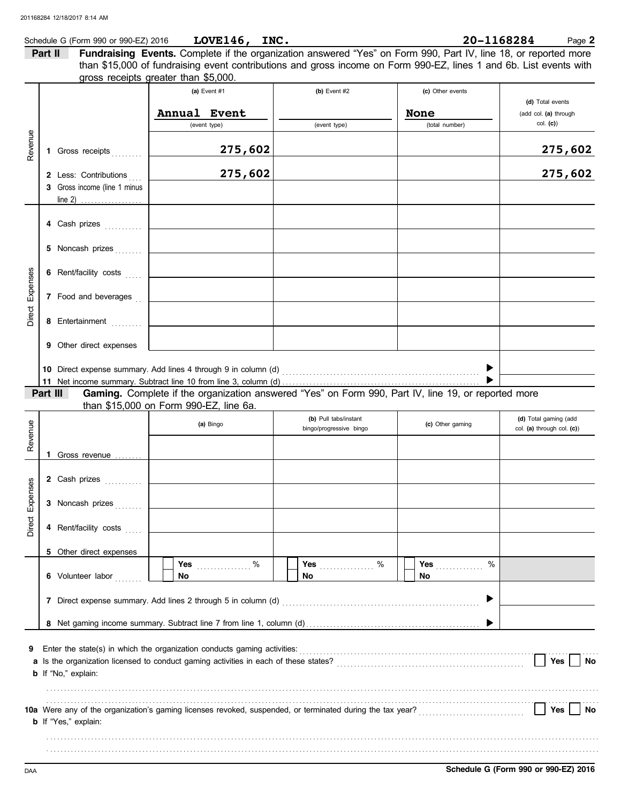|          |    | gross receipts greater than \$5,000. |                                                                                                     |                                                  |                  |                                                     |
|----------|----|--------------------------------------|-----------------------------------------------------------------------------------------------------|--------------------------------------------------|------------------|-----------------------------------------------------|
|          |    |                                      | (a) Event #1                                                                                        | (b) Event $#2$                                   | (c) Other events |                                                     |
|          |    |                                      | Annual Event                                                                                        |                                                  | None             | (d) Total events<br>(add col. (a) through           |
|          |    |                                      | (event type)                                                                                        | (event type)                                     | (total number)   | col. (c)                                            |
| Revenue  |    | 1 Gross receipts                     | 275,602                                                                                             |                                                  |                  | 275,602                                             |
|          |    | 2 Less: Contributions                | 275,602                                                                                             |                                                  |                  | 275,602                                             |
|          | 3  | Gross income (line 1 minus           |                                                                                                     |                                                  |                  |                                                     |
|          |    | 4 Cash prizes                        |                                                                                                     |                                                  |                  |                                                     |
|          |    | 5 Noncash prizes                     |                                                                                                     |                                                  |                  |                                                     |
|          |    | 6 Rent/facility costs                |                                                                                                     |                                                  |                  |                                                     |
| Expenses |    | 7 Food and beverages                 |                                                                                                     |                                                  |                  |                                                     |
| Direct   |    | 8 Entertainment                      |                                                                                                     |                                                  |                  |                                                     |
|          |    | 9 Other direct expenses              |                                                                                                     |                                                  |                  |                                                     |
|          |    |                                      | 10 Direct expense summary. Add lines 4 through 9 in column (d)                                      |                                                  |                  |                                                     |
|          |    | Part III                             | Gaming. Complete if the organization answered "Yes" on Form 990, Part IV, line 19, or reported more |                                                  |                  |                                                     |
|          |    |                                      | than \$15,000 on Form 990-EZ, line 6a.                                                              |                                                  |                  |                                                     |
|          |    |                                      |                                                                                                     |                                                  |                  |                                                     |
|          |    |                                      | (a) Bingo                                                                                           | (b) Pull tabs/instant<br>bingo/progressive bingo | (c) Other gaming | (d) Total gaming (add<br>col. (a) through col. (c)) |
| Revenue  |    |                                      |                                                                                                     |                                                  |                  |                                                     |
|          | 1. | Gross revenue                        |                                                                                                     |                                                  |                  |                                                     |
|          |    | 2 Cash prizes                        |                                                                                                     |                                                  |                  |                                                     |
| Expenses |    | 3 Noncash prizes                     |                                                                                                     |                                                  |                  |                                                     |
| Direct   | 4  | Rent/facility costs                  |                                                                                                     |                                                  |                  |                                                     |
|          |    | 5 Other direct expenses              |                                                                                                     |                                                  |                  |                                                     |
|          |    | 6 Volunteer labor                    | %<br><b>Yes</b><br>No                                                                               | %<br>Yes<br>No                                   | %<br>Yes<br>No   |                                                     |
|          |    |                                      |                                                                                                     |                                                  |                  |                                                     |
|          |    |                                      |                                                                                                     |                                                  |                  |                                                     |
|          |    |                                      |                                                                                                     |                                                  |                  |                                                     |
| 9        |    |                                      |                                                                                                     |                                                  |                  |                                                     |
|          |    | <b>b</b> If "No," explain:           |                                                                                                     |                                                  |                  | Yes<br>No                                           |
|          |    |                                      |                                                                                                     |                                                  |                  |                                                     |
|          |    | <b>b</b> If "Yes," explain:          |                                                                                                     |                                                  |                  | Yes<br>No                                           |

**LOVE146, INC.**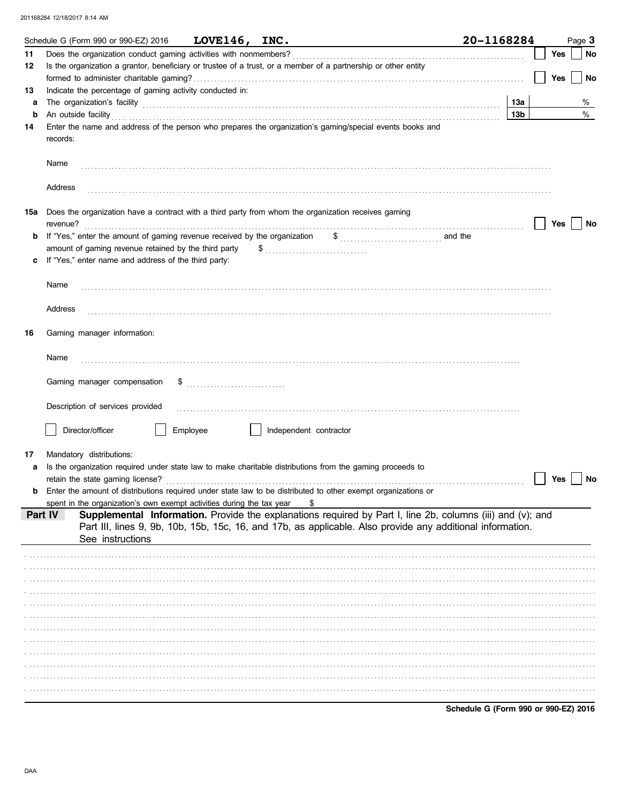|     | Schedule G (Form 990 or 990-EZ) 2016                                      | LOVE146, INC. |                                                                                                                                                                                                                                      | 20-1168284                           |     | Page 3 |
|-----|---------------------------------------------------------------------------|---------------|--------------------------------------------------------------------------------------------------------------------------------------------------------------------------------------------------------------------------------------|--------------------------------------|-----|--------|
| 11  | Does the organization conduct gaming activities with nonmembers?          |               |                                                                                                                                                                                                                                      |                                      | Yes | No     |
| 12  |                                                                           |               | Is the organization a grantor, beneficiary or trustee of a trust, or a member of a partnership or other entity                                                                                                                       |                                      | Yes | No     |
| 13  | Indicate the percentage of gaming activity conducted in:                  |               |                                                                                                                                                                                                                                      |                                      |     |        |
| a   |                                                                           |               | The organization's facility encouragement and contact the organization's facility encouragement and contact the organization's facility                                                                                              | 13а                                  |     | %      |
| b   |                                                                           |               | An outside facility <b>contract and the contract of a contract of a contract of a contract of a contract of a contract of a contract of a contract of a contract of a contract of a contract of a contract of a contract of a co</b> | 13b                                  |     | $\%$   |
| 14  | records:                                                                  |               | Enter the name and address of the person who prepares the organization's gaming/special events books and                                                                                                                             |                                      |     |        |
|     | Name                                                                      |               |                                                                                                                                                                                                                                      |                                      |     |        |
|     | Address                                                                   |               |                                                                                                                                                                                                                                      |                                      |     |        |
| 15a | revenue?                                                                  |               | Does the organization have a contract with a third party from whom the organization receives gaming                                                                                                                                  |                                      | Yes | No     |
| b   | If "Yes," enter the amount of gaming revenue received by the organization |               | $\frac{1}{2}$ and the                                                                                                                                                                                                                |                                      |     |        |
|     | amount of gaming revenue retained by the third party                      |               |                                                                                                                                                                                                                                      |                                      |     |        |
|     | If "Yes," enter name and address of the third party:                      |               |                                                                                                                                                                                                                                      |                                      |     |        |
|     | Name                                                                      |               |                                                                                                                                                                                                                                      |                                      |     |        |
|     | Address                                                                   |               |                                                                                                                                                                                                                                      |                                      |     |        |
| 16  | Gaming manager information:                                               |               |                                                                                                                                                                                                                                      |                                      |     |        |
|     | Name                                                                      |               |                                                                                                                                                                                                                                      |                                      |     |        |
|     | Gaming manager compensation                                               |               |                                                                                                                                                                                                                                      |                                      |     |        |
|     | Description of services provided                                          |               |                                                                                                                                                                                                                                      |                                      |     |        |
|     | Director/officer                                                          | Employee      | Independent contractor                                                                                                                                                                                                               |                                      |     |        |
| 17  | Mandatory distributions:                                                  |               |                                                                                                                                                                                                                                      |                                      |     |        |
| a   |                                                                           |               | Is the organization required under state law to make charitable distributions from the gaming proceeds to                                                                                                                            |                                      |     |        |
|     | retain the state gaming license?                                          |               |                                                                                                                                                                                                                                      |                                      | Yes | No     |
| b   |                                                                           |               | Enter the amount of distributions required under state law to be distributed to other exempt organizations or                                                                                                                        |                                      |     |        |
|     | spent in the organization's own exempt activities during the tax year     |               |                                                                                                                                                                                                                                      |                                      |     |        |
|     | Part IV<br>See instructions                                               |               | Supplemental Information. Provide the explanations required by Part I, line 2b, columns (iii) and (v); and<br>Part III, lines 9, 9b, 10b, 15b, 15c, 16, and 17b, as applicable. Also provide any additional information.             |                                      |     |        |
|     |                                                                           |               |                                                                                                                                                                                                                                      |                                      |     |        |
|     |                                                                           |               |                                                                                                                                                                                                                                      |                                      |     |        |
|     |                                                                           |               |                                                                                                                                                                                                                                      |                                      |     |        |
|     |                                                                           |               |                                                                                                                                                                                                                                      |                                      |     |        |
|     |                                                                           |               |                                                                                                                                                                                                                                      |                                      |     |        |
|     |                                                                           |               |                                                                                                                                                                                                                                      |                                      |     |        |
|     |                                                                           |               |                                                                                                                                                                                                                                      |                                      |     |        |
|     |                                                                           |               |                                                                                                                                                                                                                                      |                                      |     |        |
|     |                                                                           |               |                                                                                                                                                                                                                                      |                                      |     |        |
|     |                                                                           |               |                                                                                                                                                                                                                                      |                                      |     |        |
|     |                                                                           |               |                                                                                                                                                                                                                                      |                                      |     |        |
|     |                                                                           |               |                                                                                                                                                                                                                                      | Schedule G (Form 990 or 990-EZ) 2016 |     |        |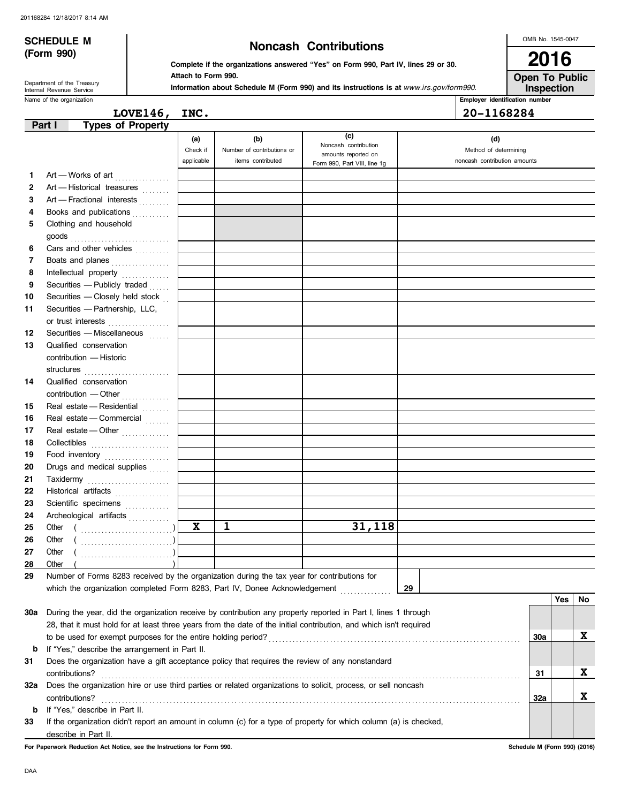| <b>SCHEDULE M</b>                                                    |                                    |                               | <b>Noncash Contributions</b>                                                            |                                                                                    |                                     |                                                              |  |
|----------------------------------------------------------------------|------------------------------------|-------------------------------|-----------------------------------------------------------------------------------------|------------------------------------------------------------------------------------|-------------------------------------|--------------------------------------------------------------|--|
| (Form 990)<br>Department of the Treasury<br>Internal Revenue Service |                                    |                               |                                                                                         | Complete if the organizations answered "Yes" on Form 990, Part IV, lines 29 or 30. |                                     | 2016                                                         |  |
|                                                                      |                                    | Attach to Form 990.           | Information about Schedule M (Form 990) and its instructions is at www.irs.gov/form990. |                                                                                    | <b>Open To Public</b><br>Inspection |                                                              |  |
|                                                                      | Name of the organization           |                               |                                                                                         | Employer identification number                                                     |                                     |                                                              |  |
|                                                                      | <b>LOVE146,</b>                    | INC.                          |                                                                                         |                                                                                    |                                     | 20-1168284                                                   |  |
|                                                                      | <b>Types of Property</b><br>Part I |                               |                                                                                         |                                                                                    |                                     |                                                              |  |
|                                                                      |                                    | (a)<br>Check if<br>applicable | (b)<br>Number of contributions or<br>items contributed                                  | (c)<br>Noncash contribution<br>amounts reported on<br>Form 990, Part VIII, line 1g |                                     | (d)<br>Method of determining<br>noncash contribution amounts |  |
| 1                                                                    | Art - Works of art                 |                               |                                                                                         |                                                                                    |                                     |                                                              |  |
| $\mathbf{2}$                                                         | Art - Historical treasures         |                               |                                                                                         |                                                                                    |                                     |                                                              |  |
| 3                                                                    | Art - Fractional interests         |                               |                                                                                         |                                                                                    |                                     |                                                              |  |
| 4                                                                    | Books and publications             |                               |                                                                                         |                                                                                    |                                     |                                                              |  |
| 5                                                                    | Clothing and household             |                               |                                                                                         |                                                                                    |                                     |                                                              |  |
| 6                                                                    | Cars and other vehicles            |                               |                                                                                         |                                                                                    |                                     |                                                              |  |
| 7                                                                    | Boats and planes                   |                               |                                                                                         |                                                                                    |                                     |                                                              |  |
| 8                                                                    | Intellectual property              |                               |                                                                                         |                                                                                    |                                     |                                                              |  |
| 9                                                                    | Securities - Publicly traded       |                               |                                                                                         |                                                                                    |                                     |                                                              |  |
| 10                                                                   | Securities - Closely held stock    |                               |                                                                                         |                                                                                    |                                     |                                                              |  |
| 11                                                                   | Securities - Partnership, LLC,     |                               |                                                                                         |                                                                                    |                                     |                                                              |  |
|                                                                      | or trust interests                 |                               |                                                                                         |                                                                                    |                                     |                                                              |  |
| 12                                                                   | Securities - Miscellaneous         |                               |                                                                                         |                                                                                    |                                     |                                                              |  |
| 13                                                                   | Qualified conservation             |                               |                                                                                         |                                                                                    |                                     |                                                              |  |
|                                                                      | contribution - Historic            |                               |                                                                                         |                                                                                    |                                     |                                                              |  |
|                                                                      |                                    |                               |                                                                                         |                                                                                    |                                     |                                                              |  |
| 14                                                                   | Qualified conservation             |                               |                                                                                         |                                                                                    |                                     |                                                              |  |
|                                                                      | contribution - Other               |                               |                                                                                         |                                                                                    |                                     |                                                              |  |
| 15                                                                   | Real estate - Residential          |                               |                                                                                         |                                                                                    |                                     |                                                              |  |
| 16                                                                   | Real estate - Commercial           |                               |                                                                                         |                                                                                    |                                     |                                                              |  |
| 17                                                                   | Real estate - Other                |                               |                                                                                         |                                                                                    |                                     |                                                              |  |
| 18                                                                   |                                    |                               |                                                                                         |                                                                                    |                                     |                                                              |  |
| 19                                                                   | Food inventory                     |                               |                                                                                         |                                                                                    |                                     |                                                              |  |
| 20                                                                   | Drugs and medical supplies         |                               |                                                                                         |                                                                                    |                                     |                                                              |  |
| 21                                                                   |                                    |                               |                                                                                         |                                                                                    |                                     |                                                              |  |
| 22                                                                   | Historical artifacts               |                               |                                                                                         |                                                                                    |                                     |                                                              |  |
| 23                                                                   | Scientific specimens               |                               |                                                                                         |                                                                                    |                                     |                                                              |  |
| 24                                                                   | Archeological artifacts            |                               |                                                                                         |                                                                                    |                                     |                                                              |  |
| 25                                                                   | Other $($ $)$                      | $\mathbf x$                   | 1                                                                                       | 31,118                                                                             |                                     |                                                              |  |
| 26                                                                   | Other                              |                               |                                                                                         |                                                                                    |                                     |                                                              |  |
| 27                                                                   | Other                              |                               |                                                                                         |                                                                                    |                                     |                                                              |  |
| 28                                                                   | Other                              |                               |                                                                                         |                                                                                    |                                     |                                                              |  |

| 30a | During the year, did the organization receive by contribution any property reported in Part I, lines 1 through<br>28, that it must hold for at least three years from the date of the initial contribution, and which isn't required |     |  |
|-----|--------------------------------------------------------------------------------------------------------------------------------------------------------------------------------------------------------------------------------------|-----|--|
|     | to be used for exempt purposes for the entire holding period?                                                                                                                                                                        | 30a |  |
|     | <b>b</b> If "Yes," describe the arrangement in Part II.                                                                                                                                                                              |     |  |
| 31  | Does the organization have a gift acceptance policy that requires the review of any nonstandard                                                                                                                                      |     |  |
|     | contributions?                                                                                                                                                                                                                       | 31  |  |
| 32a | Does the organization hire or use third parties or related organizations to solicit, process, or sell noncash                                                                                                                        |     |  |
|     | contributions?                                                                                                                                                                                                                       | 32a |  |
|     | <b>b</b> If "Yes," describe in Part II.                                                                                                                                                                                              |     |  |
| 33  | If the organization didn't report an amount in column (c) for a type of property for which column (a) is checked,                                                                                                                    |     |  |
|     | describe in Part II.                                                                                                                                                                                                                 |     |  |

**For Paperwork Reduction Act Notice, see the Instructions for Form 990. Schedule M (Form 990) (2016)**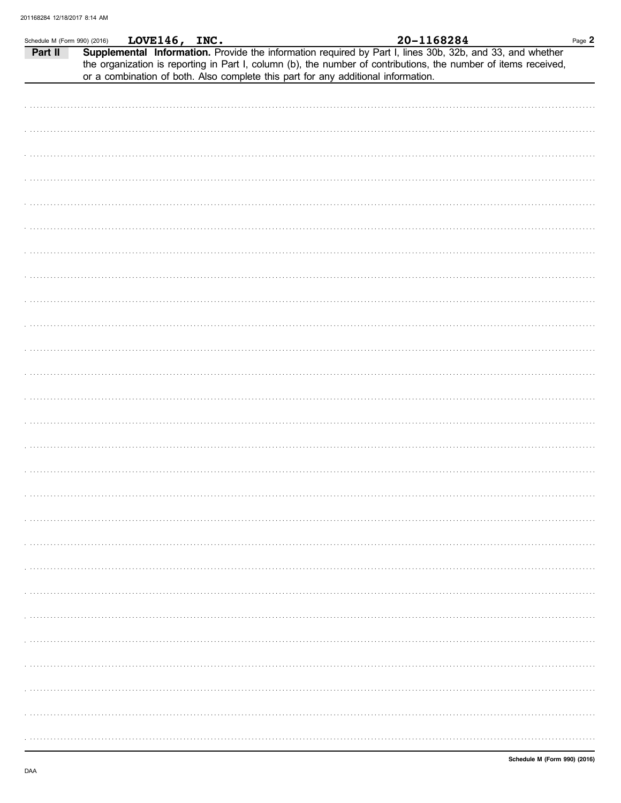| Schedule M (Form 990) (2016) | LOVE146, INC.                                                                     |  | 20-1168284                                                                                                                                                                                                                   | Page 2 |
|------------------------------|-----------------------------------------------------------------------------------|--|------------------------------------------------------------------------------------------------------------------------------------------------------------------------------------------------------------------------------|--------|
| Part II                      | or a combination of both. Also complete this part for any additional information. |  | Supplemental Information. Provide the information required by Part I, lines 30b, 32b, and 33, and whether<br>the organization is reporting in Part I, column (b), the number of contributions, the number of items received, |        |
|                              |                                                                                   |  |                                                                                                                                                                                                                              |        |
|                              |                                                                                   |  |                                                                                                                                                                                                                              |        |
|                              |                                                                                   |  |                                                                                                                                                                                                                              |        |
|                              |                                                                                   |  |                                                                                                                                                                                                                              |        |
|                              |                                                                                   |  |                                                                                                                                                                                                                              |        |
|                              |                                                                                   |  |                                                                                                                                                                                                                              |        |
|                              |                                                                                   |  |                                                                                                                                                                                                                              |        |
|                              |                                                                                   |  |                                                                                                                                                                                                                              |        |
|                              |                                                                                   |  |                                                                                                                                                                                                                              |        |
|                              |                                                                                   |  |                                                                                                                                                                                                                              |        |
|                              |                                                                                   |  |                                                                                                                                                                                                                              |        |
|                              |                                                                                   |  |                                                                                                                                                                                                                              |        |
|                              |                                                                                   |  |                                                                                                                                                                                                                              |        |
|                              |                                                                                   |  |                                                                                                                                                                                                                              |        |
|                              |                                                                                   |  |                                                                                                                                                                                                                              |        |
|                              |                                                                                   |  |                                                                                                                                                                                                                              |        |
|                              |                                                                                   |  |                                                                                                                                                                                                                              |        |
|                              |                                                                                   |  |                                                                                                                                                                                                                              |        |
|                              |                                                                                   |  |                                                                                                                                                                                                                              |        |
|                              |                                                                                   |  |                                                                                                                                                                                                                              |        |
|                              |                                                                                   |  |                                                                                                                                                                                                                              |        |
|                              |                                                                                   |  |                                                                                                                                                                                                                              |        |
|                              |                                                                                   |  |                                                                                                                                                                                                                              |        |
|                              |                                                                                   |  |                                                                                                                                                                                                                              |        |
|                              |                                                                                   |  |                                                                                                                                                                                                                              |        |
|                              |                                                                                   |  |                                                                                                                                                                                                                              |        |
|                              |                                                                                   |  |                                                                                                                                                                                                                              |        |
|                              |                                                                                   |  |                                                                                                                                                                                                                              |        |
|                              |                                                                                   |  |                                                                                                                                                                                                                              |        |
|                              |                                                                                   |  |                                                                                                                                                                                                                              |        |
|                              |                                                                                   |  |                                                                                                                                                                                                                              |        |
|                              |                                                                                   |  |                                                                                                                                                                                                                              |        |
|                              |                                                                                   |  |                                                                                                                                                                                                                              |        |
|                              |                                                                                   |  |                                                                                                                                                                                                                              |        |
|                              |                                                                                   |  |                                                                                                                                                                                                                              |        |
|                              |                                                                                   |  |                                                                                                                                                                                                                              |        |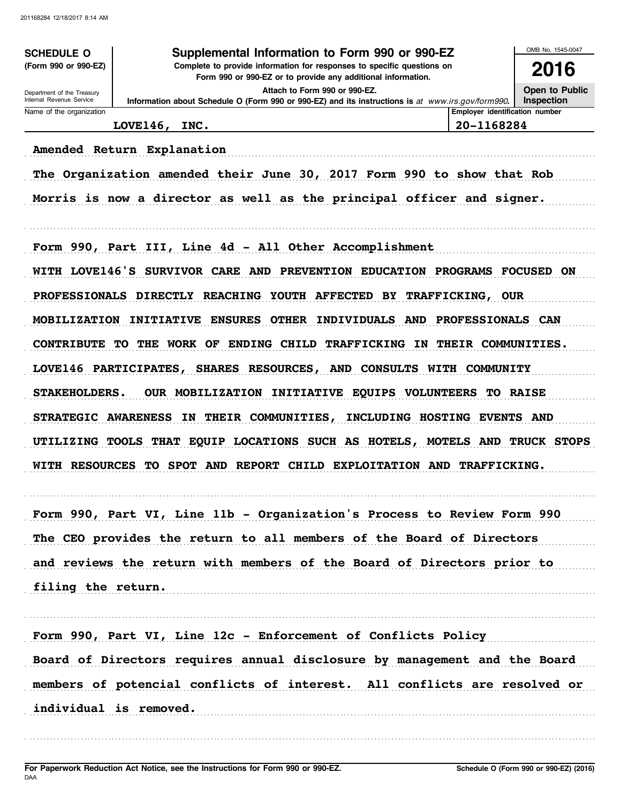| <b>SCHEDULE O</b>                                    | Supplemental Information to Form 990 or 990-EZ                                                                                         |                                   | OMB No. 1545-0047     |
|------------------------------------------------------|----------------------------------------------------------------------------------------------------------------------------------------|-----------------------------------|-----------------------|
| (Form 990 or 990-EZ)                                 | Complete to provide information for responses to specific questions on<br>Form 990 or 990-EZ or to provide any additional information. |                                   | 2016                  |
| Department of the Treasury                           | Attach to Form 990 or 990-EZ.                                                                                                          |                                   | <b>Open to Public</b> |
| Internal Revenue Service<br>Name of the organization | Information about Schedule O (Form 990 or 990-EZ) and its instructions is at www.irs.gov/form990.                                      | Employer identification number    | Inspection            |
|                                                      | 20-1168284                                                                                                                             |                                   |                       |
|                                                      |                                                                                                                                        |                                   |                       |
|                                                      | Amended Return Explanation                                                                                                             |                                   |                       |
|                                                      | The Organization amended their June 30, 2017 Form 990 to show that Rob                                                                 |                                   |                       |
|                                                      |                                                                                                                                        |                                   |                       |
|                                                      | Morris is now a director as well as the principal officer and signer.                                                                  |                                   |                       |
|                                                      |                                                                                                                                        |                                   |                       |
|                                                      | Form 990, Part III, Line 4d - All Other Accomplishment                                                                                 |                                   |                       |
|                                                      |                                                                                                                                        |                                   |                       |
|                                                      | WITH LOVE146'S SURVIVOR CARE AND<br><b>PREVENTION EDUCATION PROGRAMS</b>                                                               |                                   | <b>FOCUSED ON</b>     |
|                                                      | PROFESSIONALS DIRECTLY REACHING YOUTH AFFECTED BY                                                                                      | <b>TRAFFICKING,</b><br><b>OUR</b> |                       |
| <b>MOBILIZATION</b>                                  | <b>OTHER</b><br><b>INITIATIVE</b><br><b>ENSURES</b><br>INDIVIDUALS AND                                                                 | <b>PROFESSIONALS CAN</b>          |                       |
| <b>CONTRIBUTE</b>                                    | <b>ENDING CHILD</b><br>THE<br>WORK OF<br><b>TRAFFICKING</b><br>IN<br>TO.                                                               | THEIR COMMUNITIES.                |                       |
| LOVE146 PARTICIPATES,                                | SHARES RESOURCES, AND CONSULTS                                                                                                         | <b>WITH COMMUNITY</b>             |                       |
|                                                      | OUR MOBILIZATION INITIATIVE                                                                                                            |                                   |                       |
| <b>STAKEHOLDERS.</b>                                 | <b>EQUIPS VOLUNTEERS</b>                                                                                                               |                                   | <b>TO RAISE</b>       |
| STRATEGIC AWARENESS                                  | THEIR COMMUNITIES,<br>INCLUDING HOSTING<br>IN                                                                                          | <b>EVENTS AND</b>                 |                       |
| UTILIZING TOOLS                                      | EQUIP LOCATIONS SUCH AS HOTELS,<br><b>THAT</b>                                                                                         | MOTELS AND                        | TRUCK STOPS           |
| <b>WITH RESOURCES</b>                                | REPORT CHILD EXPLOITATION AND<br>TO SPOT AND                                                                                           | <b>TRAFFICKING.</b>               |                       |
|                                                      |                                                                                                                                        |                                   |                       |
|                                                      | Form 990, Part VI, Line 11b - Organization's Process to Review Form 990                                                                |                                   |                       |
|                                                      | The CEO provides the return to all members of the Board of Directors                                                                   |                                   |                       |
|                                                      |                                                                                                                                        |                                   |                       |
|                                                      | and reviews the return with members of the Board of Directors prior to                                                                 |                                   |                       |
| filing the return.                                   |                                                                                                                                        |                                   |                       |
|                                                      |                                                                                                                                        |                                   |                       |
|                                                      | Form 990, Part VI, Line 12c - Enforcement of Conflicts Policy                                                                          |                                   |                       |
|                                                      | Board of Directors requires annual disclosure by management and the Board                                                              |                                   |                       |
|                                                      | members of potencial conflicts of interest. All conflicts are resolved or                                                              |                                   |                       |
|                                                      | individual is removed.                                                                                                                 |                                   |                       |
|                                                      |                                                                                                                                        |                                   |                       |
|                                                      |                                                                                                                                        |                                   |                       |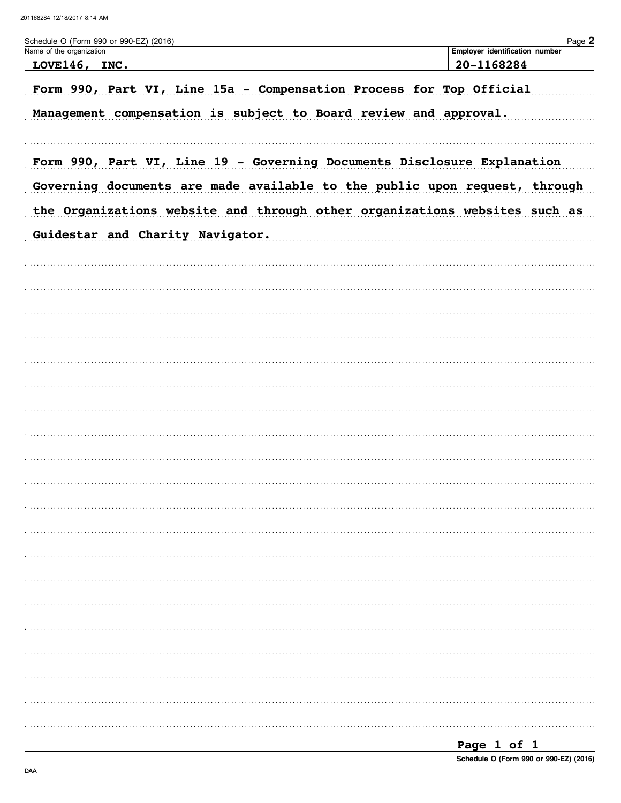| Schedule O (Form 990 or 990-EZ) (2016)                                                                                                                                                                                                                                  | Page 2                                       |  |  |  |  |
|-------------------------------------------------------------------------------------------------------------------------------------------------------------------------------------------------------------------------------------------------------------------------|----------------------------------------------|--|--|--|--|
| Name of the organization<br>LOVE146, INC.                                                                                                                                                                                                                               | Employer identification number<br>20-1168284 |  |  |  |  |
| Form 990, Part VI, Line 15a - Compensation Process for Top Official<br>Management compensation is subject to Board review and approval.                                                                                                                                 |                                              |  |  |  |  |
| Form 990, Part VI, Line 19 - Governing Documents Disclosure Explanation<br>Governing documents are made available to the public upon request, through<br>the Organizations website and through other organizations websites such as<br>Guidestar and Charity Navigator. |                                              |  |  |  |  |
|                                                                                                                                                                                                                                                                         |                                              |  |  |  |  |
|                                                                                                                                                                                                                                                                         |                                              |  |  |  |  |
|                                                                                                                                                                                                                                                                         |                                              |  |  |  |  |
|                                                                                                                                                                                                                                                                         |                                              |  |  |  |  |
|                                                                                                                                                                                                                                                                         |                                              |  |  |  |  |
|                                                                                                                                                                                                                                                                         |                                              |  |  |  |  |
|                                                                                                                                                                                                                                                                         |                                              |  |  |  |  |
|                                                                                                                                                                                                                                                                         |                                              |  |  |  |  |
|                                                                                                                                                                                                                                                                         |                                              |  |  |  |  |
|                                                                                                                                                                                                                                                                         |                                              |  |  |  |  |
|                                                                                                                                                                                                                                                                         |                                              |  |  |  |  |
|                                                                                                                                                                                                                                                                         |                                              |  |  |  |  |
|                                                                                                                                                                                                                                                                         |                                              |  |  |  |  |
|                                                                                                                                                                                                                                                                         |                                              |  |  |  |  |
|                                                                                                                                                                                                                                                                         |                                              |  |  |  |  |
|                                                                                                                                                                                                                                                                         |                                              |  |  |  |  |
|                                                                                                                                                                                                                                                                         |                                              |  |  |  |  |
|                                                                                                                                                                                                                                                                         |                                              |  |  |  |  |
|                                                                                                                                                                                                                                                                         |                                              |  |  |  |  |
|                                                                                                                                                                                                                                                                         |                                              |  |  |  |  |
|                                                                                                                                                                                                                                                                         |                                              |  |  |  |  |
|                                                                                                                                                                                                                                                                         |                                              |  |  |  |  |

Schedule O (Form 990 or 990-EZ) (2016)